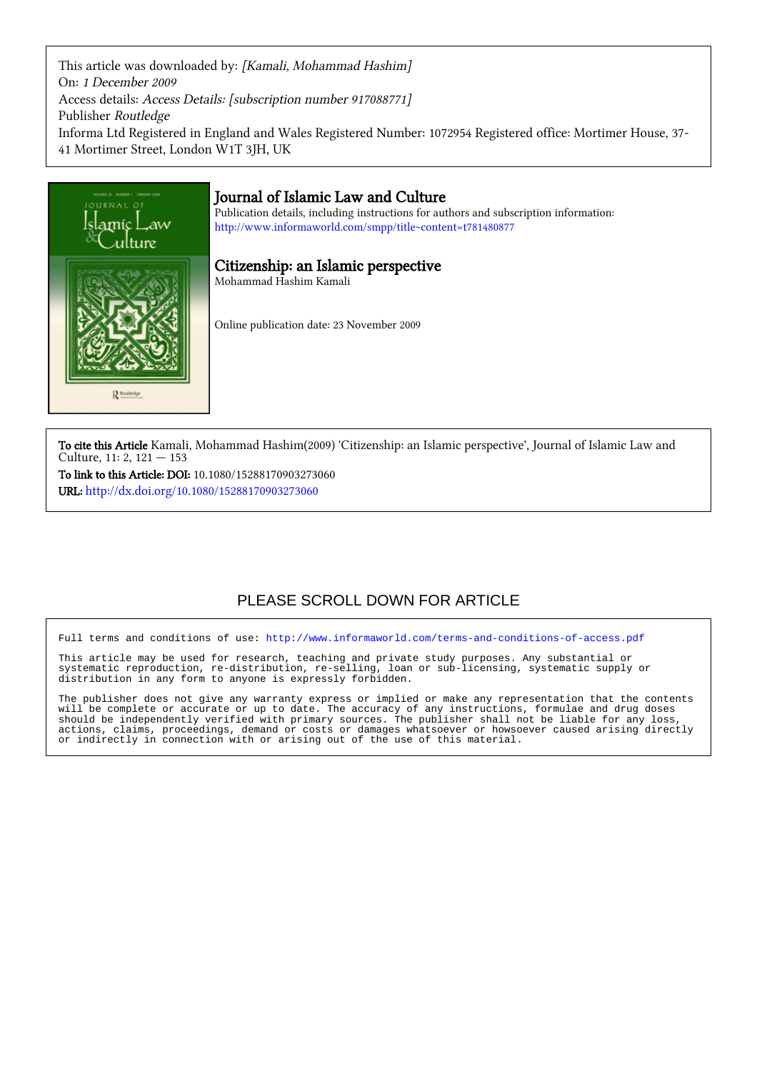This article was downloaded by: [Kamali, Mohammad Hashim] On: 1 December 2009 Access details: Access Details: [subscription number 917088771] Publisher Routledge Informa Ltd Registered in England and Wales Registered Number: 1072954 Registered office: Mortimer House, 37- 41 Mortimer Street, London W1T 3JH, UK



To cite this Article Kamali, Mohammad Hashim(2009) 'Citizenship: an Islamic perspective', Journal of Islamic Law and Culture, 11: 2, 121 — 153

To link to this Article: DOI: 10.1080/15288170903273060 URL: <http://dx.doi.org/10.1080/15288170903273060>

## PLEASE SCROLL DOWN FOR ARTICLE

Full terms and conditions of use:<http://www.informaworld.com/terms-and-conditions-of-access.pdf>

This article may be used for research, teaching and private study purposes. Any substantial or systematic reproduction, re-distribution, re-selling, loan or sub-licensing, systematic supply or distribution in any form to anyone is expressly forbidden.

The publisher does not give any warranty express or implied or make any representation that the contents will be complete or accurate or up to date. The accuracy of any instructions, formulae and drug doses should be independently verified with primary sources. The publisher shall not be liable for any loss, actions, claims, proceedings, demand or costs or damages whatsoever or howsoever caused arising directly or indirectly in connection with or arising out of the use of this material.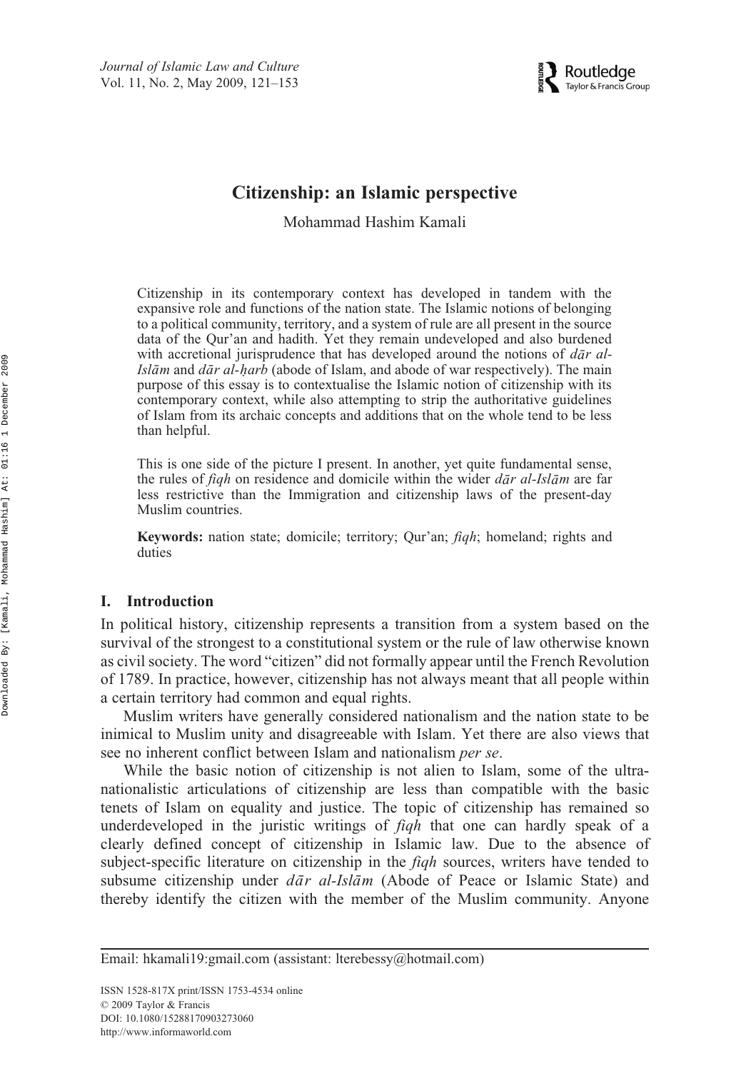

### **Citizenship: an Islamic perspective**

Mohammad Hashim Kamali

Citizenship in its contemporary context has developed in tandem with the expansive role and functions of the nation state. The Islamic notions of belonging to a political community, territory, and a system of rule are all present in the source data of the Qur'an and hadith. Yet they remain undeveloped and also burdened with accretional jurisprudence that has developed around the notions of *dar al-Islām* and *dār al-harb* (abode of Islam, and abode of war respectively). The main *purpose of this essay is to contextualise the Islamic notion of citizenship with its* contemporary context, while also attempting to strip the authoritative guidelines of Islam from its archaic concepts and additions that on the whole tend to be less than helpful.

This is one side of the picture I present. In another, yet quite fundamental sense, the rules of *fiqh* on residence and domicile within the wider  $d\bar{a}r$  *al-Islam* are far less restrictive than the Immigration and citizenship laws of the present-day Muslim countries.

**Keywords:** nation state; domicile; territory; Qur'an; *fiqh*; homeland; rights and duties

### **I. Introduction**

In political history, citizenship represents a transition from a system based on the survival of the strongest to a constitutional system or the rule of law otherwise known as civil society. The word "citizen" did not formally appear until the French Revolution of 1789. In practice, however, citizenship has not always meant that all people within a certain territory had common and equal rights.

Muslim writers have generally considered nationalism and the nation state to be inimical to Muslim unity and disagreeable with Islam. Yet there are also views that see no inherent conflict between Islam and nationalism *per se*.

While the basic notion of citizenship is not alien to Islam, some of the ultranationalistic articulations of citizenship are less than compatible with the basic tenets of Islam on equality and justice. The topic of citizenship has remained so underdeveloped in the juristic writings of *fiqh* that one can hardly speak of a clearly defined concept of citizenship in Islamic law. Due to the absence of subject-specific literature on citizenship in the *fiqh* sources, writers have tended to subsume citizenship under  $d\bar{a}r$  *al-Islām* (Abode of Peace or Islamic State) and thereby identify the citizen with the member of the Muslim community. Anyone

Email: hkamali19:gmail.com (assistant: lterebessy@hotmail.com)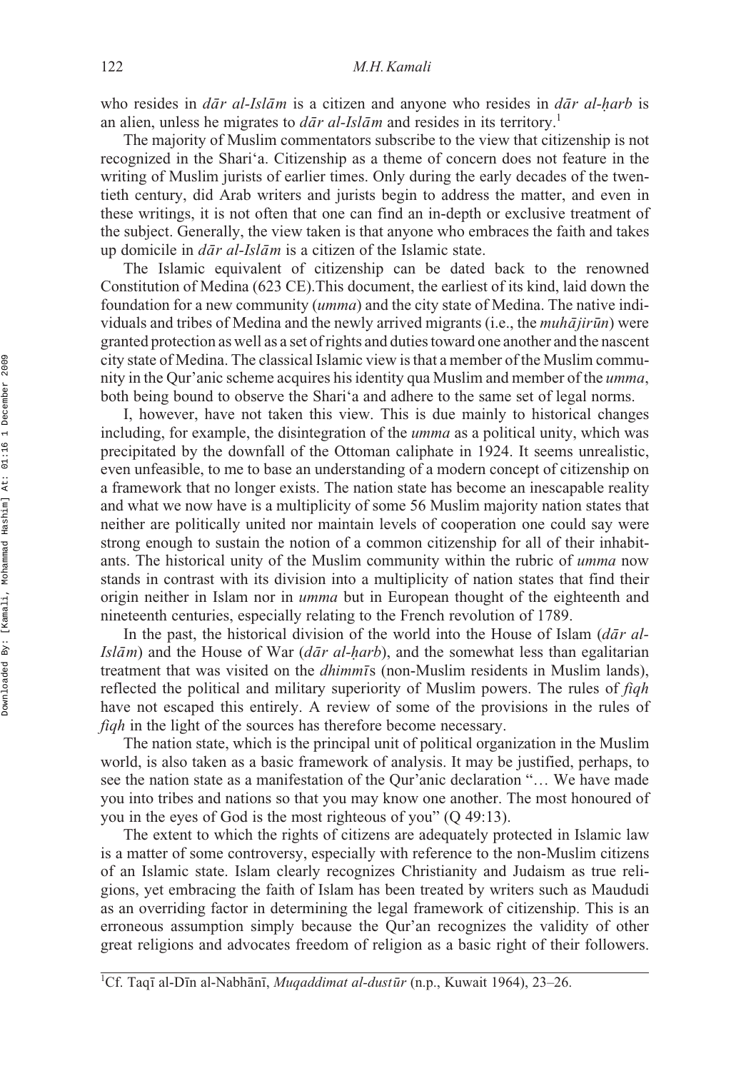who resides in *dar al-Islam* is a citizen and anyone who resides in *dar al-harb* is *a*<sup>n</sup> an alien, unless he migrates to  $d\bar{a}r$  *ral-Islam* and resides in its territory.<sup>1</sup>

The majority of Muslim commentators subscribe to the view that citizenship is not recognized in the Shari'a. Citizenship as a theme of concern does not feature in the writing of Muslim jurists of earlier times. Only during the early decades of the twentieth century, did Arab writers and jurists begin to address the matter, and even in these writings, it is not often that one can find an in-depth or exclusive treatment of the subject. Generally, the view taken is that anyone who embraces the faith and takes up domicile in  $d\bar{a}r$  *al-Islam* is a citizen of the Islamic state.

The Islamic equivalent of citizenship can be dated back to the renowned Constitution of Medina (623 CE).This document, the earliest of its kind, laid down the foundation for a new community (*umma*) and the city state of Medina. The native individuals and tribes of Medina and the newly arrived migrants (i.e., the *muhajirun*) were granted protection as well as a set of rights and duties toward one another and the nascent city state of Medina. The classical Islamic view is that a member of the Muslim community in the Qur'anic scheme acquires his identity qua Muslim and member of the *umma*, both being bound to observe the Shari'a and adhere to the same set of legal norms.

I, however, have not taken this view. This is due mainly to historical changes including, for example, the disintegration of the *umma* as a political unity, which was precipitated by the downfall of the Ottoman caliphate in 1924. It seems unrealistic, even unfeasible, to me to base an understanding of a modern concept of citizenship on a framework that no longer exists. The nation state has become an inescapable reality and what we now have is a multiplicity of some 56 Muslim majority nation states that neither are politically united nor maintain levels of cooperation one could say were strong enough to sustain the notion of a common citizenship for all of their inhabitants. The historical unity of the Muslim community within the rubric of *umma* now stands in contrast with its division into a multiplicity of nation states that find their origin neither in Islam nor in *umma* but in European thought of the eighteenth and nineteenth centuries, especially relating to the French revolution of 1789.

In the past, the historical division of the world into the House of Islam (*dar al-Islām*) and the House of War (*dār al-harb*), and the somewhat less than egalitarian *treatment that was visited on the <i>dhimmis* (non-Muslim residents in Muslim lands), reflected the political and military superiority of Muslim powers. The rules of *fiqh* have not escaped this entirely. A review of some of the provisions in the rules of *fiqh* in the light of the sources has therefore become necessary.

The nation state, which is the principal unit of political organization in the Muslim world, is also taken as a basic framework of analysis. It may be justified, perhaps, to see the nation state as a manifestation of the Qur'anic declaration "… We have made you into tribes and nations so that you may know one another. The most honoured of you in the eyes of God is the most righteous of you" (Q 49:13).

The extent to which the rights of citizens are adequately protected in Islamic law is a matter of some controversy, especially with reference to the non-Muslim citizens of an Islamic state. Islam clearly recognizes Christianity and Judaism as true religions, yet embracing the faith of Islam has been treated by writers such as Maududi as an overriding factor in determining the legal framework of citizenship. This is an erroneous assumption simply because the Qur'an recognizes the validity of other great religions and advocates freedom of religion as a basic right of their followers.

<sup>&</sup>lt;sup>1</sup>Cf. Taqī al-Dīn al-Nabhānī, *Muqaddimat al-dustūr* (n.p., Kuwait 1964), 23–26.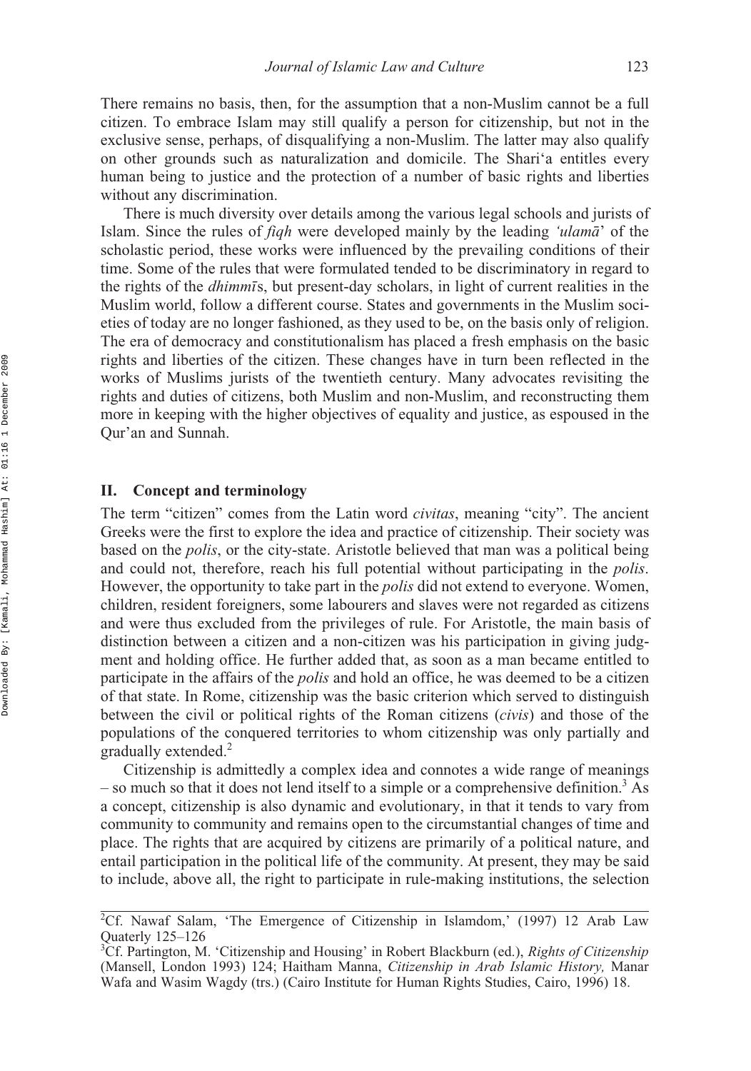There remains no basis, then, for the assumption that a non-Muslim cannot be a full citizen. To embrace Islam may still qualify a person for citizenship, but not in the exclusive sense, perhaps, of disqualifying a non-Muslim. The latter may also qualify on other grounds such as naturalization and domicile. The Shari'a entitles every human being to justice and the protection of a number of basic rights and liberties without any discrimination.

There is much diversity over details among the various legal schools and jurists of Islam. Since the rules of *fiqh* were developed mainly by the leading *'ulama*' of the scholastic period, these works were influenced by the prevailing conditions of their time. Some of the rules that were formulated tended to be discriminatory in regard to the rights of the *dhimmi*s, but present-day scholars, in light of current realities in the Muslim world, follow a different course. States and governments in the Muslim societies of today are no longer fashioned, as they used to be, on the basis only of religion. The era of democracy and constitutionalism has placed a fresh emphasis on the basic rights and liberties of the citizen. These changes have in turn been reflected in the works of Muslims jurists of the twentieth century. Many advocates revisiting the rights and duties of citizens, both Muslim and non-Muslim, and reconstructing them more in keeping with the higher objectives of equality and justice, as espoused in the Qur'an and Sunnah.

### **II. Concept and terminology**

The term "citizen" comes from the Latin word *civitas*, meaning "city". The ancient Greeks were the first to explore the idea and practice of citizenship. Their society was based on the *polis*, or the city-state. Aristotle believed that man was a political being and could not, therefore, reach his full potential without participating in the *polis*. However, the opportunity to take part in the *polis* did not extend to everyone. Women, children, resident foreigners, some labourers and slaves were not regarded as citizens and were thus excluded from the privileges of rule. For Aristotle, the main basis of distinction between a citizen and a non-citizen was his participation in giving judgment and holding office. He further added that, as soon as a man became entitled to participate in the affairs of the *polis* and hold an office, he was deemed to be a citizen of that state. In Rome, citizenship was the basic criterion which served to distinguish between the civil or political rights of the Roman citizens (*civis*) and those of the populations of the conquered territories to whom citizenship was only partially and gradually extended.<sup>2</sup>

Citizenship is admittedly a complex idea and connotes a wide range of meanings – so much so that it does not lend itself to a simple or a comprehensive definition.<sup>3</sup> As a concept, citizenship is also dynamic and evolutionary, in that it tends to vary from community to community and remains open to the circumstantial changes of time and place. The rights that are acquired by citizens are primarily of a political nature, and entail participation in the political life of the community. At present, they may be said to include, above all, the right to participate in rule-making institutions, the selection

<sup>&</sup>lt;sup>2</sup>Cf. Nawaf Salam, 'The Emergence of Citizenship in Islamdom,' (1997) 12 Arab Law Quaterly 125–126

<sup>3</sup> Cf. Partington, M. 'Citizenship and Housing' in Robert Blackburn (ed.), *Rights of Citizenship* (Mansell, London 1993) 124; Haitham Manna, *Citizenship in Arab Islamic History,* Manar Wafa and Wasim Wagdy (trs.) (Cairo Institute for Human Rights Studies, Cairo, 1996) 18.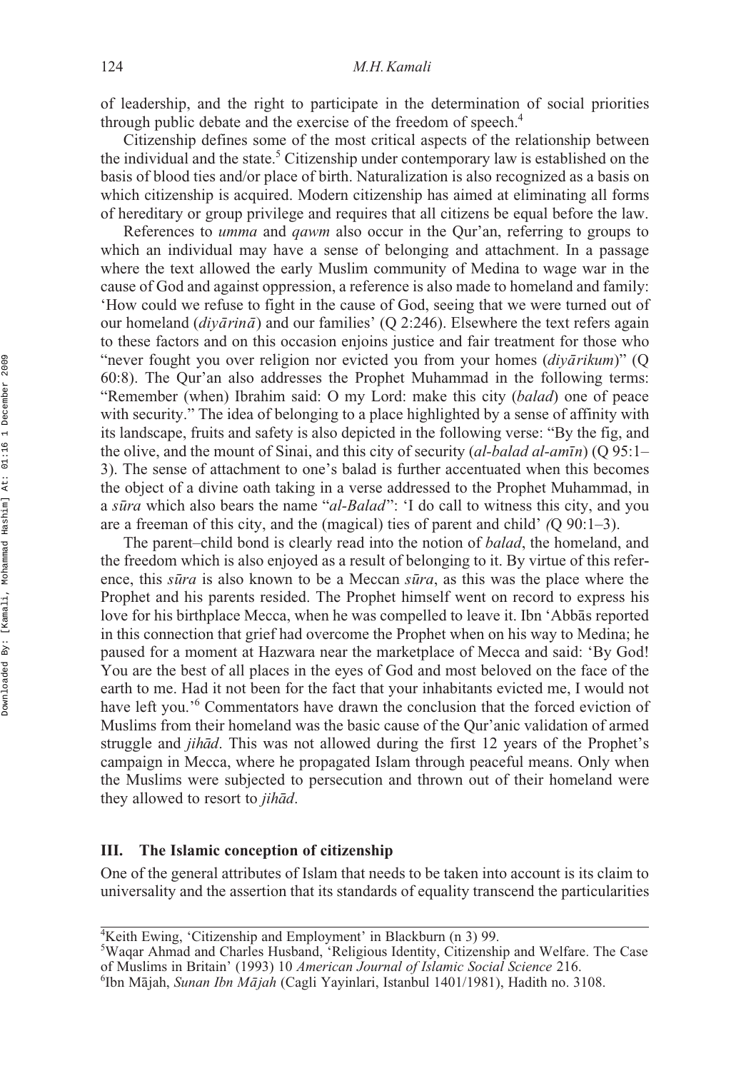of leadership, and the right to participate in the determination of social priorities through public debate and the exercise of the freedom of speech.<sup>4</sup>

Citizenship defines some of the most critical aspects of the relationship between the individual and the state.<sup>5</sup> Citizenship under contemporary law is established on the basis of blood ties and/or place of birth. Naturalization is also recognized as a basis on which citizenship is acquired. Modern citizenship has aimed at eliminating all forms of hereditary or group privilege and requires that all citizens be equal before the law.

References to *umma* and *qawm* also occur in the Qur'an, referring to groups to which an individual may have a sense of belonging and attachment. In a passage where the text allowed the early Muslim community of Medina to wage war in the cause of God and against oppression, a reference is also made to homeland and family: 'How could we refuse to fight in the cause of God, seeing that we were turned out of our homeland (*diyārinā*) and our families' (Q 2:246). Elsewhere the text refers again to these factors and on this occasion enjoins justice and fair treatment for those who "never fought you over religion nor evicted you from your homes (*diyārikum*)" (Q 60:8). The Qur'an also addresses the Prophet Muhammad in the following terms: "Remember (when) Ibrahim said: O my Lord: make this city (*balad*) one of peace with security." The idea of belonging to a place highlighted by a sense of affinity with its landscape, fruits and safety is also depicted in the following verse: "By the fig, and the olive, and the mount of Sinai, and this city of security (*al-balad al-amīn*) (Q 95:1– 3). The sense of attachment to one's balad is further accentuated when this becomes the object of a divine oath taking in a verse addressed to the Prophet Muhammad, in a *sūra* which also bears the name "*al-Balad*": 'I do call to witness this city, and you are a freeman of this city, and the (magical) ties of parent and child' *(*Q 90:1–3).

The parent–child bond is clearly read into the notion of *balad*, the homeland, and the freedom which is also enjoyed as a result of belonging to it. By virtue of this reference, this *sūra* is also known to be a Meccan *sūra*, as this was the place where the Prophet and his parents resided. The Prophet himself went on record to express his love for his birthplace Mecca, when he was compelled to leave it. Ibn 'Abbas reported in this connection that grief had overcome the Prophet when on his way to Medina; he paused for a moment at Hazwara near the marketplace of Mecca and said: 'By God! You are the best of all places in the eyes of God and most beloved on the face of the earth to me. Had it not been for the fact that your inhabitants evicted me, I would not have left you.<sup>'6</sup> Commentators have drawn the conclusion that the forced eviction of Muslims from their homeland was the basic cause of the Qur'anic validation of armed struggle and *jihad*. This was not allowed during the first 12 years of the Prophet's campaign in Mecca, where he propagated Islam through peaceful means. Only when the Muslims were subjected to persecution and thrown out of their homeland were they allowed to resort to *jihad*.

### **III. The Islamic conception of citizenship**

One of the general attributes of Islam that needs to be taken into account is its claim to universality and the assertion that its standards of equality transcend the particularities

<sup>4</sup> Keith Ewing, 'Citizenship and Employment' in Blackburn (n 3) 99.

<sup>5</sup> Waqar Ahmad and Charles Husband, 'Religious Identity, Citizenship and Welfare. The Case of Muslims in Britain' (1993) 10 *American Journal of Islamic Social Science* 216. <sup>6</sup>

Ibn Mājah, *Sunan Ibn Mājah* (Cagli Yayinlari, Istanbul 1401/1981), Hadith no. 3108.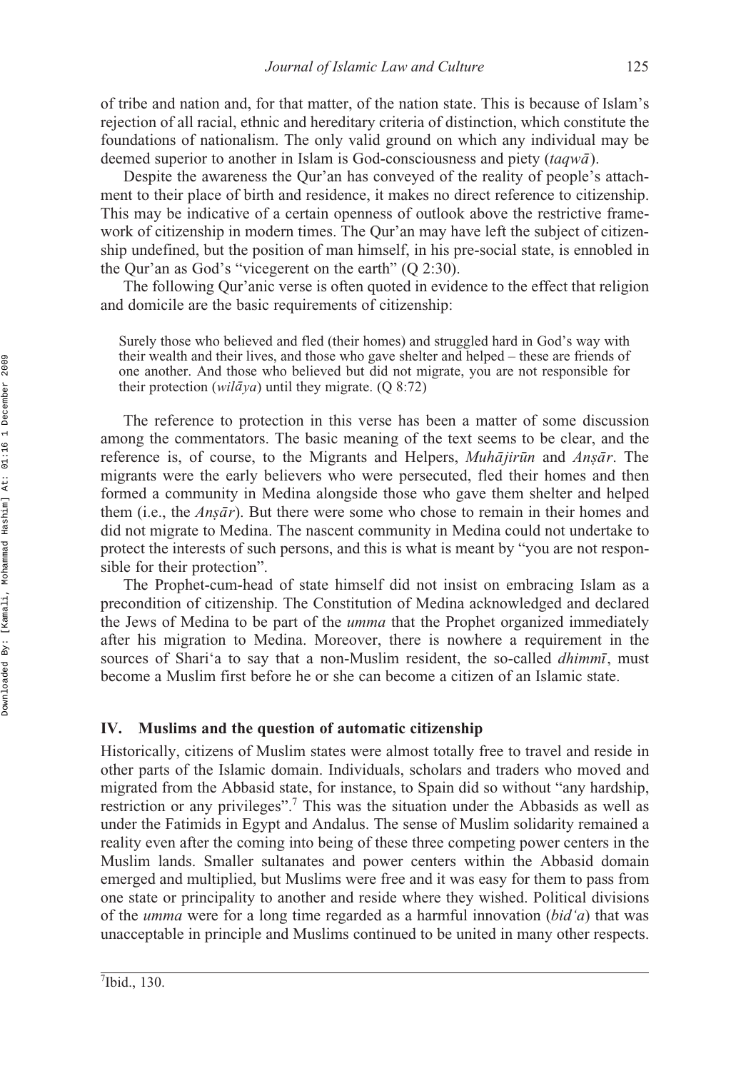of tribe and nation and, for that matter, of the nation state. This is because of Islam's rejection of all racial, ethnic and hereditary criteria of distinction, which constitute the foundations of nationalism. The only valid ground on which any individual may be deemed superior to another in Islam is God-consciousness and piety (taqwa).

Despite the awareness the Qur'an has conveyed of the reality of people's attachment to their place of birth and residence, it makes no direct reference to citizenship. This may be indicative of a certain openness of outlook above the restrictive framework of citizenship in modern times. The Qur'an may have left the subject of citizenship undefined, but the position of man himself, in his pre-social state, is ennobled in the Qur'an as God's "vicegerent on the earth" (Q 2:30).

The following Qur'anic verse is often quoted in evidence to the effect that religion and domicile are the basic requirements of citizenship:

Surely those who believed and fled (their homes) and struggled hard in God's way with their wealth and their lives, and those who gave shelter and helped – these are friends of one another. And those who believed but did not migrate, you are not responsible for their protection (*wilāya*) until they migrate. (Q 8:72)

The reference to protection in this verse has been a matter of some discussion among the commentators. The basic meaning of the text seems to be clear, and the reference is, of course, to the Migrants and Helpers, *Muhajirun* and *Ansar*. The *n*<sup>*n*</sup> and *n*<sup>*n*</sup> and *n*<sup>*n*</sup> and *n*<sup>*n*</sup><sub>*n*</sub><sup>*n*</sup> and *n*<sup>*n*</sup><sub>*n*</sub><sup>*n*</sup> and *n*<sup>*n*</sup><sub>*n*</sub><sup>*n*</sup> and *n*<sup>*n*</sup><sub>*n*</sub><sup>*n*</sup> *n*<sup>*n*</sup> and *n*<sup>*n*</sup><sub>*n*</sub><sup>*n*</sup> *n*<sup>*n*</sup> and *n*<sup>*n*</sup> *n*<sup>*n*</sup> *n*<sup>*n*</sup> *n*<sup>*n*</sup> *n*<sup>*n*</sup> *n*<sup>*</sup>* formed a community in Medina alongside those who gave them shelter and helped them (i.e., the *Ansār*). But there were some who chose to remain in their homes and did not migrate to Medina. The nascent community in Medina could not undertake to protect the interests of such persons, and this is what is meant by "you are not responsible for their protection".

The Prophet-cum-head of state himself did not insist on embracing Islam as a precondition of citizenship. The Constitution of Medina acknowledged and declared the Jews of Medina to be part of the *umma* that the Prophet organized immediately after his migration to Medina. Moreover, there is nowhere a requirement in the sources of Shari'a to say that a non-Muslim resident, the so-called *dhimmi*, must become a Muslim first before he or she can become a citizen of an Islamic state.

### **IV. Muslims and the question of automatic citizenship**

Historically, citizens of Muslim states were almost totally free to travel and reside in other parts of the Islamic domain. Individuals, scholars and traders who moved and migrated from the Abbasid state, for instance, to Spain did so without "any hardship, restriction or any privileges".7 This was the situation under the Abbasids as well as under the Fatimids in Egypt and Andalus. The sense of Muslim solidarity remained a reality even after the coming into being of these three competing power centers in the Muslim lands. Smaller sultanates and power centers within the Abbasid domain emerged and multiplied, but Muslims were free and it was easy for them to pass from one state or principality to another and reside where they wished. Political divisions of the *umma* were for a long time regarded as a harmful innovation (*bid'a*) that was unacceptable in principle and Muslims continued to be united in many other respects.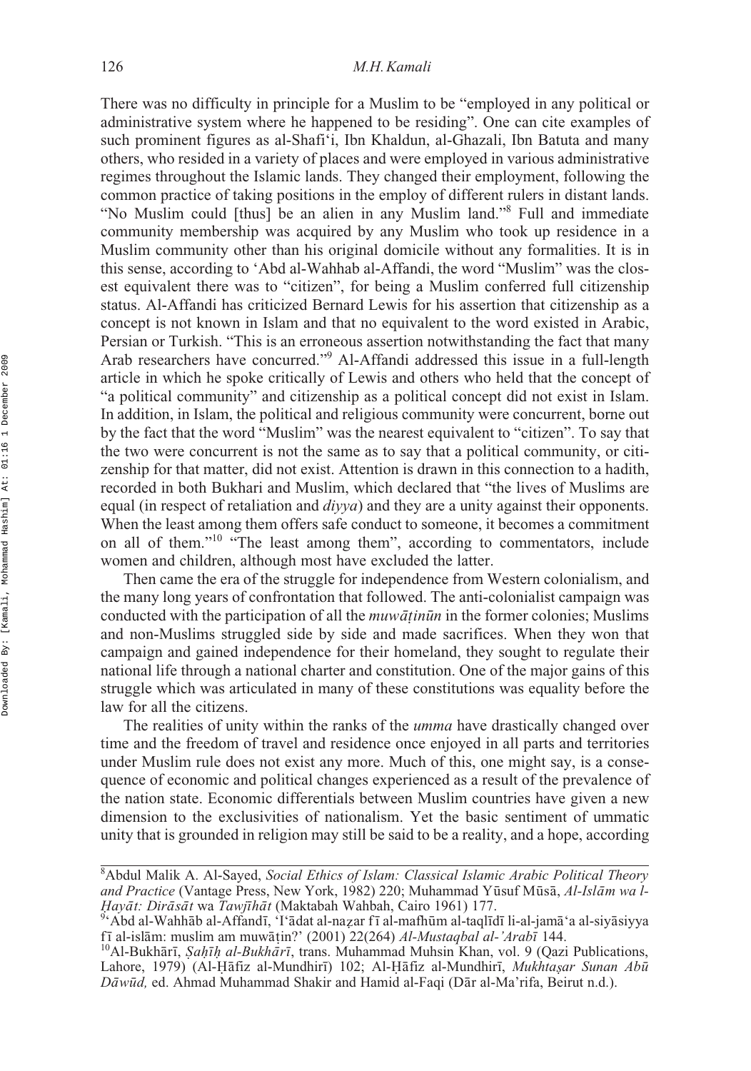There was no difficulty in principle for a Muslim to be "employed in any political or administrative system where he happened to be residing". One can cite examples of such prominent figures as al-Shafi'i, Ibn Khaldun, al-Ghazali, Ibn Batuta and many others, who resided in a variety of places and were employed in various administrative regimes throughout the Islamic lands. They changed their employment, following the common practice of taking positions in the employ of different rulers in distant lands. "No Muslim could [thus] be an alien in any Muslim land."8 Full and immediate community membership was acquired by any Muslim who took up residence in a Muslim community other than his original domicile without any formalities. It is in this sense, according to 'Abd al-Wahhab al-Affandi, the word "Muslim" was the closest equivalent there was to "citizen", for being a Muslim conferred full citizenship status. Al-Affandi has criticized Bernard Lewis for his assertion that citizenship as a concept is not known in Islam and that no equivalent to the word existed in Arabic, Persian or Turkish. "This is an erroneous assertion notwithstanding the fact that many Arab researchers have concurred."9 Al-Affandi addressed this issue in a full-length article in which he spoke critically of Lewis and others who held that the concept of "a political community" and citizenship as a political concept did not exist in Islam. In addition, in Islam, the political and religious community were concurrent, borne out by the fact that the word "Muslim" was the nearest equivalent to "citizen". To say that the two were concurrent is not the same as to say that a political community, or citizenship for that matter, did not exist. Attention is drawn in this connection to a hadith, recorded in both Bukhari and Muslim, which declared that "the lives of Muslims are equal (in respect of retaliation and *diyya*) and they are a unity against their opponents. When the least among them offers safe conduct to someone, it becomes a commitment on all of them."10 "The least among them", according to commentators, include women and children, although most have excluded the latter.

Then came the era of the struggle for independence from Western colonialism, and the many long years of confrontation that followed. The anti-colonialist campaign was conducted with the participation of all the *muwātinūn* in the former colonies; Muslims<br>and non-Muslims struggled side by side and made sacrifices. When they won that and non-Muslims struggled side by side and made sacrifices. When they won that campaign and gained independence for their homeland, they sought to regulate their national life through a national charter and constitution. One of the major gains of this struggle which was articulated in many of these constitutions was equality before the law for all the citizens.

The realities of unity within the ranks of the *umma* have drastically changed over time and the freedom of travel and residence once enjoyed in all parts and territories under Muslim rule does not exist any more. Much of this, one might say, is a consequence of economic and political changes experienced as a result of the prevalence of the nation state. Economic differentials between Muslim countries have given a new dimension to the exclusivities of nationalism. Yet the basic sentiment of ummatic unity that is grounded in religion may still be said to be a reality, and a hope, according

<sup>8</sup> Abdul Malik A. Al-Sayed, *Social Ethics of Islam: Classical Islamic Arabic Political Theory* and Practice (Vantage Press, New York, 1982) 220; Muhammad Yūsuf Mūsā, *Al-Islām wa l-Hayāt: Dirāsāt* wa *Tawjīhāt* (Maktabah Wahbah, Cairo 1961) 177.<br><sup>9</sup>'Abd al-Wahhāb al-Affandī, 'I'ādat al-nazar fī al-mafhūm al-taqlīdī li-al-jamā'a al-siyāsiyya

*Hayāt: Dirāsāt* wa *Tawjīhāt* (Maktabah Wahbah, Cairo 1961) 177.<br><sup>9</sup>ʻAbd al-Wahhāb al-Affandī, 'I'ādat al-nazar fī al-mafhūm al-taqlīdī li-al-jamā'a al-siyā<br>fī al-islām: muslim am muwātin?' (2001) 22(264) *Al-Mustaabal al* ī al-islām: muslim am muwāṭin?' (2001) 22(264) *Al-Mustaqbal al-'Arabī*<br><sup>)</sup>Al-Bukhārī *Sahīh al-Bukhārī* trans Muhammad Muhsin Khan vol. 9

fī al-islām: muslim am muwāṭin?' (2001) 22(264) *Al-Mustaqbal al-'Arabī* 144.<br><sup>10</sup>Al-Bukhārī, *Şaḥīḥ al-Bukhārī*, trans. Muhammad Muhsin Khan, vol. 9 (Qazi Publications,<br>Labore - 1979) (Al-Hāfiz al-Mundhirī) 102: Al-Hāfiz Lahore, 1979) (Al-Hāfiz al-Mundhirī) 102; Al-Hāfiz al-Mundhirī, *Mukhtaṣar Sunan Abū*<br>*Dāwūd* ed Ahmad Muhammad Shakir and Hamid al-Faqi (Dār al-Ma'rifa Beirut n d) *Dāwūd*, ed. Ahmad Muhammad Shakir and Hamid al-Faqi (Dār al-Ma'rifa, Beirut n.d.).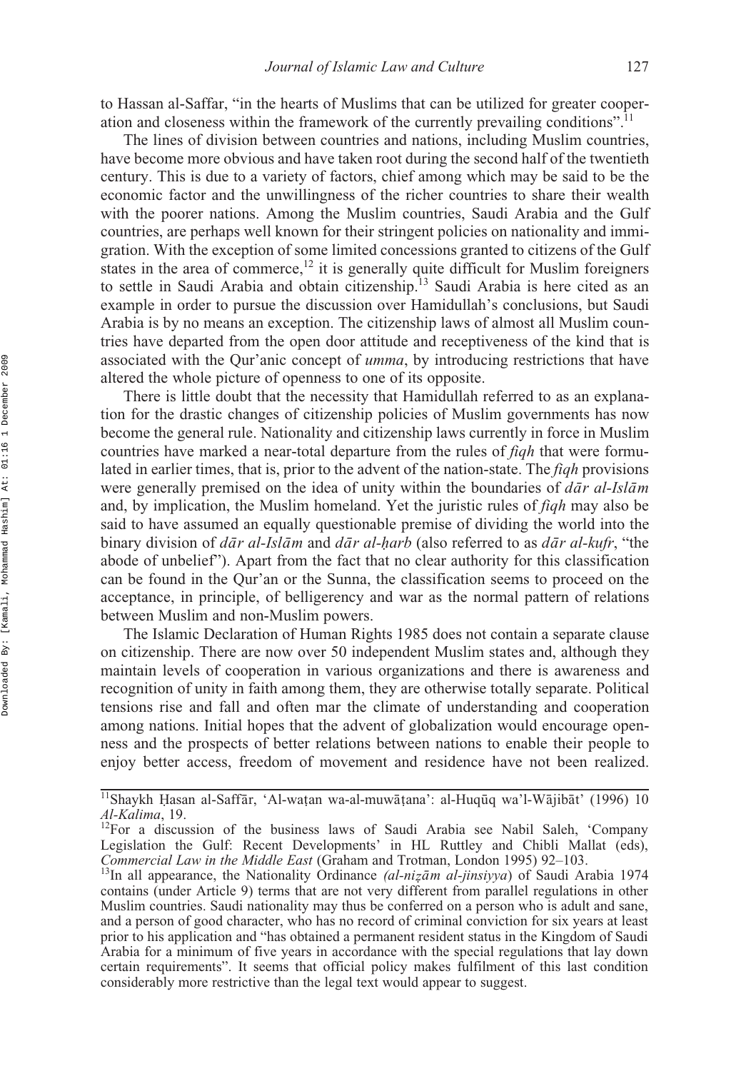to Hassan al-Saffar, "in the hearts of Muslims that can be utilized for greater cooperation and closeness within the framework of the currently prevailing conditions".11

The lines of division between countries and nations, including Muslim countries, have become more obvious and have taken root during the second half of the twentieth century. This is due to a variety of factors, chief among which may be said to be the economic factor and the unwillingness of the richer countries to share their wealth with the poorer nations. Among the Muslim countries, Saudi Arabia and the Gulf countries, are perhaps well known for their stringent policies on nationality and immigration. With the exception of some limited concessions granted to citizens of the Gulf states in the area of commerce,<sup>12</sup> it is generally quite difficult for Muslim foreigners to settle in Saudi Arabia and obtain citizenship.<sup>13</sup> Saudi Arabia is here cited as an example in order to pursue the discussion over Hamidullah's conclusions, but Saudi Arabia is by no means an exception. The citizenship laws of almost all Muslim countries have departed from the open door attitude and receptiveness of the kind that is associated with the Qur'anic concept of *umma*, by introducing restrictions that have altered the whole picture of openness to one of its opposite.

There is little doubt that the necessity that Hamidullah referred to as an explanation for the drastic changes of citizenship policies of Muslim governments has now become the general rule. Nationality and citizenship laws currently in force in Muslim countries have marked a near-total departure from the rules of *fiqh* that were formulated in earlier times, that is, prior to the advent of the nation-state. The *fiqh* provisions were generally premised on the idea of unity within the boundaries of  $d\bar{a}r$  *al-Islam* and, by implication, the Muslim homeland. Yet the juristic rules of *fiqh* may also be said to have assumed an equally questionable premise of dividing the world into the binary division of  $d\bar{a}r$  *al-Islam* and  $d\bar{a}r$  *al-harb* (also referred to as  $d\bar{a}r$  *al-kufr*, "the abode of unbelief"). Apart from the fact that no clear authority for this classification abode of unbelief"). Apart from the fact that no clear authority for this classification can be found in the Qur'an or the Sunna, the classification seems to proceed on the acceptance, in principle, of belligerency and war as the normal pattern of relations between Muslim and non-Muslim powers.

The Islamic Declaration of Human Rights 1985 does not contain a separate clause on citizenship. There are now over 50 independent Muslim states and, although they maintain levels of cooperation in various organizations and there is awareness and recognition of unity in faith among them, they are otherwise totally separate. Political tensions rise and fall and often mar the climate of understanding and cooperation among nations. Initial hopes that the advent of globalization would encourage openness and the prospects of better relations between nations to enable their people to enjoy better access, freedom of movement and residence have not been realized.

<sup>&</sup>lt;sup>11</sup>Shaykh Hasan al-Saffār, 'Al-waṭan wa-al-muwāṭana': al-Huqūq wa'l-Wājibāt' (1996) 10<br>*Al-Kalima* 19 *Al-Kalima*, 19.<br><sup>12</sup>For a discussion of the business laws of Saudi Arabia see Nabil Saleh, 'Company

Legislation the Gulf: Recent Developments' in HL Ruttley and Chibli Mallat (eds), Commercial Law in the Middle East (Graham and Trotman, London 1995) 92-103. *Commercial Law in the Middle East* (Graham and Trotman, London 1995) 92–103.<br><sup>13</sup>In all appearance, the Nationality Ordinance *(al-nizām al-jinsiyya*) of Saudi Arabia 1974

contains (under Article 9) terms that are not very different from parallel regulations in other Muslim countries. Saudi nationality may thus be conferred on a person who is adult and sane, and a person of good character, who has no record of criminal conviction for six years at least prior to his application and "has obtained a permanent resident status in the Kingdom of Saudi Arabia for a minimum of five years in accordance with the special regulations that lay down certain requirements". It seems that official policy makes fulfilment of this last condition considerably more restrictive than the legal text would appear to suggest.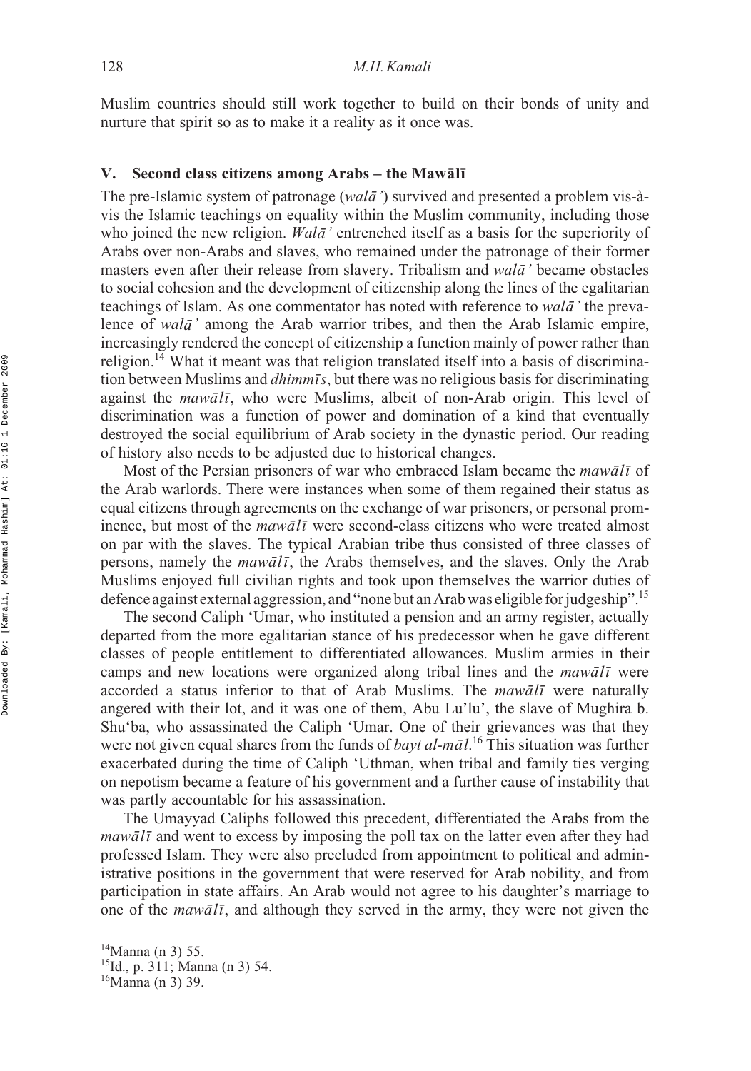Muslim countries should still work together to build on their bonds of unity and nurture that spirit so as to make it a reality as it once was.

### **V.** Second class citizens among Arabs – the Mawālī

The pre-Islamic system of patronage (*walā'*) survived and presented a problem vis-àvis the Islamic teachings on equality within the Muslim community, including those who joined the new religion. *Walā* ' entrenched itself as a basis for the superiority of Arabs over non-Arabs and slaves, who remained under the patronage of their former masters even after their release from slavery. Tribalism and *wala* ' became obstacles to social cohesion and the development of citizenship along the lines of the egalitarian teachings of Islam. As one commentator has noted with reference to *wala* ' the prevalence of *wala*<sup>*'*</sup> among the Arab warrior tribes, and then the Arab Islamic empire, increasingly rendered the concept of citizenship a function mainly of power rather than religion.<sup>14</sup> What it meant was that religion translated itself into a basis of discrimination between Muslims and *dhimmīs*, but there was no religious basis for discriminating against the *mawālī*, who were Muslims, albeit of non-Arab origin. This level of discrimination was a function of power and domination of a kind that eventually destroyed the social equilibrium of Arab society in the dynastic period. Our reading of history also needs to be adjusted due to historical changes.

Most of the Persian prisoners of war who embraced Islam became the  $maw\bar{a}l\bar{\iota}$  of the Arab warlords. There were instances when some of them regained their status as equal citizens through agreements on the exchange of war prisoners, or personal prominence, but most of the *mawali* were second-class citizens who were treated almost on par with the slaves. The typical Arabian tribe thus consisted of three classes of persons, namely the *mawali*, the Arabs themselves, and the slaves. Only the Arab Muslims enjoyed full civilian rights and took upon themselves the warrior duties of defence against external aggression, and "none but an Arab was eligible for judgeship".<sup>15</sup>

The second Caliph 'Umar, who instituted a pension and an army register, actually departed from the more egalitarian stance of his predecessor when he gave different classes of people entitlement to differentiated allowances. Muslim armies in their camps and new locations were organized along tribal lines and the *mawali* were accorded a status inferior to that of Arab Muslims. The *mawali* were naturally angered with their lot, and it was one of them, Abu Lu'lu', the slave of Mughira b. Shu'ba, who assassinated the Caliph 'Umar. One of their grievances was that they were not given equal shares from the funds of *bayt al-māl*.<sup>16</sup> This situation was further exacerbated during the time of Caliph 'Uthman, when tribal and family ties verging on nepotism became a feature of his government and a further cause of instability that was partly accountable for his assassination.

The Umayyad Caliphs followed this precedent, differentiated the Arabs from the *mawālī* and went to excess by imposing the poll tax on the latter even after they had professed Islam. They were also precluded from appointment to political and administrative positions in the government that were reserved for Arab nobility, and from participation in state affairs. An Arab would not agree to his daughter's marriage to one of the *mawali*, and although they served in the army, they were not given the

 $\frac{14}{14}$ Manna (n 3) 55.

<sup>15</sup>Id., p. 311; Manna (n 3) 54.

 $16$ Manna (n 3) 39.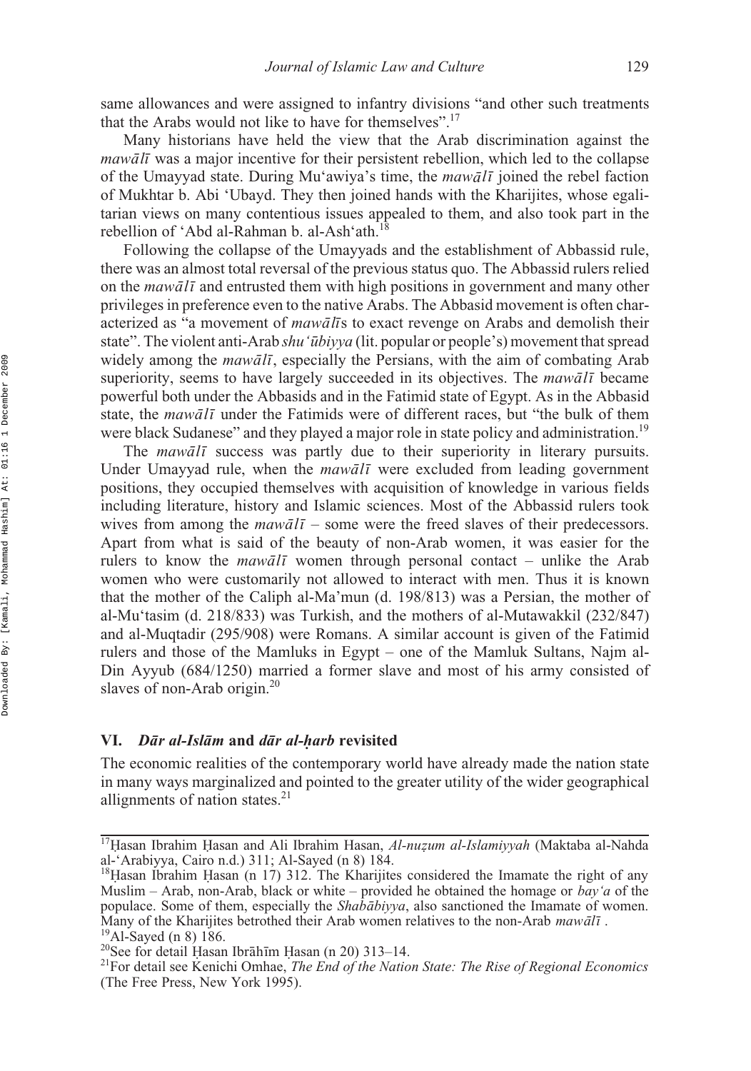same allowances and were assigned to infantry divisions "and other such treatments that the Arabs would not like to have for themselves".17

Many historians have held the view that the Arab discrimination against the *mawālī* was a major incentive for their persistent rebellion, which led to the collapse of the Umayyad state. During Mu'awiya's time, the *mawali* joined the rebel faction of Mukhtar b. Abi 'Ubayd. They then joined hands with the Kharijites, whose egalitarian views on many contentious issues appealed to them, and also took part in the rebellion of 'Abd al-Rahman b. al-Ash'ath.18

Following the collapse of the Umayyads and the establishment of Abbassid rule, there was an almost total reversal of the previous status quo. The Abbassid rulers relied on the *mawali* and entrusted them with high positions in government and many other privileges in preference even to the native Arabs. The Abbasid movement is often characterized as "a movement of *mawalis* to exact revenge on Arabs and demolish their state". The violent anti-Arab *shu* '*ūbiyya* (lit. popular or people's) movement that spread widely among the *mawālī*, especially the Persians, with the aim of combating Arab superiority, seems to have largely succeeded in its objectives. The *mawali* became powerful both under the Abbasids and in the Fatimid state of Egypt. As in the Abbasid state, the *mawālī* under the Fatimids were of different races, but "the bulk of them were black Sudanese" and they played a major role in state policy and administration.<sup>19</sup>

The *mawalī* success was partly due to their superiority in literary pursuits. Under Umayyad rule, when the *mawali* were excluded from leading government positions, they occupied themselves with acquisition of knowledge in various fields including literature, history and Islamic sciences. Most of the Abbassid rulers took wives from among the *mawali* – some were the freed slaves of their predecessors. Apart from what is said of the beauty of non-Arab women, it was easier for the rulers to know the *mawali* women through personal contact – unlike the Arab women who were customarily not allowed to interact with men. Thus it is known that the mother of the Caliph al-Ma'mun (d. 198/813) was a Persian, the mother of al-Mu'tasim (d. 218/833) was Turkish, and the mothers of al-Mutawakkil (232/847) and al-Muqtadir (295/908) were Romans. A similar account is given of the Fatimid rulers and those of the Mamluks in Egypt – one of the Mamluk Sultans, Najm al-Din Ayyub (684/1250) married a former slave and most of his army consisted of slaves of non-Arab origin.<sup>20</sup>

### **VI.** *Dār al-Islām* and *dār al-harb* revisited

The economic realities of the contemporary world have already made the nation state in many ways marginalized and pointed to the greater utility of the wider geographical allignments of nation states. $21$ 

<sup>&</sup>lt;sup>17</sup> Hasan Ibrahim Hasan and Ali Ibrahim Hasan, *Al-nuzum al-Islamiyyah* (Maktaba al-Nahda<br>al-'Arabiyya Cairo n d \ 311: Al-Saved (n 8) 184 al-'Arabiyya, Cairo n.d.) 311; Al-Sayed (n 8) 184.

<sup>&</sup>lt;sup>18</sup> Hasan Ibrahim Hasan (n 17) 312. The Kharijites considered the Imamate the right of any<br>Muslim – Arab, non-Arab, black or white – provided he obtained the homage or *hay'a* of the Muslim – Arab, non-Arab, black or white – provided he obtained the homage or *bay'a* of the populace. Some of them, especially the *Shababiyya*, also sanctioned the Imamate of women. Many of the Kharijites betrothed their Arab women relatives to the non-Arab *mawālī*.<br><sup>19</sup>Al-Sayed (n 8) 186.

Ḥasan Ibrāhīm Ḥ<br>Kenichi Omhae

<sup>&</sup>lt;sup>20</sup>See for detail Hasan Ibrāhīm Hasan (n 20) 313–14.<br><sup>21</sup>For detail see Kenichi Omhae, *The End of the Nation State: The Rise of Regional Economics* (The Free Press, New York 1995).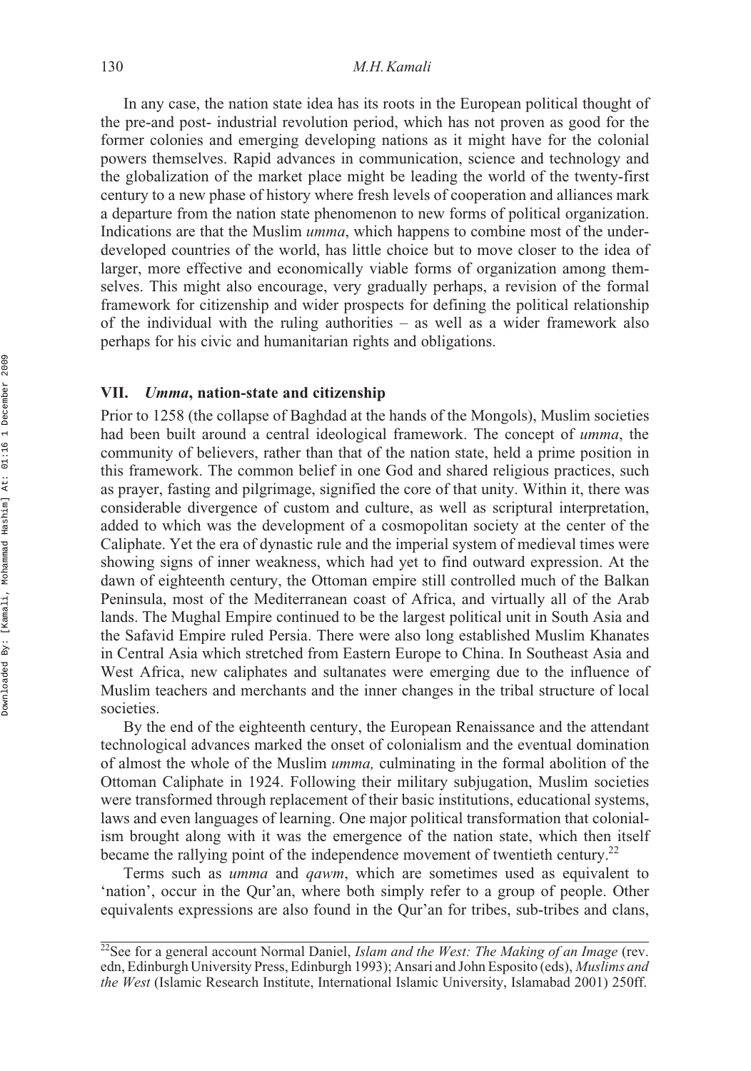In any case, the nation state idea has its roots in the European political thought of the pre-and post- industrial revolution period, which has not proven as good for the former colonies and emerging developing nations as it might have for the colonial powers themselves. Rapid advances in communication, science and technology and the globalization of the market place might be leading the world of the twenty-first century to a new phase of history where fresh levels of cooperation and alliances mark a departure from the nation state phenomenon to new forms of political organization. Indications are that the Muslim *umma*, which happens to combine most of the underdeveloped countries of the world, has little choice but to move closer to the idea of larger, more effective and economically viable forms of organization among themselves. This might also encourage, very gradually perhaps, a revision of the formal framework for citizenship and wider prospects for defining the political relationship of the individual with the ruling authorities – as well as a wider framework also perhaps for his civic and humanitarian rights and obligations.

### **VII.** *Umma***, nation-state and citizenship**

Prior to 1258 (the collapse of Baghdad at the hands of the Mongols), Muslim societies had been built around a central ideological framework. The concept of *umma*, the community of believers, rather than that of the nation state, held a prime position in this framework. The common belief in one God and shared religious practices, such as prayer, fasting and pilgrimage, signified the core of that unity. Within it, there was considerable divergence of custom and culture, as well as scriptural interpretation, added to which was the development of a cosmopolitan society at the center of the Caliphate. Yet the era of dynastic rule and the imperial system of medieval times were showing signs of inner weakness, which had yet to find outward expression. At the dawn of eighteenth century, the Ottoman empire still controlled much of the Balkan Peninsula, most of the Mediterranean coast of Africa, and virtually all of the Arab lands. The Mughal Empire continued to be the largest political unit in South Asia and the Safavid Empire ruled Persia. There were also long established Muslim Khanates in Central Asia which stretched from Eastern Europe to China. In Southeast Asia and West Africa, new caliphates and sultanates were emerging due to the influence of Muslim teachers and merchants and the inner changes in the tribal structure of local societies.

By the end of the eighteenth century, the European Renaissance and the attendant technological advances marked the onset of colonialism and the eventual domination of almost the whole of the Muslim *umma,* culminating in the formal abolition of the Ottoman Caliphate in 1924. Following their military subjugation, Muslim societies were transformed through replacement of their basic institutions, educational systems, laws and even languages of learning. One major political transformation that colonialism brought along with it was the emergence of the nation state, which then itself became the rallying point of the independence movement of twentieth century.<sup>22</sup>

Terms such as *umma* and *qawm*, which are sometimes used as equivalent to 'nation', occur in the Qur'an, where both simply refer to a group of people. Other equivalents expressions are also found in the Qur'an for tribes, sub-tribes and clans,

 $\frac{22}{2}$ See for a general account Normal Daniel, *Islam and the West: The Making of an Image* (rev. edn, Edinburgh University Press, Edinburgh 1993); Ansari and John Esposito (eds), *Muslims and the West* (Islamic Research Institute, International Islamic University, Islamabad 2001) 250ff.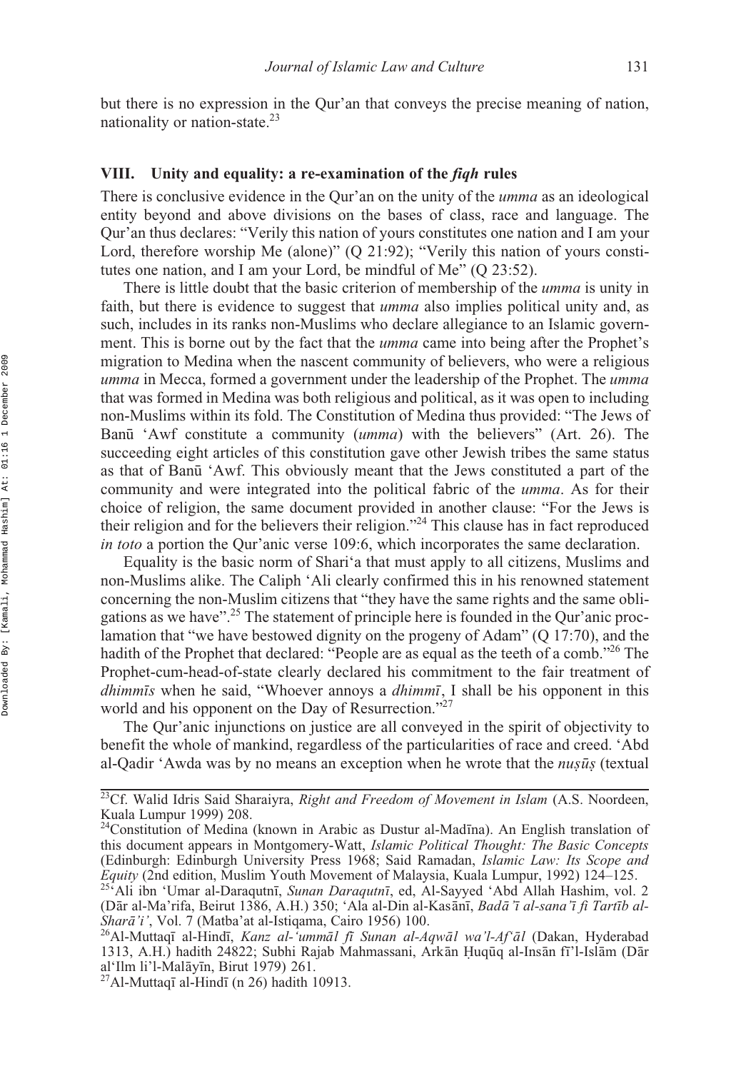but there is no expression in the Qur'an that conveys the precise meaning of nation, nationality or nation-state.23

### **VIII. Unity and equality: a re-examination of the** *fiqh* **rules**

There is conclusive evidence in the Qur'an on the unity of the *umma* as an ideological entity beyond and above divisions on the bases of class, race and language. The Qur'an thus declares: "Verily this nation of yours constitutes one nation and I am your Lord, therefore worship Me (alone)" (Q 21:92); "Verily this nation of yours constitutes one nation, and I am your Lord, be mindful of Me" (Q 23:52).

There is little doubt that the basic criterion of membership of the *umma* is unity in faith, but there is evidence to suggest that *umma* also implies political unity and, as such, includes in its ranks non-Muslims who declare allegiance to an Islamic government. This is borne out by the fact that the *umma* came into being after the Prophet's migration to Medina when the nascent community of believers, who were a religious *umma* in Mecca, formed a government under the leadership of the Prophet. The *umma* that was formed in Medina was both religious and political, as it was open to including non-Muslims within its fold. The Constitution of Medina thus provided: "The Jews of Banū 'Awf constitute a community (*umma*) with the believers" (Art. 26). The succeeding eight articles of this constitution gave other Jewish tribes the same status as that of Banū 'Awf. This obviously meant that the Jews constituted a part of the community and were integrated into the political fabric of the *umma*. As for their choice of religion, the same document provided in another clause: "For the Jews is their religion and for the believers their religion."24 This clause has in fact reproduced *in toto* a portion the Qur'anic verse 109:6, which incorporates the same declaration.

Equality is the basic norm of Shari'a that must apply to all citizens, Muslims and non-Muslims alike. The Caliph 'Ali clearly confirmed this in his renowned statement concerning the non-Muslim citizens that "they have the same rights and the same obligations as we have".25 The statement of principle here is founded in the Qur'anic proclamation that "we have bestowed dignity on the progeny of Adam" (Q 17:70), and the hadith of the Prophet that declared: "People are as equal as the teeth of a comb."<sup>26</sup> The Prophet-cum-head-of-state clearly declared his commitment to the fair treatment of *dhimmis* when he said, "Whoever annoys a *dhimmi*, I shall be his opponent in this world and his opponent on the Day of Resurrection."<sup>27</sup>

The Qur'anic injunctions on justice are all conveyed in the spirit of objectivity to benefit the whole of mankind, regardless of the particularities of race and creed. 'Abd al-Qadir 'Awda was by no means an exception when he wrote that the  $n\mu$ s*ūs* (textual

<sup>&</sup>lt;sup>23</sup>Cf. Walid Idris Said Sharaiyra, *Right and Freedom of Movement in Islam* (A.S. Noordeen, Kuala Lumpur 1999) 208.

<sup>&</sup>lt;sup>24</sup>Constitution of Medina (known in Arabic as Dustur al-Madīna). An English translation of this document appears in Montgomery-Watt, *Islamic Political Thought: The Basic Concepts* (Edinburgh: Edinburgh University Press 1968; Said Ramadan, *Islamic Law: Its Scope and Equity* (2nd edition, Muslim Youth Movement of Malaysia, Kuala Lumpur, 1992) 124–125.<br><sup>25</sup>'Ali ibn 'Umar al-Daraqutnī, *Sunan Daraqutnī*, ed, Al-Sayyed 'Abd Allah Hashim, vol. 2

<sup>(</sup>Dār al-Ma'rifa, Beirut 1386, A.H.) 350; 'Ala al-Din al-Kasānī, *Badā 'ī al-sana'ī fi Tartīb al-Sharā'i'*, Vol. 7 (Matba'at al-Istiqama, Cairo 1956) 100.<br><sup>26</sup>Al-Muttaqī al-Hindī, *Kanz al-'ummāl fī Sunan al-Aqwāl wa'l-Af'āl* (Dakan, Hyderabad Sharā'i', Vol. 7 (Matba'at al-Istiqama, Cairo 1956) 100.

<sup>1313,</sup> A.H.) hadith 24822; Subhi Rajab Mahmassani, Arkān Ḥuqūq al-Insān fī'l-Islām (Dār<br>alʿIlm li'l-Malāvīn Birut 1979) 261 al'Ilm li'l-Malāyīn, Birut 1979) 261.<br><sup>27</sup>Al-Muttaqī al-Hindī (n 26) hadith 10913. al'Ilm li'l-Malāyīn, Birut 1979) 261.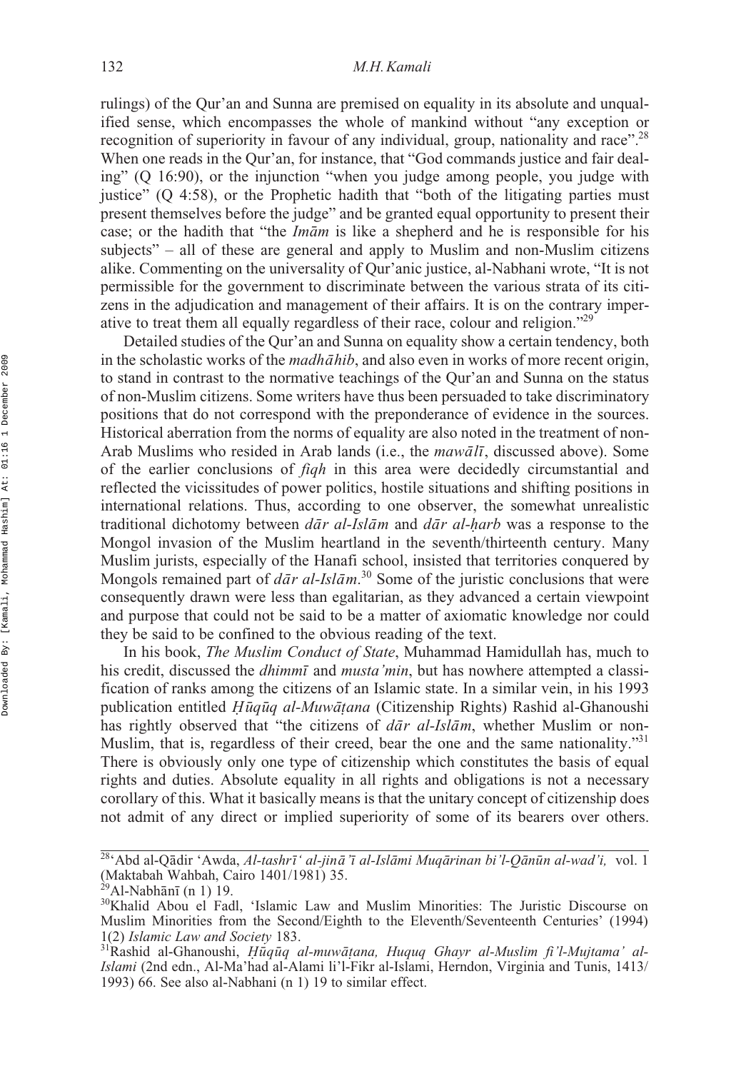rulings) of the Qur'an and Sunna are premised on equality in its absolute and unqualified sense, which encompasses the whole of mankind without "any exception or recognition of superiority in favour of any individual, group, nationality and race".<sup>28</sup> When one reads in the Qur'an, for instance, that "God commands justice and fair dealing" (Q 16:90), or the injunction "when you judge among people, you judge with justice" (Q 4:58), or the Prophetic hadith that "both of the litigating parties must present themselves before the judge" and be granted equal opportunity to present their case; or the hadith that "the *Imam* is like a shepherd and he is responsible for his subjects" – all of these are general and apply to Muslim and non-Muslim citizens alike. Commenting on the universality of Qur'anic justice, al-Nabhani wrote, "It is not permissible for the government to discriminate between the various strata of its citizens in the adjudication and management of their affairs. It is on the contrary imperative to treat them all equally regardless of their race, colour and religion."29

Detailed studies of the Qur'an and Sunna on equality show a certain tendency, both in the scholastic works of the *madhāhib*, and also even in works of more recent origin, to stand in contrast to the normative teachings of the Qur'an and Sunna on the status of non-Muslim citizens. Some writers have thus been persuaded to take discriminatory positions that do not correspond with the preponderance of evidence in the sources. Historical aberration from the norms of equality are also noted in the treatment of non-Arab Muslims who resided in Arab lands (i.e., the *mawali*, discussed above). Some of the earlier conclusions of *fiqh* in this area were decidedly circumstantial and reflected the vicissitudes of power politics, hostile situations and shifting positions in international relations. Thus, according to one observer, the somewhat unrealistic traditional dichotomy between  $d\bar{a}r$  *al-Islam* and  $d\bar{a}r$  *al-harb* was a response to the Mongol invasion of the Muslim heartland in the seventh/thirteenth century. Many Muslim jurists, especially of the Hanafi school, insisted that territories conquered by Mongols remained part of *dār al-Islām*.<sup>30</sup> Some of the juristic conclusions that were consequently drawn were less than egalitarian, as they advanced a certain viewpoint and purpose that could not be said to be a matter of axiomatic knowledge nor could they be said to be confined to the obvious reading of the text.

In his book, *The Muslim Conduct of State*, Muhammad Hamidullah has, much to his credit, discussed the *dhimmī* and *musta'min*, but has nowhere attempted a classification of ranks among the citizens of an Islamic state. In a similar vein, in his 1993 publication entitled *Hūqūq al-Muwātana* (Citizenship Rights) Rashid al-Ghanoushi<br>has rightly observed that "the citizens of *dār al-Islām*, whether Muslim or nonhas rightly observed that "the citizens of *dar al-Islam*, whether Muslim or non-Muslim, that is, regardless of their creed, bear the one and the same nationality."<sup>31</sup> There is obviously only one type of citizenship which constitutes the basis of equal rights and duties. Absolute equality in all rights and obligations is not a necessary corollary of this. What it basically means is that the unitary concept of citizenship does not admit of any direct or implied superiority of some of its bearers over others.

<sup>&</sup>lt;sup>28</sup>'Abd al-Qādir 'Awda, *Al-tashrī' al-jinā 'ī al-Islāmi Muqārinan bi'l-Qānūn al-wad'i, vol. 1* (Maktabah Wahbah, Cairo 1401/1981) 35.

ānī

<sup>&</sup>lt;sup>30</sup>Khalid Abou el Fadl, 'Islamic Law and Muslim Minorities: The Juristic Discourse on Muslim Minorities from the Second/Eighth to the Eleventh/Seventeenth Centuries' (1994) 1(2) Islamic Law and Society 183.

<sup>1(2)</sup> *Islamic Law and Society* 183.<br><sup>31</sup>Rashid al-Ghanoushi, *Ḥūqūq al-muwāṭana, Huquq Ghayr al-Muslim fi'l-Mujtama' al-<br><i>Islami* (2nd edn. Al-Ma'had al-Alami li'l-Fikr al-Islami Herndon Virginia and Tunis. 1413/ *Islami* (2nd edn., Al-Ma'had al-Alami li'l-Fikr al-Islami, Herndon, Virginia and Tunis, 1413/ 1993) 66. See also al-Nabhani (n 1) 19 to similar effect.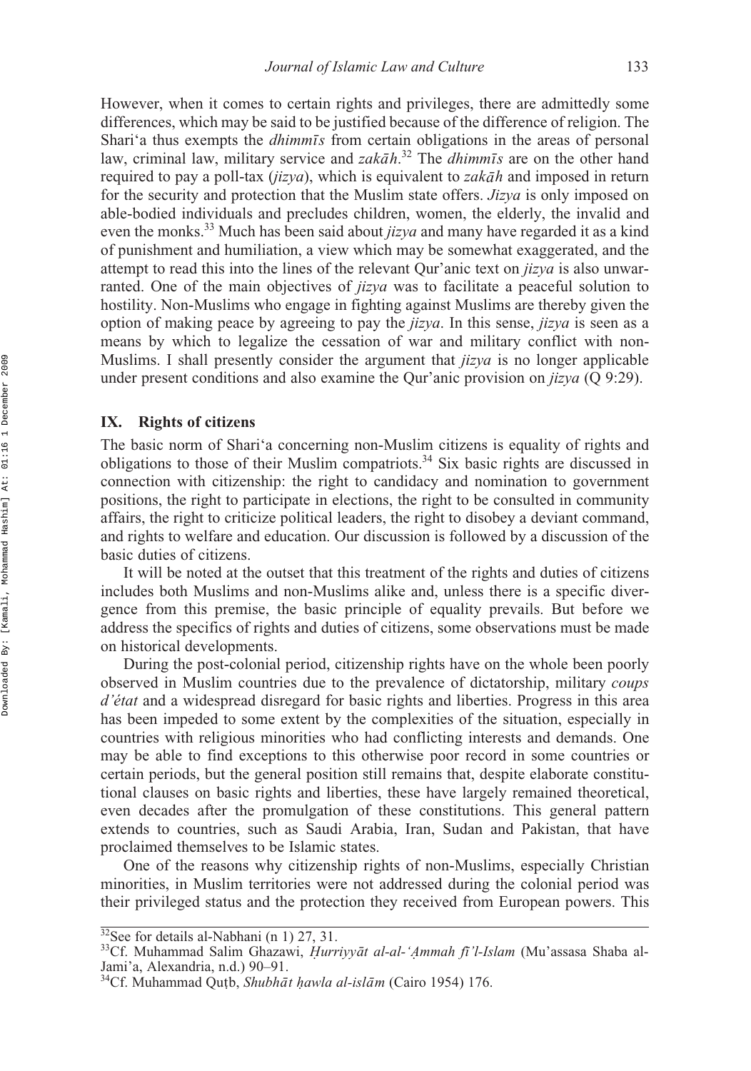However, when it comes to certain rights and privileges, there are admittedly some differences, which may be said to be justified because of the difference of religion. The Shari'a thus exempts the *dhimmis* from certain obligations in the areas of personal law, criminal law, military service and *zakāh*.<sup>32</sup> The *dhimmīs* are on the other hand required to pay a poll-tax (*jizya*), which is equivalent to *zakāh* and imposed in return for the security and protection that the Muslim state offers. *Jizya* is only imposed on able-bodied individuals and precludes children, women, the elderly, the invalid and even the monks.33 Much has been said about *jizya* and many have regarded it as a kind of punishment and humiliation, a view which may be somewhat exaggerated, and the attempt to read this into the lines of the relevant Qur'anic text on *jizya* is also unwarranted. One of the main objectives of *jizya* was to facilitate a peaceful solution to hostility. Non-Muslims who engage in fighting against Muslims are thereby given the option of making peace by agreeing to pay the *jizya*. In this sense, *jizya* is seen as a means by which to legalize the cessation of war and military conflict with non-Muslims. I shall presently consider the argument that *jizya* is no longer applicable under present conditions and also examine the Qur'anic provision on *jizya* (Q 9:29).

### **IX. Rights of citizens**

The basic norm of Shari'a concerning non-Muslim citizens is equality of rights and obligations to those of their Muslim compatriots.34 Six basic rights are discussed in connection with citizenship: the right to candidacy and nomination to government positions, the right to participate in elections, the right to be consulted in community affairs, the right to criticize political leaders, the right to disobey a deviant command, and rights to welfare and education. Our discussion is followed by a discussion of the basic duties of citizens.

It will be noted at the outset that this treatment of the rights and duties of citizens includes both Muslims and non-Muslims alike and, unless there is a specific divergence from this premise, the basic principle of equality prevails. But before we address the specifics of rights and duties of citizens, some observations must be made on historical developments.

During the post-colonial period, citizenship rights have on the whole been poorly observed in Muslim countries due to the prevalence of dictatorship, military *coups d'état* and a widespread disregard for basic rights and liberties. Progress in this area has been impeded to some extent by the complexities of the situation, especially in countries with religious minorities who had conflicting interests and demands. One may be able to find exceptions to this otherwise poor record in some countries or certain periods, but the general position still remains that, despite elaborate constitutional clauses on basic rights and liberties, these have largely remained theoretical, even decades after the promulgation of these constitutions. This general pattern extends to countries, such as Saudi Arabia, Iran, Sudan and Pakistan, that have proclaimed themselves to be Islamic states.

One of the reasons why citizenship rights of non-Muslims, especially Christian minorities, in Muslim territories were not addressed during the colonial period was their privileged status and the protection they received from European powers. This

 $32$ See for details al-Nabhani (n 1) 27, 31.

<sup>&</sup>lt;sup>33</sup>Cf. Muhammad Salim Ghazawi, *Hurriyyāt al-al-' Ammah fī 'l-Islam* (Mu'assasa Shaba al-<br>Iami'a Alexandria n d ) 90–91 Jami'a, Alexandria, n.d.) 90–91.

<sup>&</sup>lt;sup>34</sup>Cf. Muhammad Qutb, *Shubhāt hawla al-islām* (Cairo 1954) 176.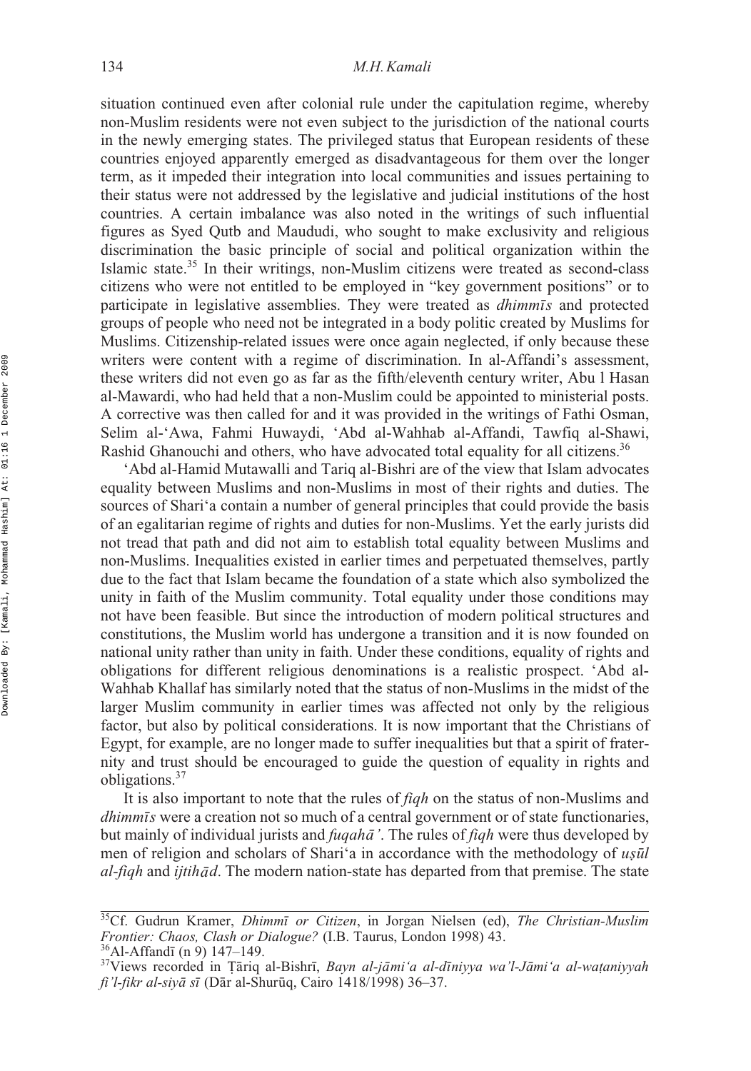situation continued even after colonial rule under the capitulation regime, whereby non-Muslim residents were not even subject to the jurisdiction of the national courts in the newly emerging states. The privileged status that European residents of these countries enjoyed apparently emerged as disadvantageous for them over the longer term, as it impeded their integration into local communities and issues pertaining to their status were not addressed by the legislative and judicial institutions of the host countries. A certain imbalance was also noted in the writings of such influential figures as Syed Qutb and Maududi, who sought to make exclusivity and religious discrimination the basic principle of social and political organization within the Islamic state. $35$  In their writings, non-Muslim citizens were treated as second-class citizens who were not entitled to be employed in "key government positions" or to participate in legislative assemblies. They were treated as *dhimmis* and protected groups of people who need not be integrated in a body politic created by Muslims for Muslims. Citizenship-related issues were once again neglected, if only because these writers were content with a regime of discrimination. In al-Affandi's assessment, these writers did not even go as far as the fifth/eleventh century writer, Abu l Hasan al-Mawardi, who had held that a non-Muslim could be appointed to ministerial posts. A corrective was then called for and it was provided in the writings of Fathi Osman, Selim al-'Awa, Fahmi Huwaydi, 'Abd al-Wahhab al-Affandi, Tawfiq al-Shawi, Rashid Ghanouchi and others, who have advocated total equality for all citizens.<sup>36</sup>

'Abd al-Hamid Mutawalli and Tariq al-Bishri are of the view that Islam advocates equality between Muslims and non-Muslims in most of their rights and duties. The sources of Shari'a contain a number of general principles that could provide the basis of an egalitarian regime of rights and duties for non-Muslims. Yet the early jurists did not tread that path and did not aim to establish total equality between Muslims and non-Muslims. Inequalities existed in earlier times and perpetuated themselves, partly due to the fact that Islam became the foundation of a state which also symbolized the unity in faith of the Muslim community. Total equality under those conditions may not have been feasible. But since the introduction of modern political structures and constitutions, the Muslim world has undergone a transition and it is now founded on national unity rather than unity in faith. Under these conditions, equality of rights and obligations for different religious denominations is a realistic prospect. 'Abd al-Wahhab Khallaf has similarly noted that the status of non-Muslims in the midst of the larger Muslim community in earlier times was affected not only by the religious factor, but also by political considerations. It is now important that the Christians of Egypt, for example, are no longer made to suffer inequalities but that a spirit of fraternity and trust should be encouraged to guide the question of equality in rights and obligations.37

It is also important to note that the rules of *fiqh* on the status of non-Muslims and *dhimmīs* were a creation not so much of a central government or of state functionaries, but mainly of individual jurists and *fuqahā'*. The rules of *fiqh* were thus developed by men of religion and scholars of Shari'a in accordance with the methodology of usul *al-fiqh* and *ijtihād*. The modern nation-state has departed from that premise. The state

<sup>&</sup>lt;sup>35</sup>Cf. Gudrun Kramer, *Dhimmī or Citizen*, in Jorgan Nielsen (ed), *The Christian-Muslim Frontier: Chaos, Clash or Dialogue?* (I.B. Taurus, London 1998) 43.<br><sup>36</sup>Al-Affandī (n 9) 147–149.<br><sup>37</sup>Views recorded in Țāriq al-Bishrī, *Bayn al-jāmi'a al-dīniyya wa'l-Jāmi'a al-waṭaniyyah* 

 $36$ Al-Affandī (n 9) 147–149.

*fi'l-fikr al-siyā sī* (Dār al-Shurūq, Cairo 1418/1998) 36–37.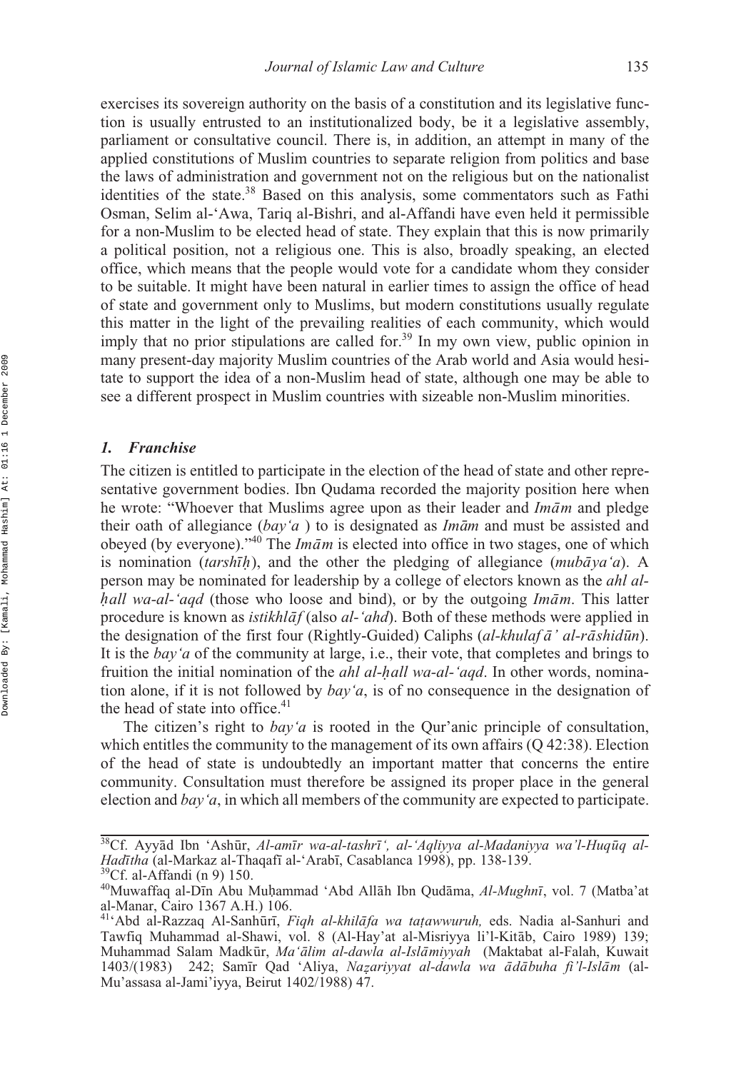exercises its sovereign authority on the basis of a constitution and its legislative function is usually entrusted to an institutionalized body, be it a legislative assembly, parliament or consultative council. There is, in addition, an attempt in many of the applied constitutions of Muslim countries to separate religion from politics and base the laws of administration and government not on the religious but on the nationalist identities of the state.38 Based on this analysis, some commentators such as Fathi Osman, Selim al-'Awa, Tariq al-Bishri, and al-Affandi have even held it permissible for a non-Muslim to be elected head of state. They explain that this is now primarily a political position, not a religious one. This is also, broadly speaking, an elected office, which means that the people would vote for a candidate whom they consider to be suitable. It might have been natural in earlier times to assign the office of head of state and government only to Muslims, but modern constitutions usually regulate this matter in the light of the prevailing realities of each community, which would imply that no prior stipulations are called for.<sup>39</sup> In my own view, public opinion in many present-day majority Muslim countries of the Arab world and Asia would hesitate to support the idea of a non-Muslim head of state, although one may be able to see a different prospect in Muslim countries with sizeable non-Muslim minorities.

### *1. Franchise*

The citizen is entitled to participate in the election of the head of state and other representative government bodies. Ibn Qudama recorded the majority position here when he wrote: "Whoever that Muslims agree upon as their leader and *Imam* and pledge their oath of allegiance (*bay'a*) to is designated as *Imam* and must be assisted and obeyed (by everyone)."<sup>40</sup> The *Imām* is elected into office in two stages, one of which is nomination (*tarshih*), and the other the pledging of allegiance (*mubāya'a*). A person may be nominated for leadership by a college of electors known as the abl al. person may be nominated for leadership by a college of electors known as the *ahl alhall wa-al-'aqd* (those who loose and bind), or by the outgoing *Imam*. This latter *procedure* is known as *istibhlat* (also al, 'abd). Both of these methods were applied in procedure is known as *istikhlāf* (also *al-'ahd*). Both of these methods were applied in the designation of the first four (Rightly-Guided) Caliphs (*al-khulaf ā' al-rāshidūn*). It is the *bay'a* of the community at large, i.e., their vote, that completes and brings to fruition the initial nomination of the *ahl al-hall wa-al-'aqd*. In other words, nominafunction alone, if it is not followed by *bay'a*, is of no consequence in the designation of the head of state into office. $41$ 

The citizen's right to *bay'a* is rooted in the Qur'anic principle of consultation, which entitles the community to the management of its own affairs  $(Q 42:38)$ . Election of the head of state is undoubtedly an important matter that concerns the entire community. Consultation must therefore be assigned its proper place in the general election and *bay'a*, in which all members of the community are expected to participate.

<sup>&</sup>lt;sup>38</sup>Cf. Ayyād Ibn 'Ashūr, *Al-amīr wa-al-tashrī', al-'Aqliyya al-Madaniyya wa'l-Huqūq al-Hadītha* (al-Markaz al-Thaqafī al-'Arabī, Casablanca 1998), pp. 138-139.<br><sup>39</sup>Cf. al-Affandi (n 9) 150.

<sup>&</sup>lt;sup>40</sup>Muwaffaq al-Dīn Abu Muḥammad 'Abd Allāh Ibn Qudāma, *Al-Mughnī*, vol. 7 (Matba'at<br>al-Manar Cairo 1367 A H ) 106 al-Manar, Cairo 1367 A.H.) 106.

<sup>&</sup>lt;sup>41</sup>'Abd al-Razzaq Al-Sanhūrī, Fiqh al-khilāfa wa tațawwuruh, eds. Nadia al-Sanhuri and Tawfiq Muhammad al-Shawi, vol. 8 (Al-Hay'at al-Misriyya li'l-Kitāb, Cairo 1989) 139; Muhammad Salam Madkūr, *Ma'ālim al-dawla al-Islāmiyyah* (Maktabat al-Falah, Kuwait 1403/(1983) 242; Samīr Qad 'Aliya, *Nazariyyat al-dawla wa ādābuha fi'l-Islām* (al-<br>Mu'assasa al-Jami'iyya Beirut 1402/1988) 47 Mu'assasa al-Jami'iyya, Beirut 1402/1988) 47.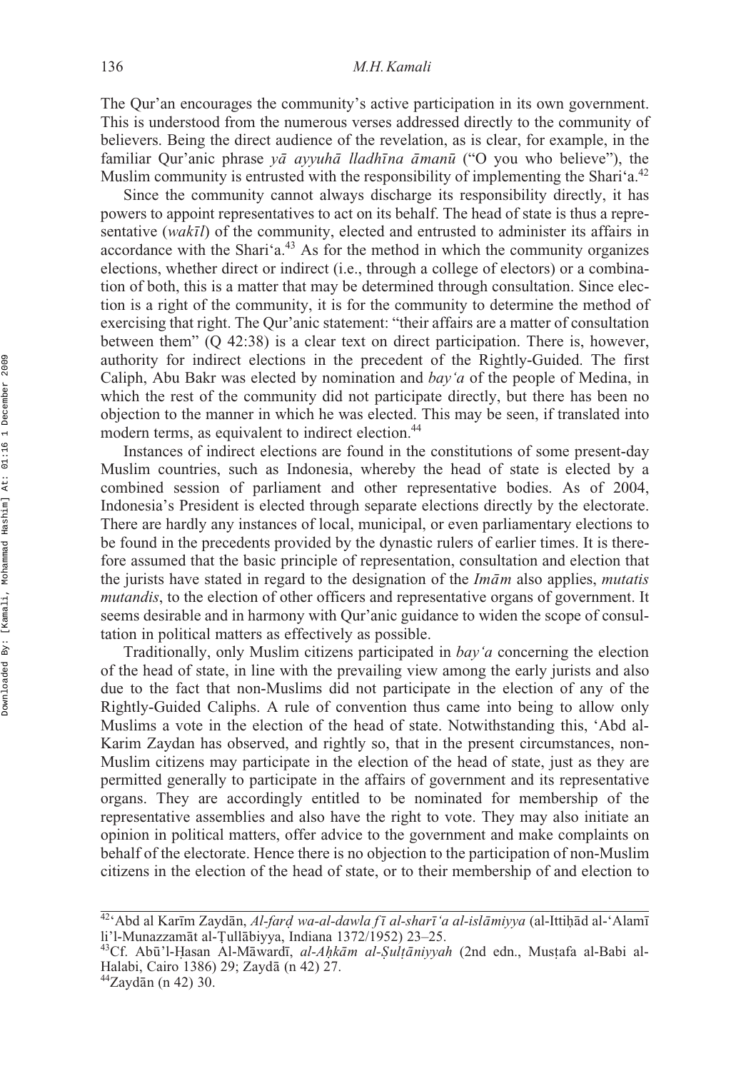The Qur'an encourages the community's active participation in its own government. This is understood from the numerous verses addressed directly to the community of believers. Being the direct audience of the revelation, as is clear, for example, in the familiar Qur'anic phrase *yā ayyuhā lladhīna āmanū* ("O you who believe"), the Muslim community is entrusted with the responsibility of implementing the Shari'a.<sup>42</sup>

Since the community cannot always discharge its responsibility directly, it has powers to appoint representatives to act on its behalf. The head of state is thus a representative (wakīl) of the community, elected and entrusted to administer its affairs in accordance with the Shari'a. $43$  As for the method in which the community organizes elections, whether direct or indirect (i.e., through a college of electors) or a combination of both, this is a matter that may be determined through consultation. Since election is a right of the community, it is for the community to determine the method of exercising that right. The Qur'anic statement: "their affairs are a matter of consultation between them" (Q 42:38) is a clear text on direct participation. There is, however, authority for indirect elections in the precedent of the Rightly-Guided. The first Caliph, Abu Bakr was elected by nomination and *bay'a* of the people of Medina, in which the rest of the community did not participate directly, but there has been no objection to the manner in which he was elected. This may be seen, if translated into modern terms, as equivalent to indirect election.<sup>44</sup>

Instances of indirect elections are found in the constitutions of some present-day Muslim countries, such as Indonesia, whereby the head of state is elected by a combined session of parliament and other representative bodies. As of 2004, Indonesia's President is elected through separate elections directly by the electorate. There are hardly any instances of local, municipal, or even parliamentary elections to be found in the precedents provided by the dynastic rulers of earlier times. It is therefore assumed that the basic principle of representation, consultation and election that the jurists have stated in regard to the designation of the *Imam* also applies, *mutatis mutandis*, to the election of other officers and representative organs of government. It seems desirable and in harmony with Qur'anic guidance to widen the scope of consultation in political matters as effectively as possible.

Traditionally, only Muslim citizens participated in *bay'a* concerning the election of the head of state, in line with the prevailing view among the early jurists and also due to the fact that non-Muslims did not participate in the election of any of the Rightly-Guided Caliphs. A rule of convention thus came into being to allow only Muslims a vote in the election of the head of state. Notwithstanding this, 'Abd al-Karim Zaydan has observed, and rightly so, that in the present circumstances, non-Muslim citizens may participate in the election of the head of state, just as they are permitted generally to participate in the affairs of government and its representative organs. They are accordingly entitled to be nominated for membership of the representative assemblies and also have the right to vote. They may also initiate an opinion in political matters, offer advice to the government and make complaints on behalf of the electorate. Hence there is no objection to the participation of non-Muslim citizens in the election of the head of state, or to their membership of and election to

<sup>&</sup>lt;sup>42</sup>'Abd al Karīm Zaydān, *Al-fard wa-al-dawla fī al-sharīʿa al-islāmiyya* (al-Ittiḥād al-'Alamī<br>li'l-Munazzamāt al-Tullābiyya Indiana 1372/1952) 23–25 li'l-Munazzamāt al-Țullābiyya, Indiana 1372/1952) 23–25.<br><sup>43</sup>Cf - Abū'l-Hasan -Al-Māwardī *-al-Ahkām -al-Sultāniyya*.

<sup>&</sup>lt;sup>43</sup>Cf. Abū'l-Ḥasan Al-Māwardī, *al-Aḥkām al-Ṣulṭāniyyah* (2nd edn., Musṭafa al-Babi al-<br>Halabi Cairo 1386) 29: Zavdā (n 42) 27 Halabi, Cairo 1386) 29; Zaydā (n 42) 27.<br>  $^{44}$ Zaydān (n 42) 30.

 $44$ Zaydān (n 42) 30.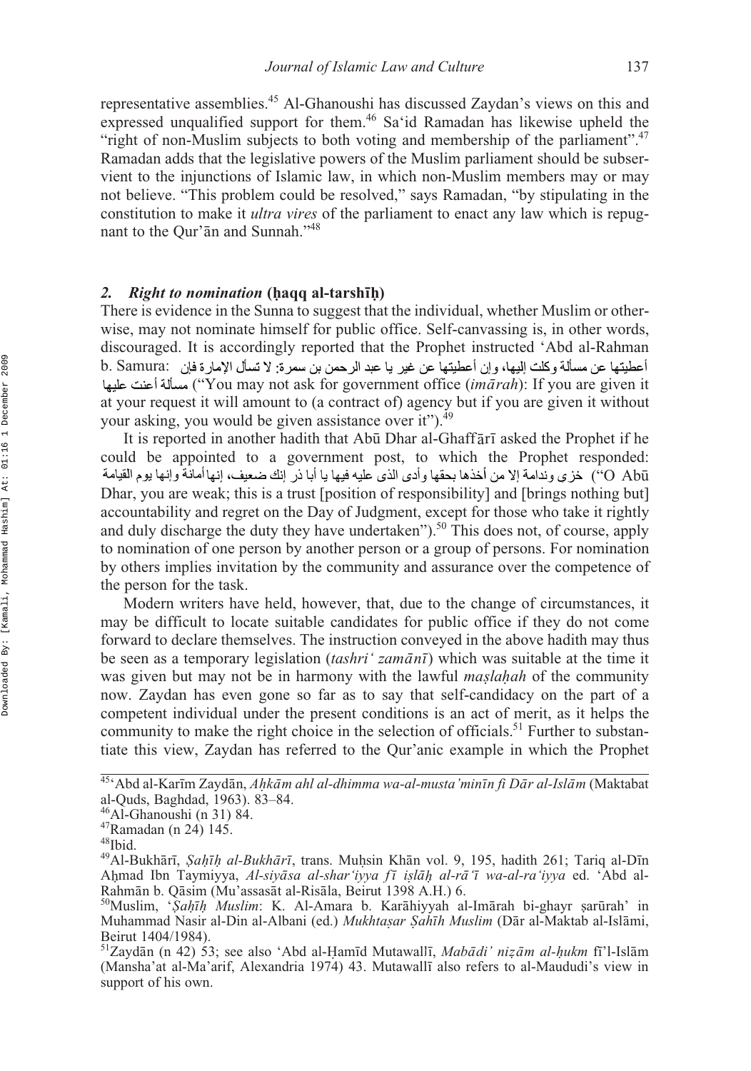representative assemblies.45 Al-Ghanoushi has discussed Zaydan's views on this and expressed unqualified support for them.<sup>46</sup> Sa'id Ramadan has likewise upheld the "right of non-Muslim subjects to both voting and membership of the parliament".<sup>47</sup> Ramadan adds that the legislative powers of the Muslim parliament should be subservient to the injunctions of Islamic law, in which non-Muslim members may or may not believe. "This problem could be resolved," says Ramadan, "by stipulating in the constitution to make it *ultra vires* of the parliament to enact any law which is repugnant to the Qur'an and Sunnah."<sup>48</sup>

# *2. Right to nomination* **(haqq al-tarshīh)**<br>There is evidence in the Sunna to suggest tha

There is evidence in the Sunna to suggest that the individual, whether Muslim or otherwise, may not nominate himself for public office. Self-canvassing is, in other words, discouraged. It is accordingly reported that the Prophet instructed 'Abd al-Rahman أعطيتها عن مسألة وكلت البها، وإن أعطيتها عن غير با عدد الرحمن بن سمر ة: لا تسأل الإمار ة فان b. Samura: ("You may not ask for government office (*imārah*): If you are given it at your request it will amount to (a contract of) agency but if you are given it without your asking, you would be given assistance over it").<sup>49</sup>

It is reported in another hadith that Abū Dhar al-Ghaffārī asked the Prophet if he could be appointed to a government post, to which the Prophet responded: ("O Abū Dhar, you are weak; this is a trust [position of responsibility] and [brings nothing but] accountability and regret on the Day of Judgment, except for those who take it rightly and duly discharge the duty they have undertaken").<sup>50</sup> This does not, of course, apply to nomination of one person by another person or a group of persons. For nomination by others implies invitation by the community and assurance over the competence of the person for the task.

Modern writers have held, however, that, due to the change of circumstances, it may be difficult to locate suitable candidates for public office if they do not come forward to declare themselves. The instruction conveyed in the above hadith may thus be seen as a temporary legislation (*tashri' zamānī*) which was suitable at the time it was given but may not be in harmony with the lawful *maslahah* of the community<br>now Zaydan has even gone so far as to say that self-candidacy on the part of a now. Zaydan has even gone so far as to say that self-candidacy on the part of a competent individual under the present conditions is an act of merit, as it helps the community to make the right choice in the selection of officials.<sup>51</sup> Further to substantiate this view, Zaydan has referred to the Qur'anic example in which the Prophet

<sup>&</sup>lt;sup>45</sup>'Abd al-Karīm Zaydān, *Aḥkām ahl al-dhimma wa-al-musta'minīn fi Dār al-Islām* (Maktabat<br>al-Quds. Baghdad. 1963). 83–84 al-Quds, Baghdad, 1963). 83–84.

 $46$ Al-Ghanoushi (n 31) 84.

<sup>47</sup>Ramadan (n 24) 145.

<sup>48</sup>Ibid.

<sup>&</sup>lt;sup>49</sup>Al-Bukhārī, *Şaḥīh al-Bukhārī*, trans. Muḥsin Khān vol. 9, 195, hadith 261; Tariq al-Dīn<br>Ahmad Ibn Taymiyya *Al-siyāsa al-shar'iyya fī islāh al-rā'ī wa-al-ra'iyya* ed 'Abd al-Ahmad Ibn Taymiyya, Al-siyāsa al-shar iyya fī işlāh al-rā ī wa-al-ra iyya ed. 'Abd al-<br>Rahmān b Oāsim (Mu'assasāt al-Risāla Beirut 1398 A H) 6 Rahmān b. Qāsim (Mu'assasāt al-Risāla, Beirut 1398 A.H.) 6.

<sup>&</sup>lt;sup>50</sup>Muslim, *' Ṣaḥīḥ `Muslim*: K. Al-Amara b. Karāhiyyah al-Imārah bi-ghayr ṣarūrah' in<br>Muhammad Nasir al-Din al-Albani (ed.) *Mukhtasar Saḥīh Muslim* (Dār al-Maktab al-Islāmi *Muhammad Nasir al-Din al-Albani (ed.) <i>Mukhtasar Şahīh Muslim* (Dār al-Maktab al-Islāmi, <br>Beirut 1404/1984) Beirut 1404/1984).

<sup>&</sup>lt;sup>51</sup>Zaydān (n 42) 53; see also 'Abd al-Hamīd Mutawallī, *Mabādi' nizām al-hukm* fī'l-Islām<br>(Mansha'at al-Ma'arif Alexandria 1974) 43 Mutawallī also refers to al-Maududi's view in (Mansha'at al-Ma'arif, Alexandria 1974) 43. Mutawalli also refers to al-Maududi's view in support of his own.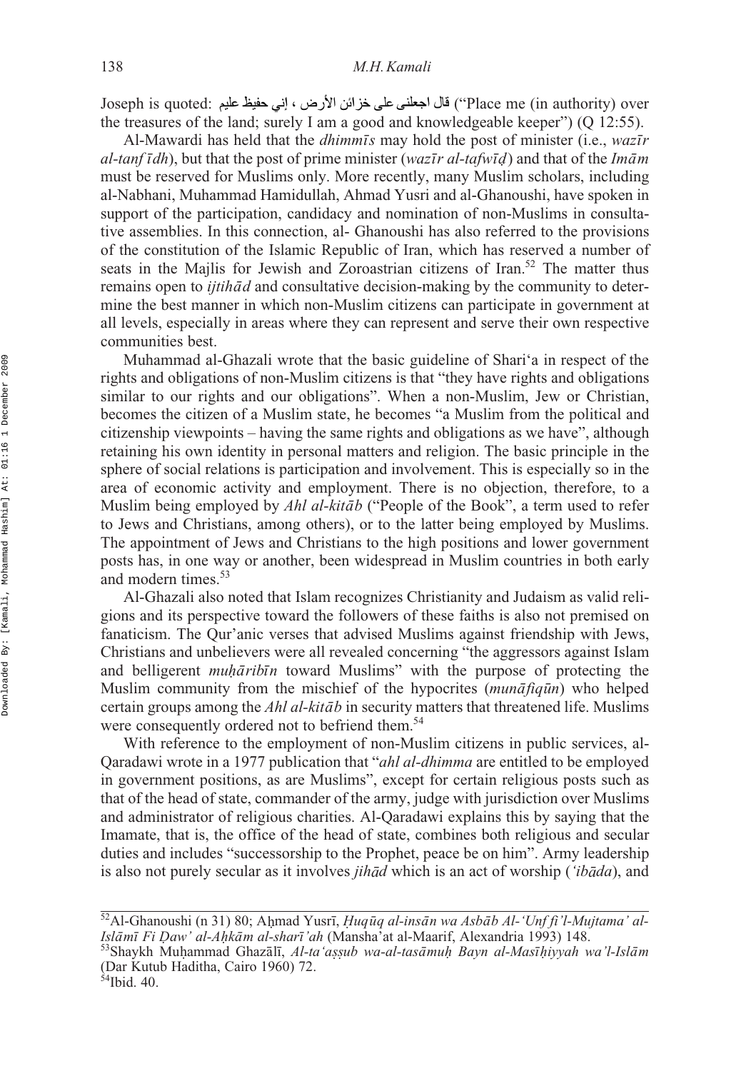Joseph is quoted: ("Place me (in authority) over the treasures of the land; surely I am a good and knowledgeable keeper")  $(O 12:55)$ .

Al-Mawardi has held that the *dhimmis* may hold the post of minister (i.e., *wazir dl-tanf idh*), but that the post of prime minister (*wazīr al-tafwīd*) and that of the *Imām*<br>must be reserved for Muslims only. More recently, many Muslim scholars, including must be reserved for Muslims only. More recently, many Muslim scholars, including al-Nabhani, Muhammad Hamidullah, Ahmad Yusri and al-Ghanoushi, have spoken in support of the participation, candidacy and nomination of non-Muslims in consultative assemblies. In this connection, al- Ghanoushi has also referred to the provisions of the constitution of the Islamic Republic of Iran, which has reserved a number of seats in the Majlis for Jewish and Zoroastrian citizens of Iran.<sup>52</sup> The matter thus remains open to *ijtihad* and consultative decision-making by the community to determine the best manner in which non-Muslim citizens can participate in government at all levels, especially in areas where they can represent and serve their own respective communities best.

Muhammad al-Ghazali wrote that the basic guideline of Shari'a in respect of the rights and obligations of non-Muslim citizens is that "they have rights and obligations similar to our rights and our obligations". When a non-Muslim, Jew or Christian, becomes the citizen of a Muslim state, he becomes "a Muslim from the political and citizenship viewpoints – having the same rights and obligations as we have", although retaining his own identity in personal matters and religion. The basic principle in the sphere of social relations is participation and involvement. This is especially so in the area of economic activity and employment. There is no objection, therefore, to a Muslim being employed by *Ahl al-kitāb* ("People of the Book", a term used to refer to Jews and Christians, among others), or to the latter being employed by Muslims. The appointment of Jews and Christians to the high positions and lower government posts has, in one way or another, been widespread in Muslim countries in both early and modern times.<sup>53</sup>

Al-Ghazali also noted that Islam recognizes Christianity and Judaism as valid religions and its perspective toward the followers of these faiths is also not premised on fanaticism. The Qur'anic verses that advised Muslims against friendship with Jews, Christians and unbelievers were all revealed concerning "the aggressors against Islam and belligerent *muhāribīn* toward Muslims" with the purpose of protecting the *Muslim community from the mischief of the hypocrites (<i>munafiqual*) who helped certain groups among the *Ahl al-kitāb* in security matters that threatened life. Muslims were consequently ordered not to befriend them.<sup>54</sup>

With reference to the employment of non-Muslim citizens in public services, al-Qaradawi wrote in a 1977 publication that "*ahl al-dhimma* are entitled to be employed in government positions, as are Muslims", except for certain religious posts such as that of the head of state, commander of the army, judge with jurisdiction over Muslims and administrator of religious charities. Al-Qaradawi explains this by saying that the Imamate, that is, the office of the head of state, combines both religious and secular duties and includes "successorship to the Prophet, peace be on him". Army leadership is also not purely secular as it involves *jihad* which is an act of worship (*'ibada*), and

<sup>&</sup>lt;sup>52</sup>Al-Ghanoushi (n 31) 80; Ahmad Yusrī, *Ḥuqūq al-insān wa Asbāb Al-ʻUnf fi'l-Mujtama' al-*<br>Islāmī Fi Daw' al-Ahkām al-sharī'ah (Mansha'at al-Maarif) Alexandria 1993) 148  $\bar{a}$ mī Fi Daw' al-Aḥkām al-sharī<br>Shavkh Muhammad Ghazālī - 41

Islāmī Fi Daw' al-Aḥkām al-sharī'ah (Mansha'at al-Maarif, Alexandria 1993) 148.<br><sup>53</sup>Shaykh Muḥammad Ghazālī, *Al-ta'aṣṣub wa-al-tasāmuḥ Bayn al-Masīḥiyyah wa'l-Islām*<br>(Dar Kutub Haditha Cairo 1960) 72 (Dar Kutub Haditha, Cairo 1960) 72.

 $54$ Ibid. 40.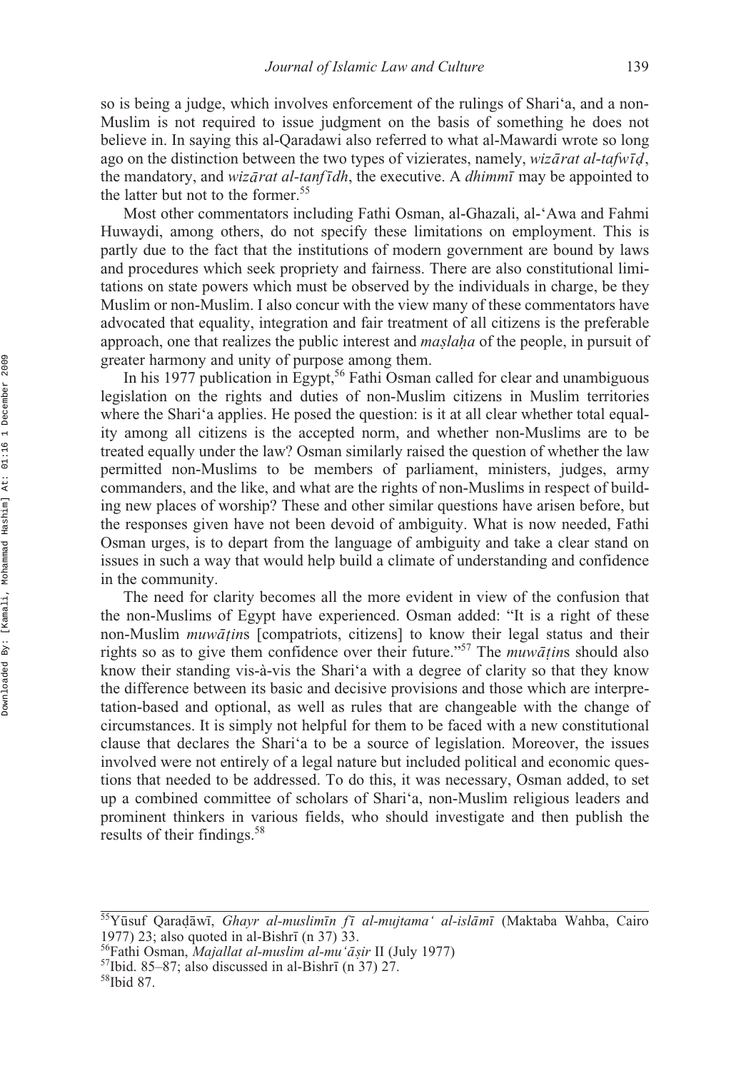so is being a judge, which involves enforcement of the rulings of Shari'a, and a non-Muslim is not required to issue judgment on the basis of something he does not believe in. In saying this al-Qaradawi also referred to what al-Mawardi wrote so long ago on the distinction between the two types of vizierates, namely, *wizārat al-tafwīd*, the mandatory, and *wizārat al-tanfīdh*, the executive. A *dhimmī* may be appointed to the latter but not to the former.<sup>55</sup>

Most other commentators including Fathi Osman, al-Ghazali, al-'Awa and Fahmi Huwaydi, among others, do not specify these limitations on employment. This is partly due to the fact that the institutions of modern government are bound by laws and procedures which seek propriety and fairness. There are also constitutional limitations on state powers which must be observed by the individuals in charge, be they Muslim or non-Muslim. I also concur with the view many of these commentators have advocated that equality, integration and fair treatment of all citizens is the preferable approach, one that realizes the public interest and *maslaha* of the people, in pursuit of prepare harmony and unity of purpose among them greater harmony and unity of purpose among them.

In his 1977 publication in Egypt,<sup>56</sup> Fathi Osman called for clear and unambiguous legislation on the rights and duties of non-Muslim citizens in Muslim territories where the Shari's applies. He posed the question: is it at all clear whether total equality among all citizens is the accepted norm, and whether non-Muslims are to be treated equally under the law? Osman similarly raised the question of whether the law permitted non-Muslims to be members of parliament, ministers, judges, army commanders, and the like, and what are the rights of non-Muslims in respect of building new places of worship? These and other similar questions have arisen before, but the responses given have not been devoid of ambiguity. What is now needed, Fathi Osman urges, is to depart from the language of ambiguity and take a clear stand on issues in such a way that would help build a climate of understanding and confidence in the community.

The need for clarity becomes all the more evident in view of the confusion that the non-Muslims of Egypt have experienced. Osman added: "It is a right of these non-Muslim *muwātin*s [compatriots, citizens] to know their legal status and their rights so as to give them confidence over their future."<sup>57</sup> The  $mu\bar{a}$  ins should also know their standing vis-à-vis the Shari'a with a degree of clarity so that they know the difference between its basic and decisive provisions and those which are interpretation-based and optional, as well as rules that are changeable with the change of circumstances. It is simply not helpful for them to be faced with a new constitutional clause that declares the Shari'a to be a source of legislation. Moreover, the issues involved were not entirely of a legal nature but included political and economic questions that needed to be addressed. To do this, it was necessary, Osman added, to set up a combined committee of scholars of Shari'a, non-Muslim religious leaders and prominent thinkers in various fields, who should investigate and then publish the results of their findings.<sup>58</sup>

<sup>&</sup>lt;sup>55</sup>Yūsuf Qaraḍāwī, Ghayr al-muslimīn fī al-mujtama' al-islāmī (Maktaba Wahba, Cairo 1977) 23; also quoted in al-Bishrī (n 37) 33.<br><sup>56</sup>Fathi Osman, *Majallat al-muslim al-mu'āṣir* II (July 1977) <sup>57</sup>Ibid. 85–87; also discussed in al-Bishrī (n 37) 27. <sup>58</sup>Ibid 87. quoted in al-Bishrī

*a¯s*

 $\frac{1}{1}$  (n)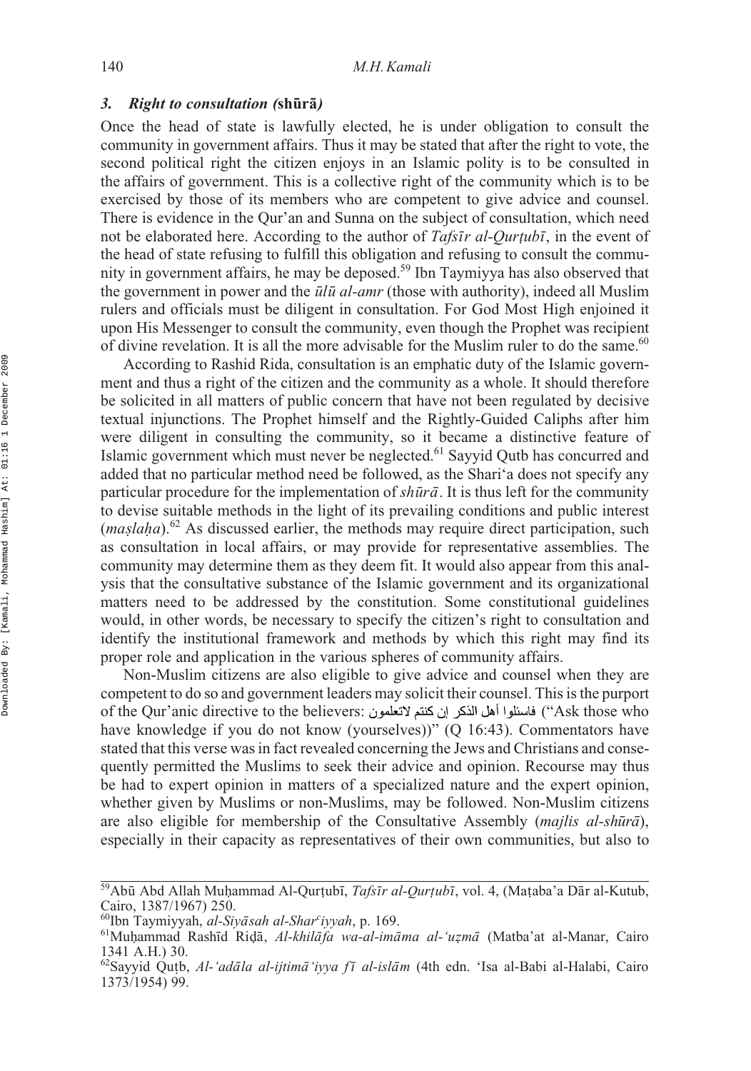### 3. Right to consultation (shūrā)

Once the head of state is lawfully elected, he is under obligation to consult the community in government affairs. Thus it may be stated that after the right to vote, the second political right the citizen enjoys in an Islamic polity is to be consulted in the affairs of government. This is a collective right of the community which is to be exercised by those of its members who are competent to give advice and counsel. There is evidence in the Qur'an and Sunna on the subject of consultation, which need not be elaborated here. According to the author of *Tafsir al-Qurtubi*, in the event of the head of state refusing to fulfill this obligation and refusing to consult the commuthe head of state refusing to fulfill this obligation and refusing to consult the community in government affairs, he may be deposed.59 Ibn Taymiyya has also observed that the government in power and the  $\bar{u}l\bar{u}$  *al-amr* (those with authority), indeed all Muslim rulers and officials must be diligent in consultation. For God Most High enjoined it upon His Messenger to consult the community, even though the Prophet was recipient of divine revelation. It is all the more advisable for the Muslim ruler to do the same.<sup>60</sup>

According to Rashid Rida, consultation is an emphatic duty of the Islamic government and thus a right of the citizen and the community as a whole. It should therefore be solicited in all matters of public concern that have not been regulated by decisive textual injunctions. The Prophet himself and the Rightly-Guided Caliphs after him were diligent in consulting the community, so it became a distinctive feature of Islamic government which must never be neglected.61 Sayyid Qutb has concurred and added that no particular method need be followed, as the Shari'a does not specify any particular procedure for the implementation of *shūrā*. It is thus left for the community to devise suitable methods in the light of its prevailing conditions and public interest  $(maslaha).<sup>62</sup>$  As discussed earlier, the methods may require direct participation, such as consultation in local affairs, or may provide for representative assemblies. The as consultation in local affairs, or may provide for representative assemblies. The community may determine them as they deem fit. It would also appear from this analysis that the consultative substance of the Islamic government and its organizational matters need to be addressed by the constitution. Some constitutional guidelines would, in other words, be necessary to specify the citizen's right to consultation and identify the institutional framework and methods by which this right may find its proper role and application in the various spheres of community affairs.

Non-Muslim citizens are also eligible to give advice and counsel when they are competent to do so and government leaders may solicit their counsel. This is the purport of the Qur'anic directive to the believers: ("Ask those who have knowledge if you do not know (yourselves))" (Q 16:43). Commentators have stated that this verse was in fact revealed concerning the Jews and Christians and consequently permitted the Muslims to seek their advice and opinion. Recourse may thus be had to expert opinion in matters of a specialized nature and the expert opinion, whether given by Muslims or non-Muslims, may be followed. Non-Muslim citizens are also eligible for membership of the Consultative Assembly (*majlis al-shūrā*), especially in their capacity as representatives of their own communities, but also to

<sup>&</sup>lt;sup>59</sup>Abū Abd Allah Muḥammad Al-Qurṭubī, *Tafsīr al-Qurṭubī*, vol. 4, (Maṭaba'a Dār al-Kutub,<br>Cairo, 1387/1967) 250 Cairo, 1387/1967) 250.

<sup>&</sup>lt;sup>60</sup>Ibn Taymiyyah, al-Siyasah al-Shar<sup>c</sup>

<sup>&</sup>lt;sup>61</sup>Muḥammad Rashīd Riḍā, *Al-khilāfa wa-al-imāma al-ʻuẓmā* (Matba'at al-Manar, Cairo<br><sup>61</sup>Muḥammad Rashīd Riḍā, *Al-khilāfa wa-al-imāma al-ʻuẓmā* (Matba'at al-Manar, Cairo<br>1341 A H ) 30 1341 A.H.) 30.

<sup>&</sup>lt;sup>62</sup>Sayyid Qutb, *Al-'adāla al-ijtimā'iyya fī al-islām* (4th edn. 'Isa al-Babi al-Halabi, Cairo<br>1373/1954) 99 1373/1954) 99.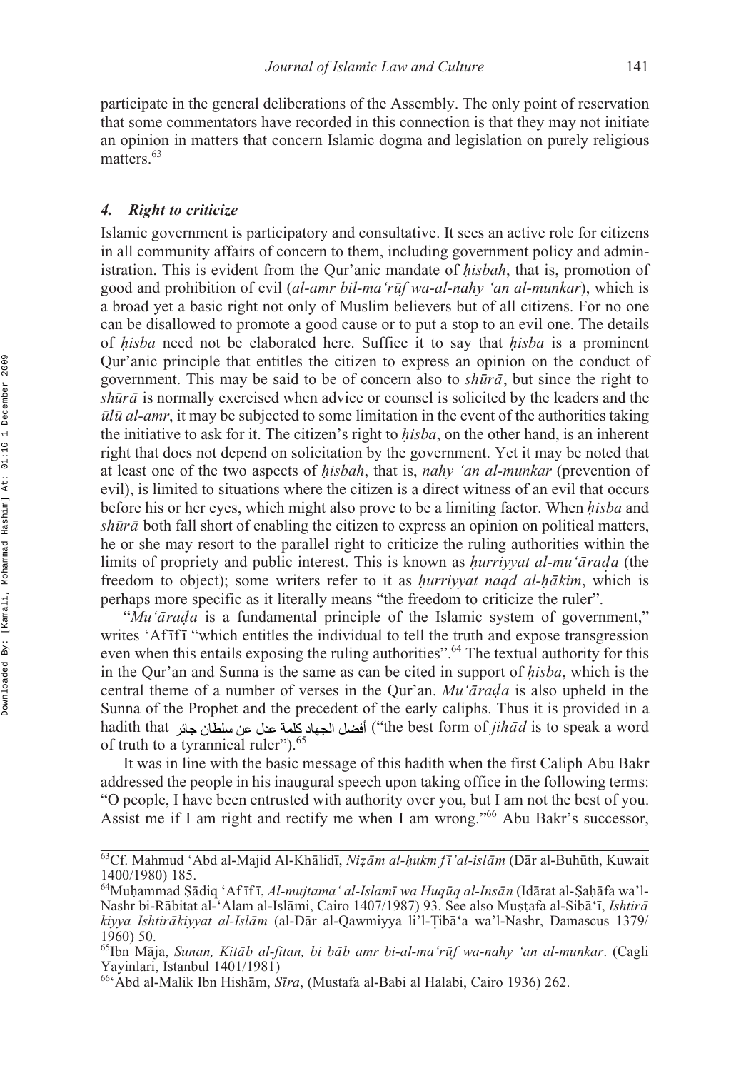participate in the general deliberations of the Assembly. The only point of reservation that some commentators have recorded in this connection is that they may not initiate an opinion in matters that concern Islamic dogma and legislation on purely religious matters.<sup>63</sup>

### *4. Right to criticize*

Islamic government is participatory and consultative. It sees an active role for citizens in all community affairs of concern to them, including government policy and administration. This is evident from the Qur'anic mandate of *isbah*, that is, promotion of *h* good and prohibition of evil (*al-amr bil-ma'rūf wa-al-nahy 'an al-munkar*), which is a broad yet a basic right not only of Muslim believers but of all citizens. For no one can be disallowed to promote a good cause or to put a stop to an evil one. The details of *hisba* need not be elaborated here. Suffice it to say that *hisba* is a prominent of *h*<sup>1</sup> *h*<sup>1</sup> *h*<sup>1</sup> *n*<sup>1</sup> *n*<sup>1</sup> *n*<sup>1</sup> *n*<sup>1</sup> *n*<sup>1</sup> *n*<sup>1</sup> *n*<sup>1</sup> *n*<sup>1</sup> *n*<sup>1</sup> *n*<sup>1</sup> *n*<sup>1</sup> *n*<sup>1</sup> *n*<sup>1</sup> *n*<sup>1</sup> *n*<sup>1</sup> *n*<sup>1</sup> Qur'anic principle that entitles the citizen to express an opinion on the conduct of government. This may be said to be of concern also to *shūrā*, but since the right to *shūrā* is normally exercised when advice or counsel is solicited by the leaders and the *ulu<sup>a</sup> al-amr*, it may be subjected to some limitation in the event of the authorities taking the initiative to ask for it. The citizen's right to *isba*, on the other hand, is an inherent *h* right that does not depend on solicitation by the government. Yet it may be noted that at least one of the two aspects of *isbah*, that is, *nahy 'an al-munkar* (prevention of *h* an rease one or and two appears or *integral*, and is, that, the at mathem of prevention or evil), is limited to situations where the citizen is a direct witness of an evil that occurs before his or her eyes, which might also prove to be a limiting factor. When *isba* and *h shūrā* both fall short of enabling the citizen to express an opinion on political matters, he or she may resort to the parallel right to criticize the ruling authorities within the limits of propriety and public interest. This is known as *hurriyyat al-mu'arada* (the freedom to object); some writers refer to it as *hurriyyat nagd al hakim*, which is freedom to object); some writers refer to it as *hurriyyat naqd al-hākim*, which is neghave more specific as it literally means "the freedom to criticize the ruler" perhaps more specific as it literally means "the freedom to criticize the ruler".

"Mu'arada is a fundamental principle of the Islamic system of government," writes 'Af<sup>[mi]</sup> which entitles the individual to tell the truth and expose transgression even when this entails exposing the ruling authorities".<sup>64</sup> The textual authority for this in the Qur'an and Sunna is the same as can be cited in support of *hisba*, which is the central theme of a number of verses in the Qur'an.  $Mu' \bar{a} \bar{r} \bar{a} \bar{d} a$  is also upheld in the Sunna of the Prophet and the precedent of the early caliphs. Thus it is provided in a hadith that أفضل الجهاد كلمة عدل عن سلطان جائر (the best form of *jihād* is to speak a word of truth to a tyrannical ruler").<sup>65</sup>

It was in line with the basic message of this hadith when the first Caliph Abu Bakr addressed the people in his inaugural speech upon taking office in the following terms: "O people, I have been entrusted with authority over you, but I am not the best of you. Assist me if I am right and rectify me when I am wrong."<sup>66</sup> Abu Bakr's successor,

<sup>&</sup>lt;sup>63</sup>Cf. Mahmud 'Abd al-Majid Al-Khālidī, *Niẓām al-ḥukm fī 'al-islām* (Dār al-Buhūth, Kuwait<br>1400/1980) 185 1400/1980) 185.

<sup>&</sup>lt;sup>64</sup>Muhammad Șādiq 'Af īf ī, *Al-mujtama' al-Islamī wa Huqūq al-Insān* (Idārat al-Saḥāfa wa'l-<br>Nashr bi-Rābitat al-'Alam al-Islāmi, Cairo 1407/1987) 93. See also Mustafa al-Siḥā'ī, *Ishtirā* Nashr bi-Rābitat al-'Alam al-Islāmi, Cairo 1407/1987) 93. See also Muștafa al-Sibā'ī, *Ishtirā*<br>kiwya Ishtirākiwat al-Islām (al-Dār al-Qawmiyya li'l-Tibā'a wa'l-Nashr Damascus 1379) *kiyya Ishtirākiyyat al-Islām* (al-Dār al-Qawmiyya li'l-Țibā'a wa'l-Nashr, Damascus 1379/<br>*kiyya Ishtirākiyyat al-Islām* (al-Dār al-Qawmiyya li'l-Țibā'a wa'l-Nashr, Damascus 1379/ 1960) 50.

<sup>&</sup>lt;sup>65</sup>Ibn Māja, *Sunan, Kitāb al-fitan, bi bāb amr bi-al-maʻrūf wa-nahy ʻan al-munkar. (Cagli* Yayinlari, Istanbul 1401/1981)

<sup>&</sup>lt;sup>66</sup>'Abd al-Malik Ibn Hishām, *Sīra*, (Mustafa al-Babi al Halabi, Cairo 1936) 262.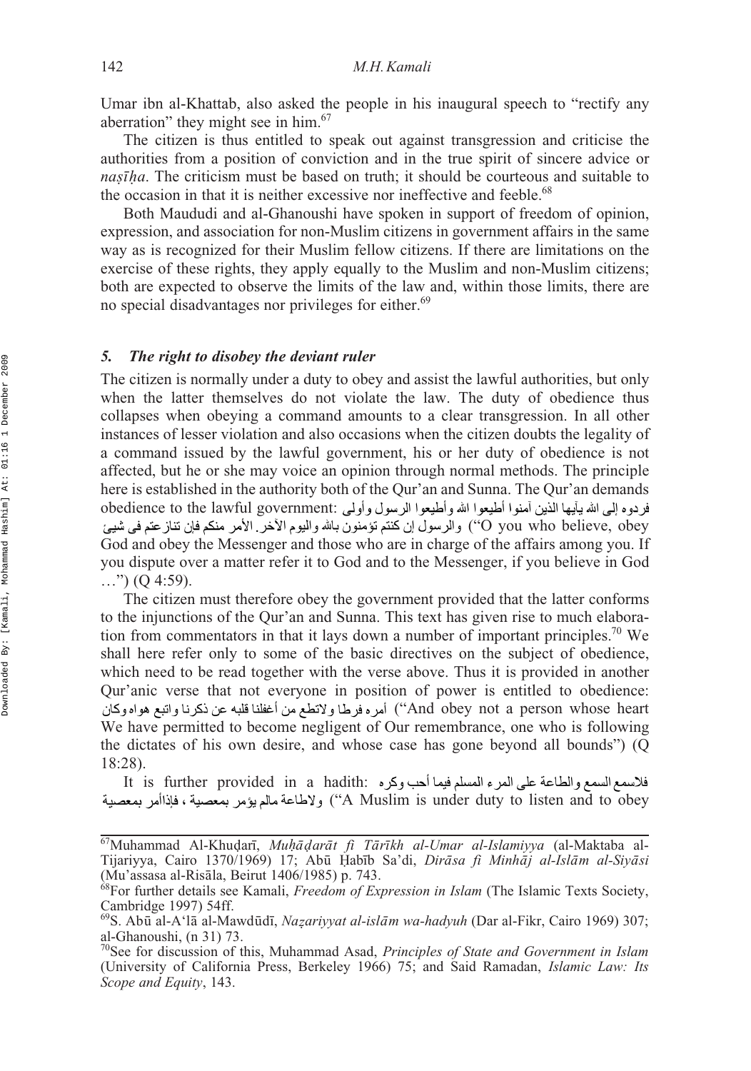Umar ibn al-Khattab, also asked the people in his inaugural speech to "rectify any aberration" they might see in him.<sup>67</sup>

The citizen is thus entitled to speak out against transgression and criticise the authorities from a position of conviction and in the true spirit of sincere advice or *nașīha*. The criticism must be based on truth; it should be courteous and suitable to *the occasion in that it is neither excessive nor ineffective and feeble.<sup>68</sup>* 

Both Maududi and al-Ghanoushi have spoken in support of freedom of opinion, expression, and association for non-Muslim citizens in government affairs in the same way as is recognized for their Muslim fellow citizens. If there are limitations on the exercise of these rights, they apply equally to the Muslim and non-Muslim citizens; both are expected to observe the limits of the law and, within those limits, there are no special disadvantages nor privileges for either.<sup>69</sup>

### *5. The right to disobey the deviant ruler*

The citizen is normally under a duty to obey and assist the lawful authorities, but only when the latter themselves do not violate the law. The duty of obedience thus collapses when obeying a command amounts to a clear transgression. In all other instances of lesser violation and also occasions when the citizen doubts the legality of a command issued by the lawful government, his or her duty of obedience is not affected, but he or she may voice an opinion through normal methods. The principle here is established in the authority both of the Qur'an and Sunna. The Qur'an demands obedience to the lawful government: O you who believe, obey) والرسول إن كنتم تؤمنون بالله واليوم الأخر . الأمر منكم فإن تناز عتم في شيئ God and obey the Messenger and those who are in charge of the affairs among you. If you dispute over a matter refer it to God and to the Messenger, if you believe in God  $\ldots$ ") (Q 4:59).

The citizen must therefore obey the government provided that the latter conforms to the injunctions of the Qur'an and Sunna. This text has given rise to much elaboration from commentators in that it lays down a number of important principles.<sup>70</sup> We shall here refer only to some of the basic directives on the subject of obedience, which need to be read together with the verse above. Thus it is provided in another Qur'anic verse that not everyone in position of power is entitled to obedience: And obey not a person whose heart") أمر ه فرطا ولاتطع من أغفلنا قلبه عن ذكرنا واتبع هواهوكان We have permitted to become negligent of Our remembrance, one who is following the dictates of his own desire, and whose case has gone beyond all bounds") (Q 18:28).

It is further provided in a hadith: A Muslim is under duty to listen and to obey'') ولاطاعة مالم يؤمر بمعصية ، فإذاأمر بمعصية

<sup>&</sup>lt;sup>67</sup>Muhammad Al-Khuḍarī, *Muḥāḍarāt fì Tārīkh al-Umar al-Islamiyya* (al-Maktaba al-<br>Tijariyya Cairo 1370/1969) 17: Abū Habīb Sa'di *Dirāsa fì Minhāi al-Islām al-Sivāsi* Tijariyya, Cairo 1370/1969) 17; Abū Ḥabīb Sa'di, *Dirāsa fi Minhāj al-Islām al-Siyāsi*<br>(Mu'assasa al-Risāla Beirut 1406/1985) n 743 (Mu'assasa al-Risāla, Beirut 1406/1985) p. 743. a¯

<sup>68</sup>For further details see Kamali, *Freedom of Expression in Islam* (The Islamic Texts Society, Cambridge 1997) 54ff.

<sup>&</sup>lt;sup>69</sup>S. Abū al-A'lā al-Mawdūdī, *Nazariyyat al-islām wa-hadyuh* (Dar al-Fikr, Cairo 1969) 307;<br>al-Ghanoushi (n 31) 73 al-Ghanoushi, (n 31) 73.

<sup>70</sup>See for discussion of this, Muhammad Asad, *Principles of State and Government in Islam* (University of California Press, Berkeley 1966) 75; and Said Ramadan, *Islamic Law: Its Scope and Equity*, 143.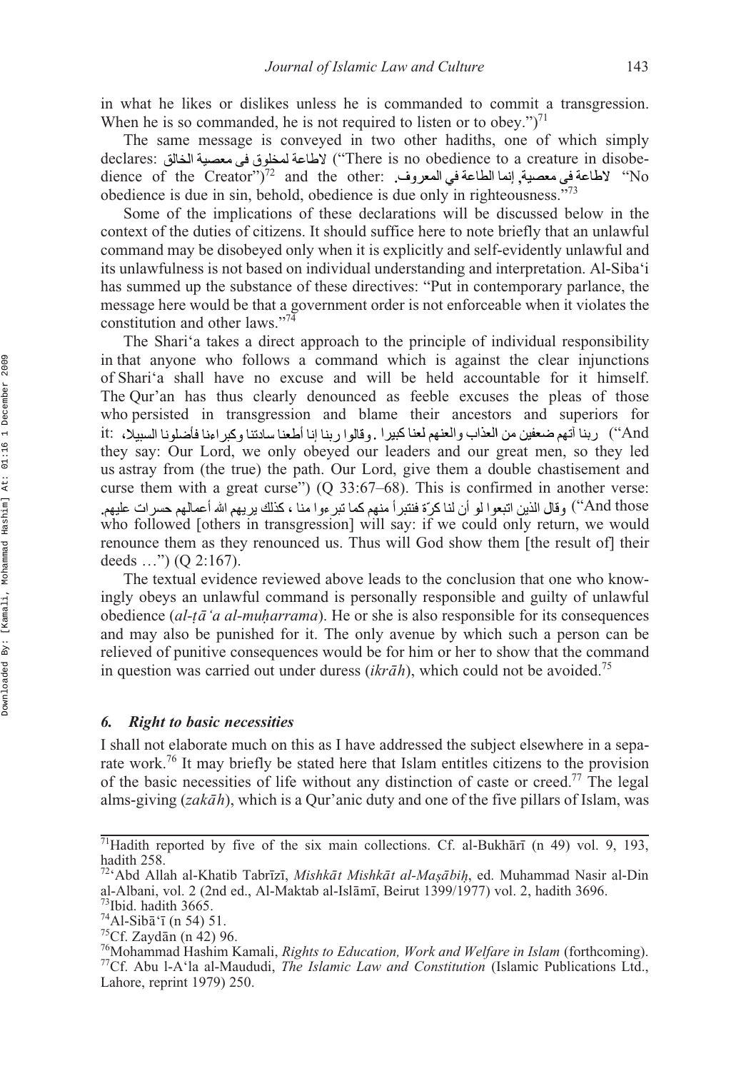in what he likes or dislikes unless he is commanded to commit a transgression. When he is so commanded, he is not required to listen or to obey." $)^{71}$ 

The same message is conveyed in two other hadiths, one of which simply declares: ("There is no obedience to a creature in disobedience of the Creator")<sup>72</sup> and the other: إنما الطاعة في المعروف. "dience of the Creator")<sup>72</sup> dd the other: obedience is due in sin, behold, obedience is due only in righteousness."73

Some of the implications of these declarations will be discussed below in the context of the duties of citizens. It should suffice here to note briefly that an unlawful command may be disobeyed only when it is explicitly and self-evidently unlawful and its unlawfulness is not based on individual understanding and interpretation. Al-Siba'i has summed up the substance of these directives: "Put in contemporary parlance, the message here would be that a government order is not enforceable when it violates the constitution and other laws."74

The Shari'a takes a direct approach to the principle of individual responsibility in that anyone who follows a command which is against the clear injunctions of Shari'a shall have no excuse and will be held accountable for it himself. The Qur'an has thus clearly denounced as feeble excuses the pleas of those who persisted in transgression and blame their ancestors and superiors for And'') ربنا أتهم ضعفين من العذاب والعنهم لعنا كبير ا . وقالو ا ر بنا إنا أطعنا سادتنا وكبر اءنا فأضلونا السبيلا، :it they say: Our Lord, we only obeyed our leaders and our great men, so they led us astray from (the true) the path. Our Lord, give them a double chastisement and curse them with a great curse") (Q 33:67–68). This is confirmed in another verse: And those'') وقال الذين اتبعوا لو أن لنا كرّة فنتبرأ منهم كما تبر ءوا منا ، كذلك بريهم الله أعمالهم حسرات عليهم. who followed [others in transgression] will say: if we could only return, we would renounce them as they renounced us. Thus will God show them [the result of] their deeds …") (Q 2:167).

The textual evidence reviewed above leads to the conclusion that one who knowingly obeys an unlawful command is personally responsible and guilty of unlawful obedience (al-tā 'a al-muharrama). He or she is also responsible for its consequences and may also be punished for it. The only avenue by which such a person can be relieved of punitive consequences would be for him or her to show that the command in question was carried out under duress (*ikrāh*), which could not be avoided.<sup>75</sup>

### *6. Right to basic necessities*

I shall not elaborate much on this as I have addressed the subject elsewhere in a separate work.<sup>76</sup> It may briefly be stated here that Islam entitles citizens to the provision of the basic necessities of life without any distinction of caste or creed.<sup>77</sup> The legal alms-giving (*zakāh*), which is a Qur'anic duty and one of the five pillars of Islam, was

<sup>&</sup>lt;sup>71</sup>Hadith reported by five of the six main collections. Cf. al-Bukhārī (n 49) vol. 9, 193, hadith 258.

<sup>&</sup>lt;sup>72</sup>'Abd Allah al-Khatib Tabrīzī, Mishkāt Mishkāt al-Mașābiḥ, ed. Muhammad Nasir al-Din al-Albani, vol. 2 (2nd ed., Al-Maktab al-Islāmī, Beirut 1399/1977) vol. 2, hadith 3696. 73Ibid. hadith 3665.

<sup>74</sup> Al-Sibā'ī (n 54) 51.

<sup>&</sup>lt;sup>75</sup>Cf. Zaydān (n 42) 96.

<sup>&</sup>lt;sup>76</sup>Mohammad Hashim Kamali, *Rights to Education, Work and Welfare in Islam* (forthcoming).<br><sup>77</sup>Cf. Abu l-A'la al-Maududi, *The Islamic Law and Constitution* (Islamic Publications Ltd., Lahore, reprint 1979) 250.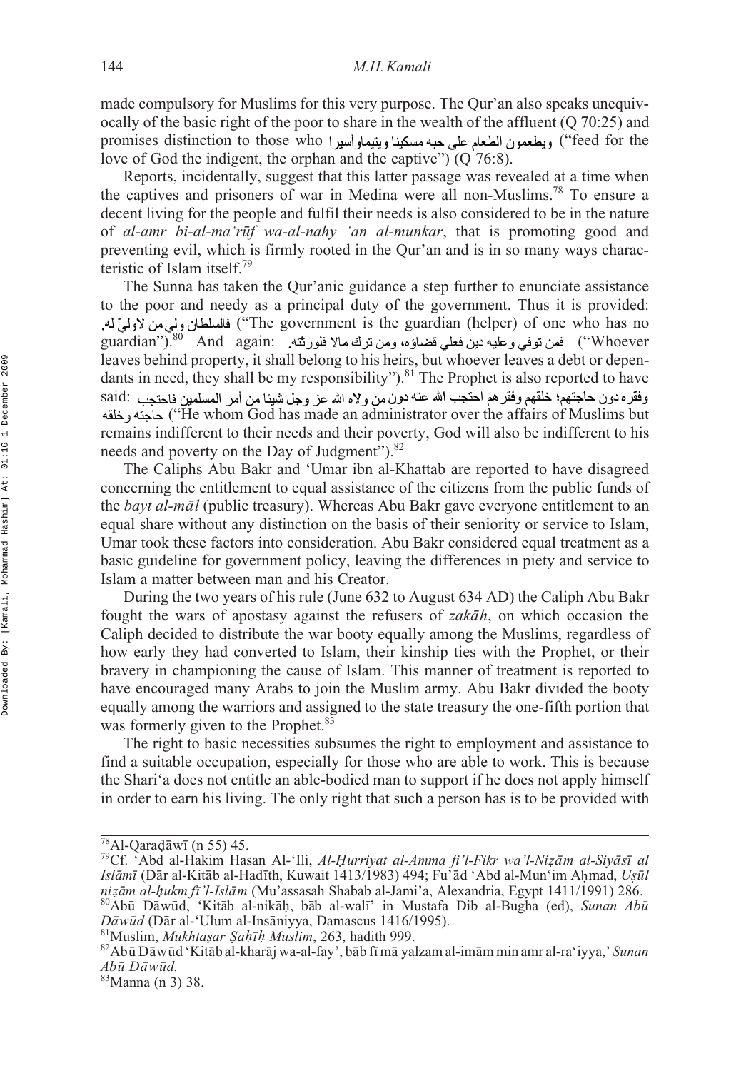made compulsory for Muslims for this very purpose. The Qur'an also speaks unequivocally of the basic right of the poor to share in the wealth of the affluent (Q 70:25) and promises distinction to those who (يطعمون الطعام على حيه مسكينا وبتيماوأسير ا love of God the indigent, the orphan and the captive") (Q 76:8).

Reports, incidentally, suggest that this latter passage was revealed at a time when the captives and prisoners of war in Medina were all non-Muslims.<sup>78</sup> To ensure a decent living for the people and fulfil their needs is also considered to be in the nature of al-amr bi-al-ma'rūf wa-al-nahy 'an al-munkar, that is promoting good and preventing evil, which is firmly rooted in the Qur'an and is in so many ways characteristic of Islam itself.79

The Sunna has taken the Qur'anic guidance a step further to enunciate assistance to the poor and needy as a principal duty of the government. Thus it is provided: ("The government is the guardian (helper) of one who has no guardian").80 And again: ("Whoever leaves behind property, it shall belong to his heirs, but whoever leaves a debt or dependants in need, they shall be my responsibility").<sup>81</sup> The Prophet is also reported to have وفقر ه دون حاجتهم؛ خلقهم وفقر هم احتجب الله عنه دون من و لاه الله عز وجل شيئًا من أمر المسلمين فاحتجب .said: ("He whom God has made an administrator over the affairs of Muslims but remains indifferent to their needs and their poverty, God will also be indifferent to his needs and poverty on the Day of Judgment").<sup>82</sup>

The Caliphs Abu Bakr and 'Umar ibn al-Khattab are reported to have disagreed concerning the entitlement to equal assistance of the citizens from the public funds of the *bayt al-māl* (public treasury). Whereas Abu Bakr gave everyone entitlement to an equal share without any distinction on the basis of their seniority or service to Islam, Umar took these factors into consideration. Abu Bakr considered equal treatment as a basic guideline for government policy, leaving the differences in piety and service to Islam a matter between man and his Creator.

During the two years of his rule (June 632 to August 634 AD) the Caliph Abu Bakr fought the wars of apostasy against the refusers of *zakah*, on which occasion the Caliph decided to distribute the war booty equally among the Muslims, regardless of how early they had converted to Islam, their kinship ties with the Prophet, or their bravery in championing the cause of Islam. This manner of treatment is reported to have encouraged many Arabs to join the Muslim army. Abu Bakr divided the booty equally among the warriors and assigned to the state treasury the one-fifth portion that was formerly given to the Prophet.<sup>83</sup>

The right to basic necessities subsumes the right to employment and assistance to find a suitable occupation, especially for those who are able to work. This is because the Shari'a does not entitle an able-bodied man to support if he does not apply himself in order to earn his living. The only right that such a person has is to be provided with

dāwī

<sup>&</sup>lt;sup>78</sup>Al-Qaraḍāwī (n 55) 45.<br><sup>79</sup>Cf. 'Abd al-Hakim Hasan Al-'Ili, *Al-Ḥurriyat al-Amma fi'l-Fikr wa'l-Niẓām al-Siyāsī al*<br>*Islāmī* (Dār al-Kitāb al-Hadīth Kuwait 1413/1983) 494<sup>.</sup> Fu'ād 'Abd al-Mun'im Ahmad *Hsūl Islamī* (Dār al-Kitāb al-Hadīth, Kuwait 1413/1983) 494; Fu'ād 'Abd al-Mun'im Ahmad, *Uṣūl*<br> *nizām al-hukm fī 'l-Islām* (Mu'assasah Shabab al-Jami'a Alexandria Eovot 1411/1991) 286 nizām al-hukm fī 'l-Islām (Mu'assasah Shabab al-Jami'a, Alexandria, Egypt 1411/1991) 286.<br><sup>80</sup>Abū Dāwūd, 'Kitāb al-nikāḥ, bāb al-walī' in Mustafa Dib al-Bugha (ed), *Sunan Abū*<br>*Dāwūd* (Dār al-'Ulum al-Insāniyya Damascus 1 *zām al-hukm fī 'l-Islām* **(Mu'assasah Shabab al-Jami'a, Alexandria, Egypt 1411/1991) 28<br>Abū Dāwūd 'Kitāb al-nikāb bāb al-walī' in Mustafa Dib al-Bugha (ed), Sungn 4** Dāwūd (Dār al-'Ulum al-Insāniyya, Damascus 1416/1995).

*isar Saḥīḥ*<br>tāb al-khar

*Dāwūd (*Dār al-'Ulum al-Insāniyya, Damascus 1416/1995).<br><sup>81</sup>Muslim, *Mukhtaṣar Ṣaḥīḥ Muslim,* 263, hadith 999.<br><sup>82</sup>Abū Dāwūd 'Kitāb al-kharāj wa-al-fay', bāb fī mā yalzam al-imām min amr al-ra'iyya,' *Sunan*  $Ab\bar{u}$  *Dāwūd*.

*Abmi[]acr Da[m]acr wu[m]acr d.* 83Manna (n 3) 38.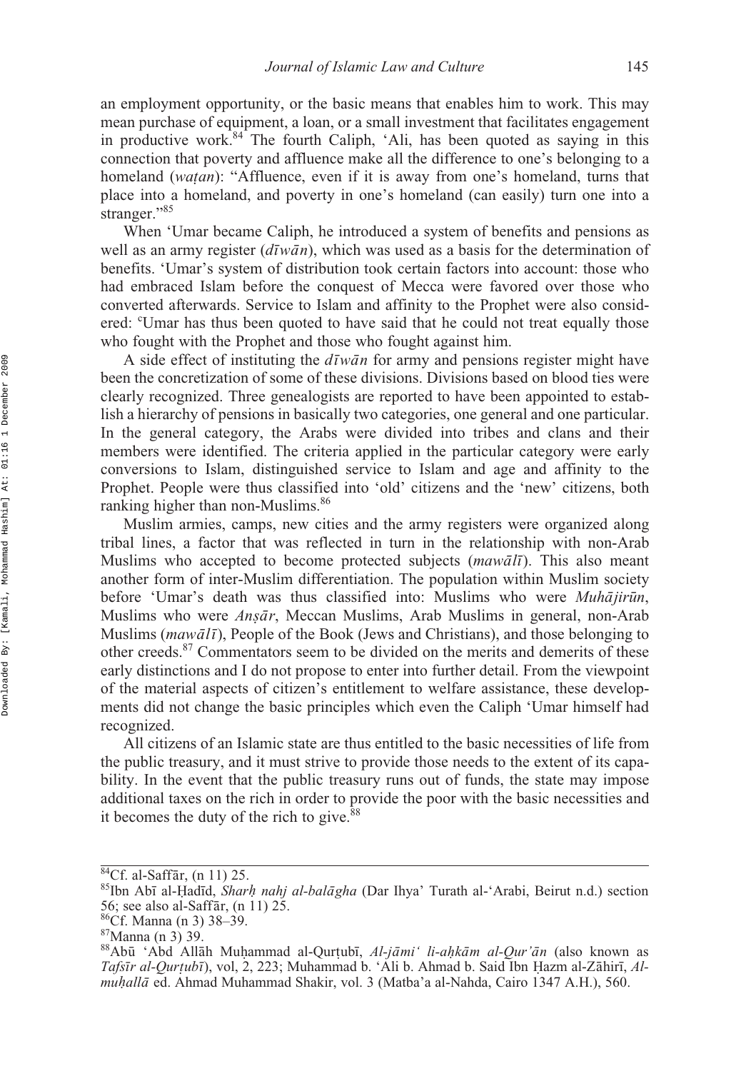an employment opportunity, or the basic means that enables him to work. This may mean purchase of equipment, a loan, or a small investment that facilitates engagement in productive work.<sup>84</sup> The fourth Caliph, 'Ali, has been quoted as saying in this connection that poverty and affluence make all the difference to one's belonging to a homeland (watan): "Affluence, even if it is away from one's homeland, turns that place into a homeland, and poverty in one's homeland (can easily) turn one into a homeland, and poverty in one's homeland (can easily) turn one into a stranger."85

When 'Umar became Caliph, he introduced a system of benefits and pensions as well as an army register ( $d\bar{\iota}w\bar{a}n$ ), which was used as a basis for the determination of benefits. 'Umar's system of distribution took certain factors into account: those who had embraced Islam before the conquest of Mecca were favored over those who converted afterwards. Service to Islam and affinity to the Prophet were also considered: "Umar has thus been quoted to have said that he could not treat equally those who fought with the Prophet and those who fought against him.

A side effect of instituting the  $d\bar{v}w\bar{a}n$  for army and pensions register might have been the concretization of some of these divisions. Divisions based on blood ties were clearly recognized. Three genealogists are reported to have been appointed to establish a hierarchy of pensions in basically two categories, one general and one particular. In the general category, the Arabs were divided into tribes and clans and their members were identified. The criteria applied in the particular category were early conversions to Islam, distinguished service to Islam and age and affinity to the Prophet. People were thus classified into 'old' citizens and the 'new' citizens, both ranking higher than non-Muslims.<sup>86</sup>

Muslim armies, camps, new cities and the army registers were organized along tribal lines, a factor that was reflected in turn in the relationship with non-Arab Muslims who accepted to become protected subjects (*mawali*). This also meant another form of inter-Muslim differentiation. The population within Muslim society before 'Umar's death was thus classified into: Muslims who were *Muhājirūn*, Muslims who were *Ansār*, Meccan Muslims, Arab Muslims in general, non-Arab *Muslims (mawali)*, People of the Book (Jews and Christians), and those belonging to  $\frac{1}{n}$ other creeds.<sup>87</sup> Commentators seem to be divided on the merits and demerits of these early distinctions and I do not propose to enter into further detail. From the viewpoint of the material aspects of citizen's entitlement to welfare assistance, these developments did not change the basic principles which even the Caliph 'Umar himself had recognized.

All citizens of an Islamic state are thus entitled to the basic necessities of life from the public treasury, and it must strive to provide those needs to the extent of its capability. In the event that the public treasury runs out of funds, the state may impose additional taxes on the rich in order to provide the poor with the basic necessities and it becomes the duty of the rich to give.<sup>88</sup>

<sup>&</sup>lt;sup>84</sup>Cf. al-Saffār, (n 11) 25.

<sup>&</sup>lt;sup>84</sup>Cf. al-Saffār, (n 11) 25.<br><sup>85</sup>Ibn Abī al-Ḥadīd, *Sharḥ nahj al-balāgha* (Dar Ihya' Turath al-'Arabi, Beirut n.d.) section<br>56: see also al-Saffār (n 11) 25 56; see also al-Saffār,  $(n 11)$  25.

<sup>86</sup>Cf. Manna (n 3) 38-39.

<sup>87</sup>Manna (n 3) 39.

<sup>&</sup>lt;sup>88</sup>Abū 'Abd Allāh Muhammad al-Qurṭubī, *Al-jāmi' li-aḥkām al-Qur'ān* (also known as<br>*Tafsīr al-Qurtubī*) vol 2 223: Muhammad b 'Ali b Ahmad b Said Ībn Hazm al-Zāhirī *Al-Tafsīr al-Qurțubī*), vol, 2, 223; Muhammad b. 'Ali b. Ahmad b. Said Ibn Hazm al-Zāhirī, *Al-*<br>*muhallā* ed. Ahmad Muhammad Shakir, vol. 3 (Matba'a al-Nahda, Cairo 1347 A H.), 560 *muḥallā* ed. Ahmad Muhammad Shakir, vol. 3 (Matba'a al-Nahda, Cairo 1347 A.H.), 560.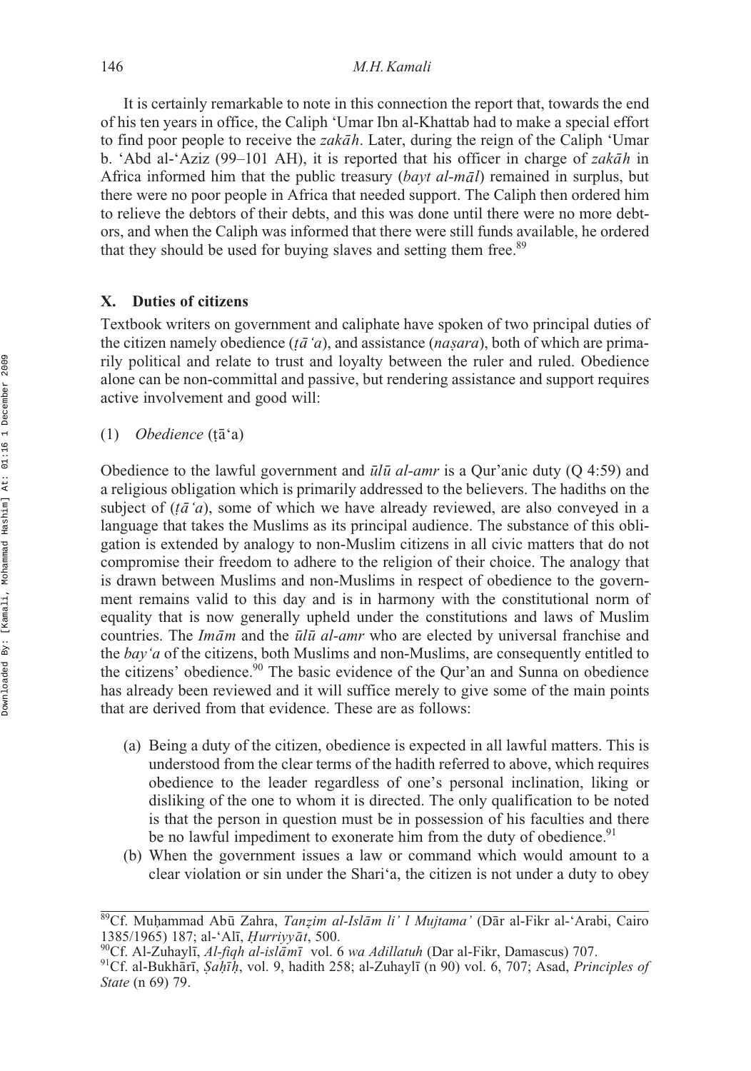It is certainly remarkable to note in this connection the report that, towards the end of his ten years in office, the Caliph 'Umar Ibn al-Khattab had to make a special effort to find poor people to receive the *zakāh*. Later, during the reign of the Caliph 'Umar b. 'Abd al-'Aziz (99–101 AH), it is reported that his officer in charge of *zakāh* in Africa informed him that the public treasury (*bayt al-mal*) remained in surplus, but there were no poor people in Africa that needed support. The Caliph then ordered him to relieve the debtors of their debts, and this was done until there were no more debtors, and when the Caliph was informed that there were still funds available, he ordered that they should be used for buying slaves and setting them free.<sup>89</sup>

### **X. Duties of citizens**

Textbook writers on government and caliphate have spoken of two principal duties of the citizen namely obedience ( $t\bar{a}$  '*a*), and assistance (*nasara*), both of which are prima*i*<sup>1</sup> political and relate to trust and loyalty between the ruler and ruled. Obedience alone can be non-committal and passive, but rendering assistance and support requires active involvement and good will:

(1) *Obedience* (țā<sup>c</sup>a)

Obedience to the lawful government and  $\bar{u}/\bar{u}$  *al-amr* is a Qur'anic duty (Q 4:59) and a religious obligation which is primarily addressed to the believers. The hadiths on the subject of (*tā* '*a*), some of which we have already reviewed, are also conveyed in a danguage that takes the Muslims as its principal audience. The substance of this obligation is extended by analogy to non-Muslim citizens in all civic matters that do not compromise their freedom to adhere to the religion of their choice. The analogy that is drawn between Muslims and non-Muslims in respect of obedience to the government remains valid to this day and is in harmony with the constitutional norm of equality that is now generally upheld under the constitutions and laws of Muslim countries. The *Imām* and the *ūlū al-amr* who are elected by universal franchise and the *bay'a* of the citizens, both Muslims and non-Muslims, are consequently entitled to the citizens' obedience.<sup>90</sup> The basic evidence of the Our'an and Sunna on obedience has already been reviewed and it will suffice merely to give some of the main points that are derived from that evidence. These are as follows:

- (a) Being a duty of the citizen, obedience is expected in all lawful matters. This is understood from the clear terms of the hadith referred to above, which requires obedience to the leader regardless of one's personal inclination, liking or disliking of the one to whom it is directed. The only qualification to be noted is that the person in question must be in possession of his faculties and there be no lawful impediment to exonerate him from the duty of obedience.<sup>91</sup>
- (b) When the government issues a law or command which would amount to a clear violation or sin under the Shari'a, the citizen is not under a duty to obey

<sup>&</sup>lt;sup>89</sup>Cf. Muhammad Abū Zahra, *Tanzim al-Islām li' l Mujtama'* (Dār al-Fikr al-'Arabi, Cairo<br>1385/1965) 187: al-'Alī *Hurriyyāt 5*00 ī, *Ḥurriyyā*<br>ıh al-islāmī

<sup>&</sup>lt;sup>90</sup>Cf. Al-Zuhaylī, Al-fiqh al-islāmī vol. 6 wa Adillatuh (Dar al-Fikr, Damascus) 707.

<sup>1385/1965) 187;</sup> al-'Alī, *Ḥurriyyāt*, 500.<br><sup>90</sup>Cf. Al-Zuhaylī, *Al-fiqh al-islāmī* vol. 6 *wa Adillatuh* (Dar al-Fikr, Damascus) 707.<br><sup>91</sup>Cf. al-Bukhārī, *Ṣaḥīḥ*, vol. 9, hadith 258; al-Zuhaylī (n 90) vol. 6, 707; Asad, *P State* (n 69) 79.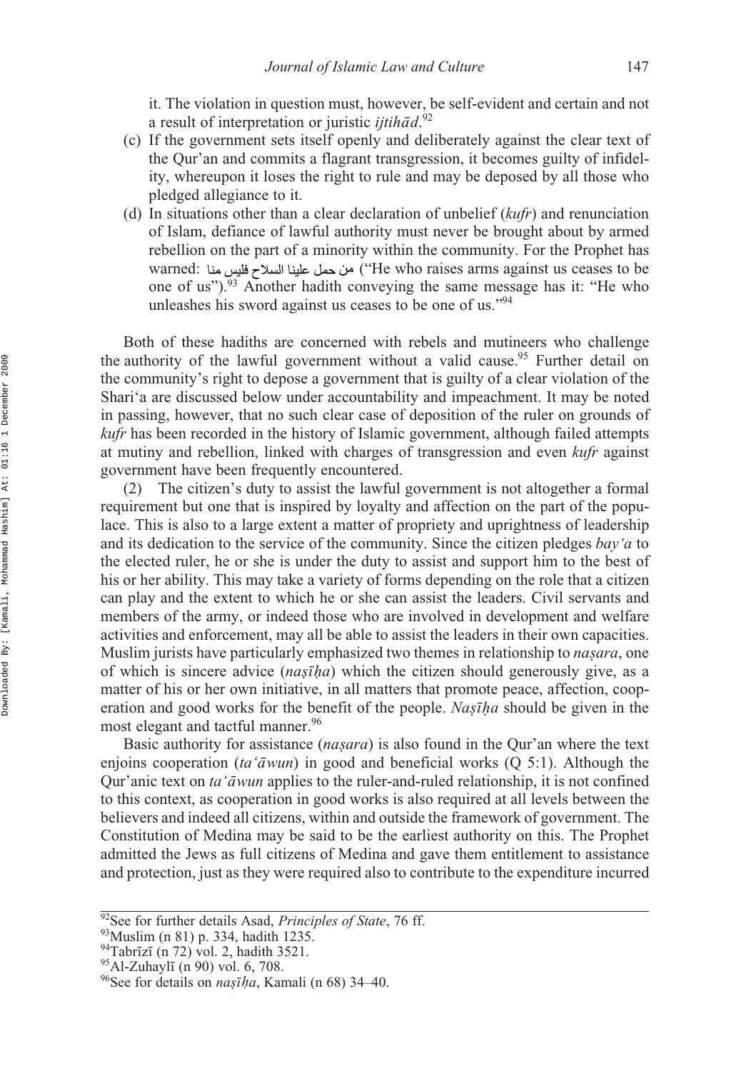it. The violation in question must, however, be self-evident and certain and not a result of interpretation or juristic *ijtihad*.<sup>92</sup>

- (c) If the government sets itself openly and deliberately against the clear text of the Qur'an and commits a flagrant transgression, it becomes guilty of infidelity, whereupon it loses the right to rule and may be deposed by all those who pledged allegiance to it.
- (d) In situations other than a clear declaration of unbelief (*kufr*) and renunciation of Islam, defiance of lawful authority must never be brought about by armed rebellion on the part of a minority within the community. For the Prophet has warned: ("He who raises arms against us ceases to be one of us").93 Another hadith conveying the same message has it: "He who unleashes his sword against us ceases to be one of us."94

Both of these hadiths are concerned with rebels and mutineers who challenge the authority of the lawful government without a valid cause.<sup>95</sup> Further detail on the community's right to depose a government that is guilty of a clear violation of the Shari'a are discussed below under accountability and impeachment. It may be noted in passing, however, that no such clear case of deposition of the ruler on grounds of *kufr* has been recorded in the history of Islamic government, although failed attempts at mutiny and rebellion, linked with charges of transgression and even *kufr* against government have been frequently encountered.

(2) The citizen's duty to assist the lawful government is not altogether a formal requirement but one that is inspired by loyalty and affection on the part of the populace. This is also to a large extent a matter of propriety and uprightness of leadership and its dedication to the service of the community. Since the citizen pledges *bay'a* to the elected ruler, he or she is under the duty to assist and support him to the best of his or her ability. This may take a variety of forms depending on the role that a citizen can play and the extent to which he or she can assist the leaders. Civil servants and members of the army, or indeed those who are involved in development and welfare activities and enforcement, may all be able to assist the leaders in their own capacities. Muslim jurists have particularly emphasized two themes in relationship to *nasara*, one of which is sincere advice (*na giha*) which the citizen should generously give, as a matter of his or her own initiative, in all matters that promote peace, affection, coop-*˙ ˙* eration and good works for the benefit of the people. *Nasīha* should be given in the most elegant and tactful manner  $96$ most elegant and tactful manner.<sup>96</sup>

Basic authority for assistance (*nasara*) is also found in the Qur'an where the text enjoins cooperation (*ta'awun*) in good and beneficial works (Q 5:1). Although the Qur'anic text on *ta* '*a*<sup>*wun*</sup> applies to the ruler-and-ruled relationship, it is not confined to this context, as cooperation in good works is also required at all levels between the believers and indeed all citizens, within and outside the framework of government. The Constitution of Medina may be said to be the earliest authority on this. The Prophet admitted the Jews as full citizens of Medina and gave them entitlement to assistance and protection, just as they were required also to contribute to the expenditure incurred

<sup>&</sup>lt;sup>92</sup>See for further details Asad, *Principles of State*, 76 ff. <sup>93</sup>Muslim (n 81) p. 334, hadith 1235.

 $94$ Tabrīzī (n 72) vol. 2, hadith 3521.

<sup>&</sup>lt;sup>95</sup>Al-Zuhaylī (n 90) vol. 6, 708.

<sup>&</sup>lt;sup>94</sup>Tabrīzī (n 72) vol. 2, hadith 3521.<br><sup>95</sup>Al-Zuhaylī (n 90) vol. 6, 708.<br><sup>96</sup>See for details on *naṣīḥa*, Kamali (n 68) 34–40.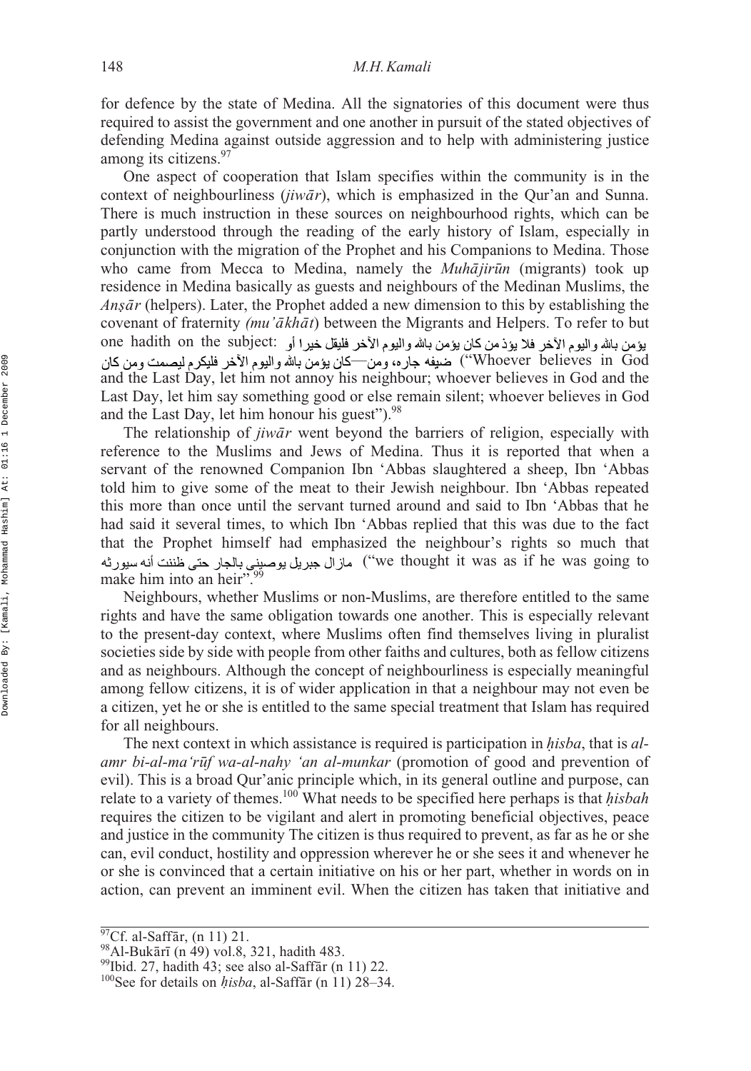for defence by the state of Medina. All the signatories of this document were thus required to assist the government and one another in pursuit of the stated objectives of defending Medina against outside aggression and to help with administering justice among its citizens.<sup>97</sup>

One aspect of cooperation that Islam specifies within the community is in the context of neighbourliness (*jiwār*), which is emphasized in the Qur'an and Sunna. There is much instruction in these sources on neighbourhood rights, which can be partly understood through the reading of the early history of Islam, especially in conjunction with the migration of the Prophet and his Companions to Medina. Those who came from Mecca to Medina, namely the *Muhājirūn* (migrants) took up residence in Medina basically as guests and neighbours of the Medinan Muslims, the *Anṣār* (helpers). Later, the Prophet added a new dimension to this by establishing the *covenant of fraternity <i>(mu'akhat)* between the Migrants and Helpers. To refer to but one hadith on the subject: Whoever believes in God"') ضيفه جاره، ومن—كان يؤمن بالله واليوم الأخر فليكرم ليصمت ومن كان and the Last Day, let him not annoy his neighbour; whoever believes in God and the Last Day, let him say something good or else remain silent; whoever believes in God and the Last Day, let him honour his guest").<sup>98</sup>

The relationship of *jiwār* went beyond the barriers of religion, especially with reference to the Muslims and Jews of Medina. Thus it is reported that when a servant of the renowned Companion Ibn 'Abbas slaughtered a sheep, Ibn 'Abbas told him to give some of the meat to their Jewish neighbour. Ibn 'Abbas repeated this more than once until the servant turned around and said to Ibn 'Abbas that he had said it several times, to which Ibn 'Abbas replied that this was due to the fact that the Prophet himself had emphasized the neighbour's rights so much that مازال جبريل يوصيني بالجار حتى ظننت أنه سيورثه ("we thought it was as if he was going to make him into an beir"  $\frac{99}{2}$ make him into an heir".

Neighbours, whether Muslims or non-Muslims, are therefore entitled to the same rights and have the same obligation towards one another. This is especially relevant to the present-day context, where Muslims often find themselves living in pluralist societies side by side with people from other faiths and cultures, both as fellow citizens and as neighbours. Although the concept of neighbourliness is especially meaningful among fellow citizens, it is of wider application in that a neighbour may not even be a citizen, yet he or she is entitled to the same special treatment that Islam has required for all neighbours.

The next context in which assistance is required is participation in *isba*, that is *al-h amr bi-al-ma'ruf wa-al-nahy 'an al-munkar* (promotion of good and prevention of  $\alpha$ evil). This is a broad Qur'anic principle which, in its general outline and purpose, can relate to a variety of themes.<sup>100</sup> What needs to be specified here perhaps is that *hisbah* requires the citizen to be vigilant and alert in promoting beneficial objectives, peace and justice in the community The citizen is thus required to prevent, as far as he or she can, evil conduct, hostility and oppression wherever he or she sees it and whenever he or she is convinced that a certain initiative on his or her part, whether in words on in action, can prevent an imminent evil. When the citizen has taken that initiative and

 $\sqrt[97]{Cf}$ . al-Saffār, (n 11) 21.

<sup>&</sup>lt;sup>98</sup>Al-Bukārī (n 49) vol.8, 321, hadith 483.

<sup>&</sup>lt;sup>99</sup>Ibid. 27, hadith 43; see also al-Saffār (n 11) 22.

<sup>&</sup>lt;sup>97</sup>Cf. al-Saffār, (n 11) 21.<br><sup>98</sup>Al-Bukārī (n 49) vol.8, 321, hadith 483.<br><sup>99</sup>Ibid. 27, hadith 43; see also al-Saffār (n 11) 22.<br><sup>100</sup>See for details on *hisba*, al-Saffār (n 11) 28–34.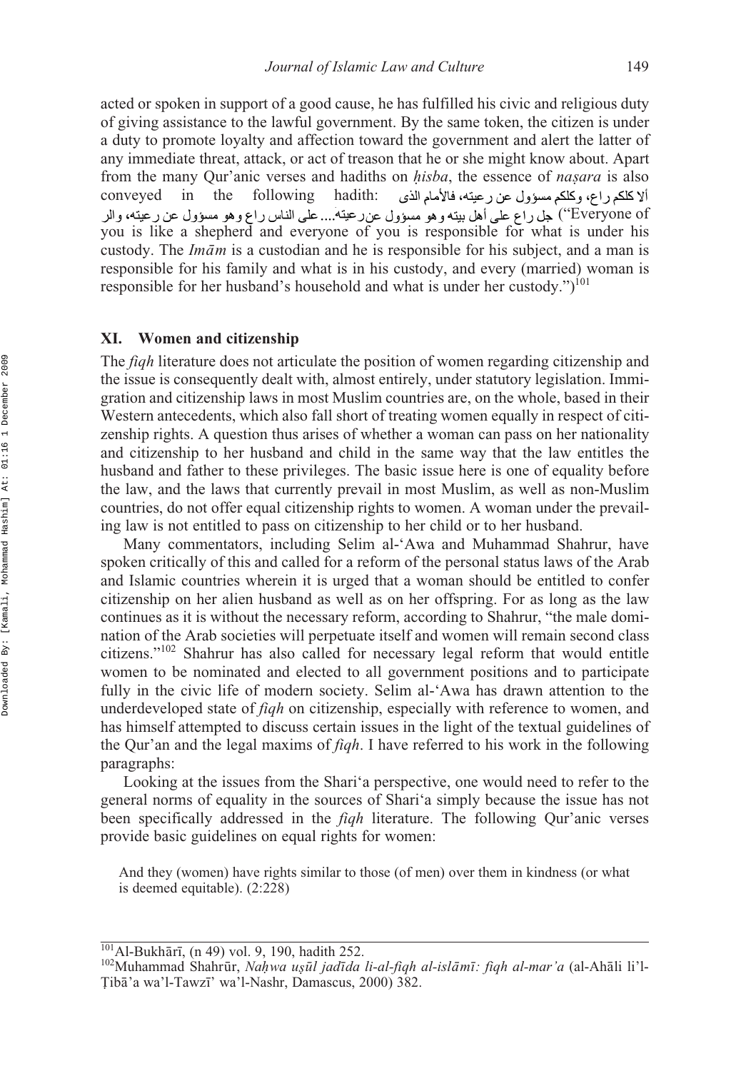acted or spoken in support of a good cause, he has fulfilled his civic and religious duty of giving assistance to the lawful government. By the same token, the citizen is under a duty to promote loyalty and affection toward the government and alert the latter of any immediate threat, attack, or act of treason that he or she might know about. Apart from the many Qur'anic verses and hadiths on *hisba*, the essence of *nasara* is also conveyed in the following hadith: all blacking the distance of *nasara* is also conveyed in the following hadith: Everyone of'') جل راع على أهل بيته و هو مسؤول عن رعيته... على الناس راع و هو مسؤول عن رعيته، والر you is like a shepherd and everyone of you is responsible for what is under his custody. The *Imām* is a custodian and he is responsible for his subject, and a man is responsible for his family and what is in his custody, and every (married) woman is responsible for her husband's household and what is under her custody.")<sup>101</sup> ألا كلكم راع، وكلكم مسؤول عن رعيته، فالأمام الذي

### **XI. Women and citizenship**

The *fiqh* literature does not articulate the position of women regarding citizenship and the issue is consequently dealt with, almost entirely, under statutory legislation. Immigration and citizenship laws in most Muslim countries are, on the whole, based in their Western antecedents, which also fall short of treating women equally in respect of citizenship rights. A question thus arises of whether a woman can pass on her nationality and citizenship to her husband and child in the same way that the law entitles the husband and father to these privileges. The basic issue here is one of equality before the law, and the laws that currently prevail in most Muslim, as well as non-Muslim countries, do not offer equal citizenship rights to women. A woman under the prevailing law is not entitled to pass on citizenship to her child or to her husband.

Many commentators, including Selim al-'Awa and Muhammad Shahrur, have spoken critically of this and called for a reform of the personal status laws of the Arab and Islamic countries wherein it is urged that a woman should be entitled to confer citizenship on her alien husband as well as on her offspring. For as long as the law continues as it is without the necessary reform, according to Shahrur, "the male domination of the Arab societies will perpetuate itself and women will remain second class citizens."102 Shahrur has also called for necessary legal reform that would entitle women to be nominated and elected to all government positions and to participate fully in the civic life of modern society. Selim al-'Awa has drawn attention to the underdeveloped state of *fiqh* on citizenship, especially with reference to women, and has himself attempted to discuss certain issues in the light of the textual guidelines of the Qur'an and the legal maxims of *fiqh*. I have referred to his work in the following paragraphs:

Looking at the issues from the Shari'a perspective, one would need to refer to the general norms of equality in the sources of Shari'a simply because the issue has not been specifically addressed in the *fiqh* literature. The following Qur'anic verses provide basic guidelines on equal rights for women:

And they (women) have rights similar to those (of men) over them in kindness (or what is deemed equitable). (2:228)

<sup>&</sup>lt;sup>101</sup>Al-Bukhārī, (n 49) vol. 9, 190, hadith 252.

<sup>&</sup>lt;sup>101</sup>Al-Bukhārī, (n 49) vol. 9, 190, hadith 252.<br><sup>102</sup>Muhammad Shahrūr, *Naḥwa uṣūl jadīda li-al-fìqh al-islāmī: fiqh al-mar'a* (al-Ahāli li'l-<br>Tibā'a wa'l-Tawzī' wa'l-Nashr, Damascus, 2000) 382 **Tibā'a** wa'l-Tawzī' wa'l-Nashr, Damascus, 2000) 382.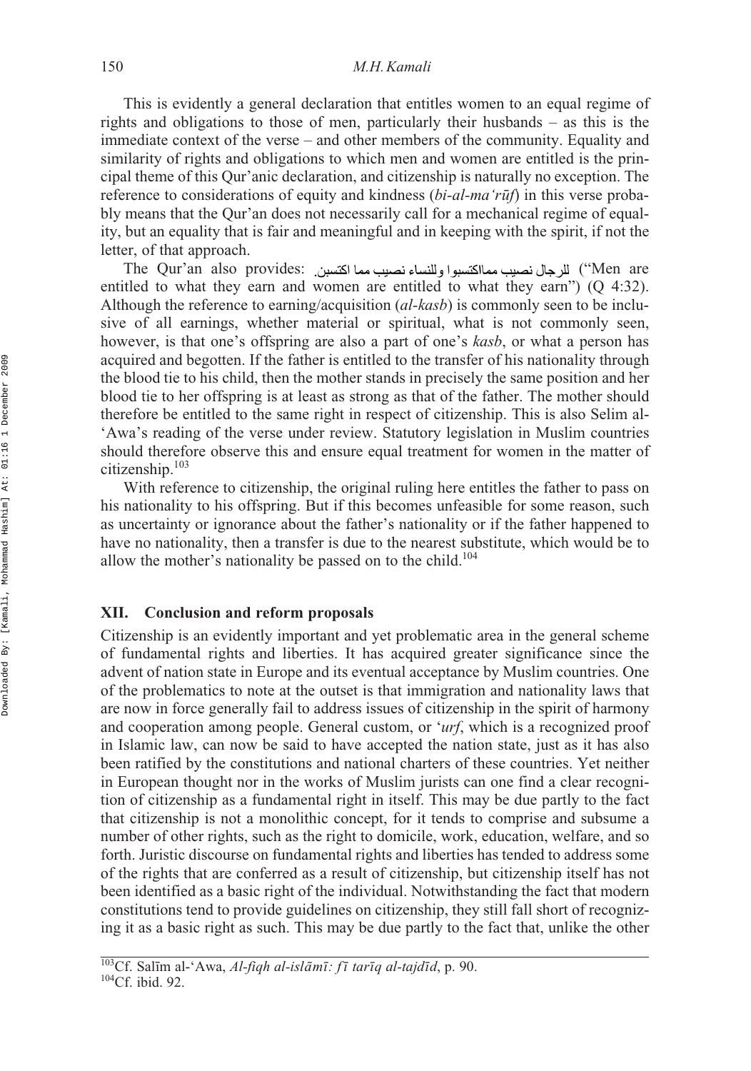This is evidently a general declaration that entitles women to an equal regime of rights and obligations to those of men, particularly their husbands – as this is the immediate context of the verse – and other members of the community. Equality and similarity of rights and obligations to which men and women are entitled is the principal theme of this Qur'anic declaration, and citizenship is naturally no exception. The reference to considerations of equity and kindness (*bi-al-ma'rūf*) in this verse probably means that the Qur'an does not necessarily call for a mechanical regime of equality, but an equality that is fair and meaningful and in keeping with the spirit, if not the letter, of that approach.

The Qur'an also provides: ("Men are entitled to what they earn and women are entitled to what they earn") (Q 4:32). Although the reference to earning/acquisition (*al-kasb*) is commonly seen to be inclusive of all earnings, whether material or spiritual, what is not commonly seen, however, is that one's offspring are also a part of one's *kasb*, or what a person has acquired and begotten. If the father is entitled to the transfer of his nationality through the blood tie to his child, then the mother stands in precisely the same position and her blood tie to her offspring is at least as strong as that of the father. The mother should therefore be entitled to the same right in respect of citizenship. This is also Selim al- 'Awa's reading of the verse under review. Statutory legislation in Muslim countries should therefore observe this and ensure equal treatment for women in the matter of citizenship.103

With reference to citizenship, the original ruling here entitles the father to pass on his nationality to his offspring. But if this becomes unfeasible for some reason, such as uncertainty or ignorance about the father's nationality or if the father happened to have no nationality, then a transfer is due to the nearest substitute, which would be to allow the mother's nationality be passed on to the child.<sup>104</sup>

### **XII. Conclusion and reform proposals**

Citizenship is an evidently important and yet problematic area in the general scheme of fundamental rights and liberties. It has acquired greater significance since the advent of nation state in Europe and its eventual acceptance by Muslim countries. One of the problematics to note at the outset is that immigration and nationality laws that are now in force generally fail to address issues of citizenship in the spirit of harmony and cooperation among people. General custom, or '*urf*, which is a recognized proof in Islamic law, can now be said to have accepted the nation state, just as it has also been ratified by the constitutions and national charters of these countries. Yet neither in European thought nor in the works of Muslim jurists can one find a clear recognition of citizenship as a fundamental right in itself. This may be due partly to the fact that citizenship is not a monolithic concept, for it tends to comprise and subsume a number of other rights, such as the right to domicile, work, education, welfare, and so forth. Juristic discourse on fundamental rights and liberties has tended to address some of the rights that are conferred as a result of citizenship, but citizenship itself has not been identified as a basic right of the individual. Notwithstanding the fact that modern constitutions tend to provide guidelines on citizenship, they still fall short of recognizing it as a basic right as such. This may be due partly to the fact that, unlike the other

<sup>&</sup>lt;sup>103</sup>Cf. Salīm al-'Awa, *Al-fiqh al-islāmī: fī tarīq al-tajdīd*, p. 90.<br><sup>104</sup>Cf. ibid. 92.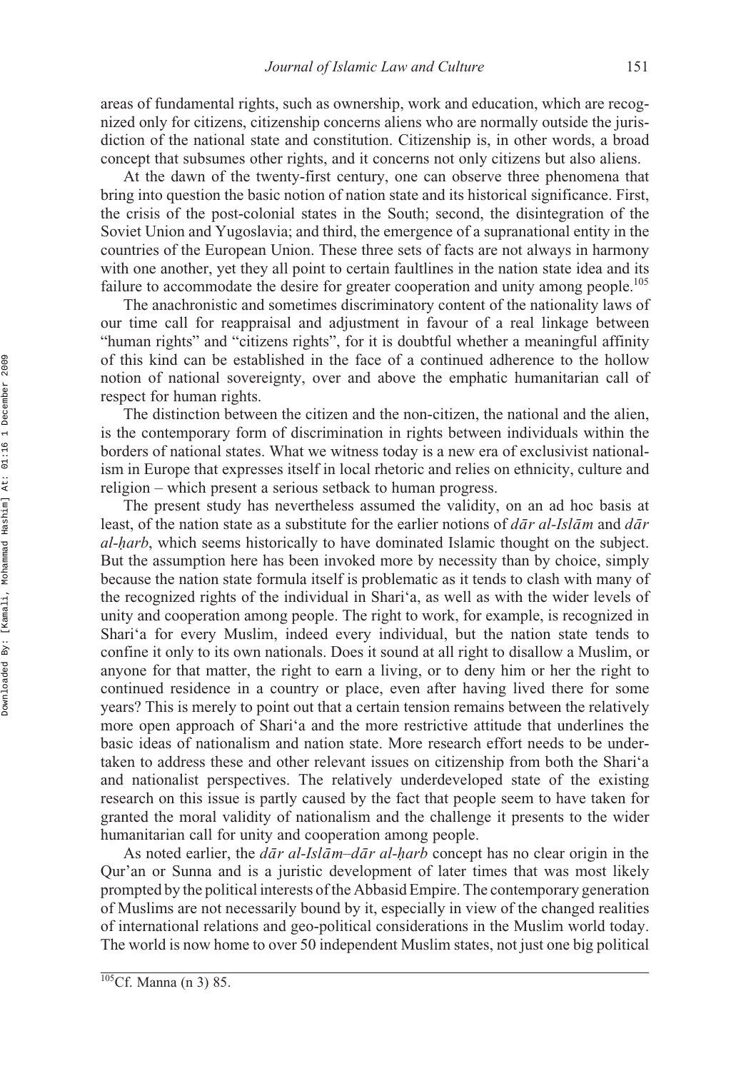areas of fundamental rights, such as ownership, work and education, which are recognized only for citizens, citizenship concerns aliens who are normally outside the jurisdiction of the national state and constitution. Citizenship is, in other words, a broad concept that subsumes other rights, and it concerns not only citizens but also aliens.

At the dawn of the twenty-first century, one can observe three phenomena that bring into question the basic notion of nation state and its historical significance. First, the crisis of the post-colonial states in the South; second, the disintegration of the Soviet Union and Yugoslavia; and third, the emergence of a supranational entity in the countries of the European Union. These three sets of facts are not always in harmony with one another, yet they all point to certain faultlines in the nation state idea and its failure to accommodate the desire for greater cooperation and unity among people.<sup>105</sup>

The anachronistic and sometimes discriminatory content of the nationality laws of our time call for reappraisal and adjustment in favour of a real linkage between "human rights" and "citizens rights", for it is doubtful whether a meaningful affinity of this kind can be established in the face of a continued adherence to the hollow notion of national sovereignty, over and above the emphatic humanitarian call of respect for human rights.

The distinction between the citizen and the non-citizen, the national and the alien, is the contemporary form of discrimination in rights between individuals within the borders of national states. What we witness today is a new era of exclusivist nationalism in Europe that expresses itself in local rhetoric and relies on ethnicity, culture and religion – which present a serious setback to human progress.

The present study has nevertheless assumed the validity, on an ad hoc basis at least, of the nation state as a substitute for the earlier notions of  $d\bar{a}r$  *al-Islam* and  $d\bar{a}r$ *al- arb*, which seems historically to have dominated Islamic thought on the subject. *h* But the assumption here has been invoked more by necessity than by choice, simply because the nation state formula itself is problematic as it tends to clash with many of the recognized rights of the individual in Shari'a, as well as with the wider levels of unity and cooperation among people. The right to work, for example, is recognized in Shari'a for every Muslim, indeed every individual, but the nation state tends to confine it only to its own nationals. Does it sound at all right to disallow a Muslim, or anyone for that matter, the right to earn a living, or to deny him or her the right to continued residence in a country or place, even after having lived there for some years? This is merely to point out that a certain tension remains between the relatively more open approach of Shari'a and the more restrictive attitude that underlines the basic ideas of nationalism and nation state. More research effort needs to be undertaken to address these and other relevant issues on citizenship from both the Shari'a and nationalist perspectives. The relatively underdeveloped state of the existing research on this issue is partly caused by the fact that people seem to have taken for granted the moral validity of nationalism and the challenge it presents to the wider humanitarian call for unity and cooperation among people.

As noted earlier, the *dār al-Islām–dār al-harb* concept has no clear origin in the Qur'an or Sunna and is a juristic development of later times that was most likely *˙* prompted by the political interests of the Abbasid Empire. The contemporary generation of Muslims are not necessarily bound by it, especially in view of the changed realities of international relations and geo-political considerations in the Muslim world today. The world is now home to over 50 independent Muslim states, not just one big political

 $\overline{^{105}Cf}$ . Manna (n 3) 85.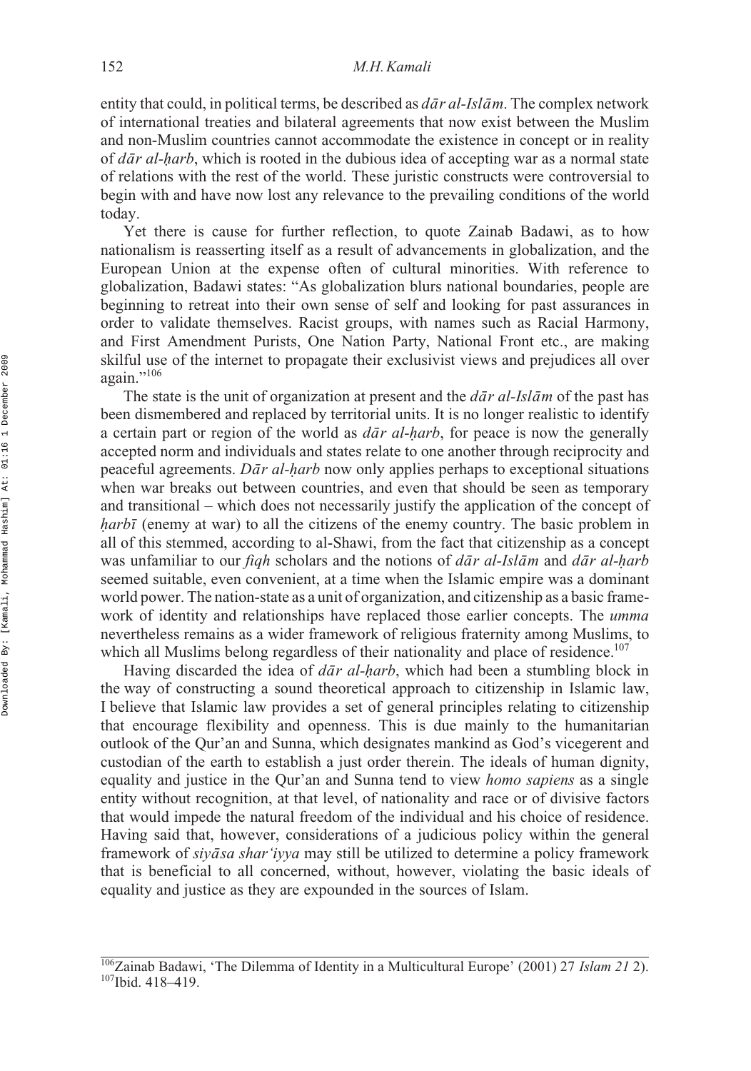entity that could, in political terms, be described as  $d\bar{a}r$  *al-Isl*  $\bar{a}m$ . The complex network of international treaties and bilateral agreements that now exist between the Muslim and non-Muslim countries cannot accommodate the existence in concept or in reality of *dār al-harb*, which is rooted in the dubious idea of accepting war as a normal state of relations with the rest of the world. These juristic constructs were controversial to begin with and have now lost any relevance to the prevailing conditions of the world today.

Yet there is cause for further reflection, to quote Zainab Badawi, as to how nationalism is reasserting itself as a result of advancements in globalization, and the European Union at the expense often of cultural minorities. With reference to globalization, Badawi states: "As globalization blurs national boundaries, people are beginning to retreat into their own sense of self and looking for past assurances in order to validate themselves. Racist groups, with names such as Racial Harmony, and First Amendment Purists, One Nation Party, National Front etc., are making skilful use of the internet to propagate their exclusivist views and prejudices all over again."106

The state is the unit of organization at present and the  $d\bar{a}r$  *al-Islam* of the past has been dismembered and replaced by territorial units. It is no longer realistic to identify a certain part or region of the world as  $d\bar{a}r$  al-harb, for peace is now the generally accepted norm and individuals and states relate to one another through reciprocity and accepted norm and individuals and states relate to one another through reciprocity and peaceful agreements. *Dār al-harb* now only applies perhaps to exceptional situations when war breaks out between countries, and even that should be seen as temporary and transitional – which does not necessarily justify the application of the concept of *harbī* (enemy at war) to all the citizens of the enemy country. The basic problem in  $\alpha$ ll of this stemmed, according to al-Shawi, from the fact that citizenship as a concentr all of this stemmed, according to al-Shawi, from the fact that citizenship as a concept was unfamiliar to our *fiqh* scholars and the notions of *dar al-Islam* and *dar al-harb* seemed suitable, even convenient, at a time when the Islamic empire was a dominant world power. The nation-state as a unit of organization, and citizenship as a basic framework of identity and relationships have replaced those earlier concepts. The *umma* nevertheless remains as a wider framework of religious fraternity among Muslims, to which all Muslims belong regardless of their nationality and place of residence.<sup>107</sup>

Having discarded the idea of *dār al-harb*, which had been a stumbling block in the way of constructing a sound theoretical approach to citizenship in Islamic law, I believe that Islamic law provides a set of general principles relating to citizenship that encourage flexibility and openness. This is due mainly to the humanitarian outlook of the Qur'an and Sunna, which designates mankind as God's vicegerent and custodian of the earth to establish a just order therein. The ideals of human dignity, equality and justice in the Qur'an and Sunna tend to view *homo sapiens* as a single entity without recognition, at that level, of nationality and race or of divisive factors that would impede the natural freedom of the individual and his choice of residence. Having said that, however, considerations of a judicious policy within the general framework of *siyāsa shar'iyya* may still be utilized to determine a policy framework that is beneficial to all concerned, without, however, violating the basic ideals of equality and justice as they are expounded in the sources of Islam.

<sup>&</sup>lt;sup>106</sup>Zainab Badawi, 'The Dilemma of Identity in a Multicultural Europe' (2001) 27 *Islam 21* 2). <sup>107</sup>Ibid. 418–419.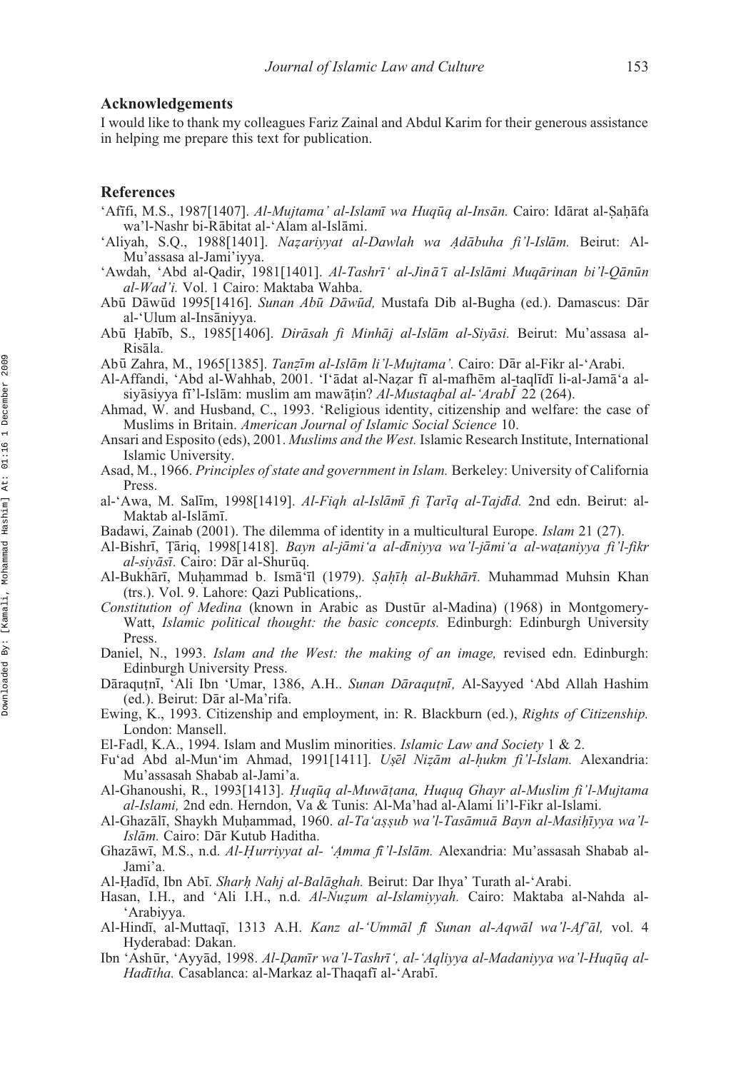### **Acknowledgements**

I would like to thank my colleagues Fariz Zainal and Abdul Karim for their generous assistance in helping me prepare this text for publication.

### **References**

- 'Afīfi, M.S., 1987[1407]. *Al-Mujtama' al-Islamī wa Huqūq al-Insān*. Cairo: Idārat al-Ṣaḥāfa<br>wa'l-Nashr bi-Rābitat al-ʿAlam al-Islāmi wa'l-Nashr bi-Rābitat al-'Alam al-Islāmi.
- 'Aliyah, S.Q., 1988[1401]. *Nazariyyat al-Dawlah wa Adābuha fi'l-Islām*. Beirut: Al-<br>Mu'assasa al-Jami'iyya Mu'assasa al-Jami'iyya.
- 'Awdah, 'Abd al-Qadir, 1981[1401]. *Al-Tashrī* ' al-Jinā ī al-Islāmi Muqārinan bi'l-Qānūn *al-Wad'i.* Vol. 1 Cairo: Maktaba Wahba.
- Abū Dāwūd 1995[1416]. *Sunan Abū Dāwūd*, Mustafa Dib al-Bugha (ed.). Damascus: Dār al-'Ulum al-Insāniyya.
- Abū Habīb, S., 1985[1406]. *Dirāsah fi Minhāj al-Islām al-Siyāsi*. Beirut: Mu'assasa al-<br>Risāla Risāla.
- Abū Zahra, M., 1965[1385]. *Tanzīm al-Islām li'l-Mujtama'*. Cairo: Dār al-Fikr al-'Arabi.
- Al-Affandi, 'Abd al-Wahhab, 2001. 'I'adat al-Nazar fī al-mafhēm al-taqlīdī li-al-Jamā'a al-<br>
siyāsiyya fi'l-Islām: muslim am mawātin? Al-Mustaghal al-'Argh[] 22 (264) siyasiyya fi'l-Islam: muslim am mawatin? *Al-Mustaqbal al-'Arabl* 22 (264).<br>and W and Husband C 1993 'Religious identity citizenship and welfare
- Ahmad, W. and Husband, C., 1993. 'Religious identity, citizenship and welfare: the case of Muslims in Britain. *American Journal of Islamic Social Science* 10.
- Ansari and Esposito (eds), 2001. *Muslims and the West.* Islamic Research Institute, International Islamic University.
- Asad, M., 1966. *Principles of state and government in Islam.* Berkeley: University of California Press.
- al-'Awa, M. Salīm, 1998[1419]. *Al-Fiqh al-Islāmī fi Ṭarīq al-Tajdīd*. 2nd edn. Beirut: al-<br>Maktab al-Islāmī Maktab al-Islāmī.
- Badawi, Zainab (2001). The dilemma of identity in a multicultural Europe. *Islam* 21 (27).
- Al-Bishrī, Țāriq, 1998[1418]. *Bayn al-jāmi'a al-dīniyya wa'l-jāmi'a al-waṭaniyya fi'l-fikr al-siyāsī*. Cairo: Dār al-Shurūq.
- Al-Bukhārī, Muḥammad b. Ismā il (1979). *Ṣaḥīḥ al-Bukhārī*. Muhammad Muhsin Khan (trs.) Vol. 9 Lahore: Oazi Publications (trs.). Vol. 9. Lahore: Qazi Publications,.
- Constitution of Medina (known in Arabic as Dustūr al-Madina) (1968) in Montgomery-Watt, *Islamic political thought: the basic concepts.* Edinburgh: Edinburgh University Press.
- Daniel, N., 1993. *Islam and the West: the making of an image,* revised edn. Edinburgh: Edinburgh University Press.
- Dāraqu țnī, 'Ali Ibn 'Umar, 1386, A.H.. *Sunan Dāraqu țnī*, Al-Sayyed 'Abd Allah Hashim
(ed) Beirut: Dār al-Ma'rifa (ed.). Beirut: Dār al-Ma'rifa.
- Ewing, K., 1993. Citizenship and employment, in: R. Blackburn (ed.), *Rights of Citizenship.* London: Mansell.
- El-Fadl, K.A., 1994. Islam and Muslim minorities. *Islamic Law and Society* 1 & 2.
- Fu'ad Abd al-Mun'im Ahmad, 1991[1411]. *Uṣēl Niẓām al-ḥukm fi'l-Islam*. Alexandria:<br>Mu'assasah Shabab al-Iami'a Mu'assasah Shabab al-Jami'a.
- Al-Ghanoushi, R., 1993[1413]. *Huqūq al-Muwāṭana, Huquq Ghayr al-Muslim fi'l-Mujtama*<br>*al-Islami* 2nd edn. Herndon. Va & Tunis: Al-Ma'had al-Alami li'l-Fikr al-Islami *al-Islami,* 2nd edn. Herndon, Va & Tunis: Al-Ma'had al-Alami li'l-Fikr al-Islami. *˙*
- Al-Ghazālī, Shaykh Muḥammad, 1960. *al-Taʻaṣṣub wa'l-Tasāmuā Bayn al-Masiḥīyya wa'l-*<br>*Islām Cairo: Dār Kutub Haditha Islām*. Cairo: Dār Kutub Haditha.
- Ghazāwī, M.S., n.d. *Al-Ḥurriyyat al- 'Amma fi'l-Islām*. Alexandria: Mu'assasah Shabab al-<br>Iami'a Jami'a.
- Al-Ḥadīd, Ibn Abī. *Sharh Nahj al-Balāghah*. Beirut: Dar Ihya' Turath al-'Arabi.<br>Hasan J. H. and 'Ali J. H. n.d. *Al-Nuzum al-Islamiyyah*, Cairo: Maktaba
- Hasan, I.H., and 'Ali I.H., n.d. *Al-Nuzum al-Islamiyyah*. Cairo: Maktaba al-Nahda al-<br>'Arabiyya 'Arabiyya.
- Al-Hindī, al-Muttaqī, 1313 A.H. *Kanz al-'Ummāl fi Sunan al-Aqwāl wa'l-Af'āl*, vol. 4 Hyderabad: Dakan.
- Ibn 'Ashūr, 'Ayyād, 1998. *Al-Damīr wa'l-Tashrī', al-'Aqliyya al-Madaniyya wa'l-Huqūq al-<br><i>Hadītha Casablanca: al-Markaz al-Thagafī al-*'Arabī Hadītha. Casablanca: al-Markaz al-Thaqafī al-'Arabī.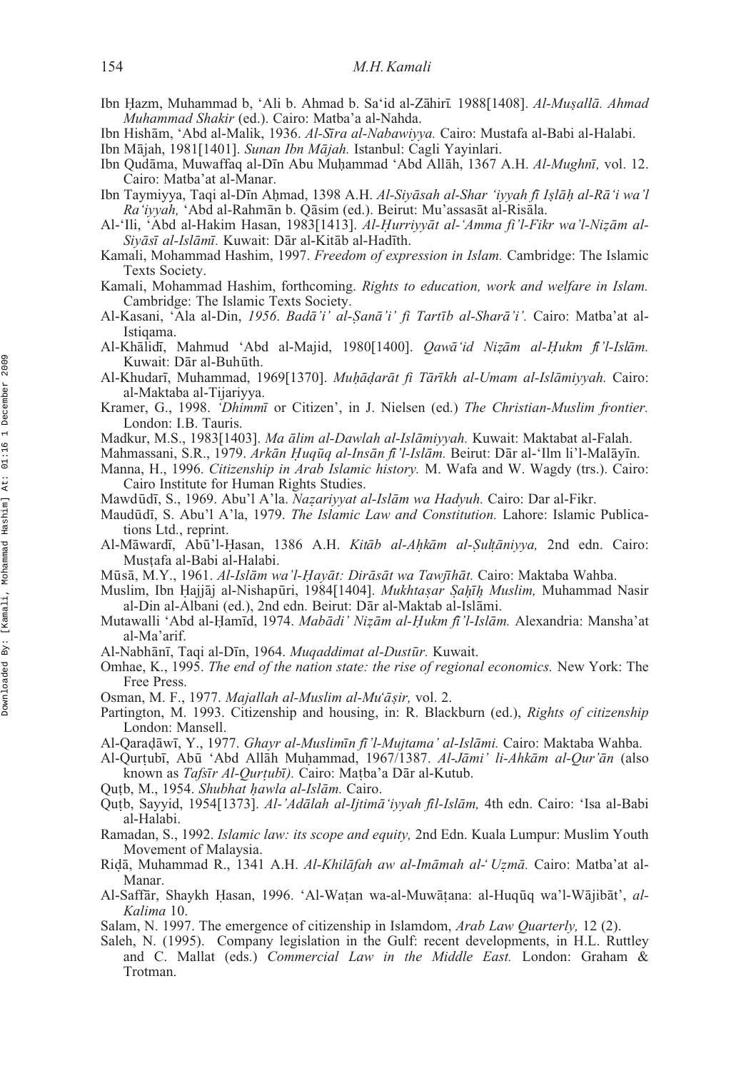- Ibn Hazm, Muhammad b, 'Ali b. Ahmad b. Sa'id al-Zāhirī. 1988[1408]. *Al-Muṣallā. Ahmad*<br>*Muhammad Shakir* (ed.) Cairo: Matba'a al-Nabda *Muhammad Shakir* (ed.). Cairo: Matba'a al-Nahda.
- Ibn Hishām, 'Abd al-Malik, 1936. *Al-Sīra al-Nabawiyya*. Cairo: Mustafa al-Babi al-Halabi.
- Ibn Mājah, 1981[1401]. *Sunan Ibn Mājah*. Istanbul: Cagli Yayinlari.
- Ibn Qudāma, Muwaffaq al-Dīn Abu Muḥammad 'Abd Allāh, 1367 A.H. *Al-Mughnī*, vol. 12.<br>Cairo: Matba'at al-Manar Cairo: Matba'at al-Manar.
- **ibn Taymiyya, Taqi al-Dīn Aḥmad, 1398 A.H.** *Al-Siyāsah al-Shar 'iyyah fī Iṣlāḥ al-Rāʻi wa'l***<br>***Raʻiyyah* **'Abd al-Raḥmān b. Qāṣim (ed.). Beirut: Mu'assasāt al-Riṣāla** Ra'iyyah, 'Abd al-Rahmān b. Qāsim (ed.). Beirut: Mu'assasāt al-Risāla.
- Al-'Ili, 'Abd al-Hakim Hasan, 1983[1413]. *Al-Ḥurriyyāt al-'Amma fi'l-Fikr wa'l-Nizām al-*<br>*Sivāsī al-Islāmī* Kuwait: Dār al-Kitāb al-Hadīth *Siyāsī al-Islāmī*. Kuwait: Dār al-Kitāb al-Hadīth.
- Kamali, Mohammad Hashim, 1997. *Freedom of expression in Islam.* Cambridge: The Islamic Texts Society.
- Kamali, Mohammad Hashim, forthcoming. *Rights to education, work and welfare in Islam.* Cambridge: The Islamic Texts Society.
- Al-Kasani, 'Ala al-Din, *1956. Badā'i' al-Ṣanā'i' fi Tartīb al-Sharā'i'.* Cairo: Matba'at al-<br>*Istigama* Istiqama.
- Al-Khālidī, Mahmud 'Abd al-Majid, 1980[1400]. *Qawā id Nizām al-Ḥukm fi'l-Islām*.<br>Kuwait: Dār al-Buhūth Kuwait: Dār al-Buhūth.
- Al-Khudarī, Muhammad, 1969[1370]. *Muḥāḍarāt fi Tārīkh al-Umam al-Islāmiyyah*. Cairo:<br>al-Maktaba al-Tijariyya al-Maktaba al-Tijariyya.
- Kramer, G., 1998. *'Dhimmi* or Citizen', in J. Nielsen (ed.) The Christian-Muslim frontier. London: I.B. Tauris.
- Madkur, M.S., 1983[1403]. *Ma ālim al-Dawlah al-Islāmiyyah*. Kuwait: Maktabat al-Falah.
- Mahmassani, S.R., 1979. *Arkān Ḥuqūq al-Insān fi 'l-Islām*. Beirut: Dār al-'Ilm li'l-Malāyīn.<br>Manna H. 1996. *Citizenshin in Arah Islamic history*. M. Wafa and W. Waødy (trs.). Caire
- Manna, H., 1996. *Citizenship in Arab Islamic history.* M. Wafa and W. Wagdy (trs.). Cairo: Cairo Institute for Human Rights Studies.
- Mawdūdī, S., 1969. Abu'l A'la. *Nazariyyat al-Islām wa Hadyuh*. Cairo: Dar al-Fikr.<br>Maudūdī, S. Abu'l A'la, 1979. *The Islamic Law and Constitution*. Labore: Islamic
- Maudūdī, S. Abu'l A'la, 1979. *The Islamic Law and Constitution*. Lahore: Islamic Publications Ltd., reprint.
- Al-Māwardī, Abū'l-Ḥasan, 1386 A.H. *Kitāb al-Aḥkām al-Ṣuḥāniyya*, 2nd edn. Cairo:<br>Mustafa al-Babi al-Halabi Musṭafa al-Babi al-Halabi.
- Marsi, M.Y., 1961. *Al-Islām wa'l-Hayāt: Dirāsāt wa Tawjīhāt.* Cairo: Maktaba Wahba.<br>Muslim Thn Haijāi al-Nishanūri 1984[1404] *Mukhtasar Sabīh Muslim M*uhammad.
- Muslim, Ibn Hajjāj al-Nishapūri, 1984[1404]. *Mukhtaṣar Ṣaḥīḥ Muslim,* Muhammad Nasir<br>al-Din al-Albani (ed.) 2nd edn. Beirut: Dār al-Maktab al-Īslāmi al-Din al-Albani (ed.), 2nd edn. Beirut: Dār al-Maktab al-Islāmi.
- Mutawalli 'Abd al- ammi[]acr d, 1974. *Mabam[]arc di' Ni am[]arc m al- ukm fm]i[acr 'l-Islam[]arc m.* Alexandria: Mansha'at H ˙ ¯ı *a¯z ˙ a¯H ˙ ¯ıa¯* al-Ma'arif.
- Al-Nabhānī, Taqi al-Dīn, 1964. *Muqaddimat al-Dustūr*. Kuwait.
- Omhae, K., 1995. *The end of the nation state: the rise of regional economics.* New York: The Free Press.
- Osman, M. F., 1977. Majallah al-Muslim al-Mu'āṣir, vol. 2.
- Partington, M. 1993. Citizenship and housing, in: R. Blackburn (ed.), *Rights of citizenship ˙* London: Mansell.
- Al-Qaraḍāwī, Y., 1977. *Ghayr al-Muslimīn fī 'l-Mujtama' al-Islāmi*. Cairo: Maktaba Wahba.
- Al-Qurtubī, Abū 'Abd Allāh Muhammad, 1967/1387. *Al-Jāmi' li-Ahkām al-Qur'ān* (also<br>
known as *Tafsīr Al-Qurtubī*) Cairo: Matha'a Dār al-Kutub known as *Tafsīr Al-Qurṭubī)*. Cairo: Maṭba'a Dār al-Kutub.<br>b M - 1954 *Shubhat hawla al-Islām* Cairo
- Qutb, M., 1954. *Shubhat hawla al-Islām*. Cairo.<br>Outb, Sayyid, 1954[1373] *Al-'Adālah al-Iitimi*
- Qutb, Sayyid, 1954[1373]. *Al-'Adālah al-Ijtimā 'iyyah fīl-Islām*, 4th edn. Cairo: 'Isa al-Babi<br>al-Halabi al-Halabi.
- Ramadan, S., 1992. *Islamic law: its scope and equity,* 2nd Edn. Kuala Lumpur: Muslim Youth Movement of Malaysia.
- Riḍā, Muhammad R., 1341 A.H. *Al-Khilāfah aw al-Imāmah al-' Uẓmā*. Cairo: Matba'at al-<br>Manar Manar.
- Al-Saffār, Shaykh Ḥasan, 1996. 'Al-Waṭan wa-al-Muwāṭana: al-Huqūq wa'l-Wājibāt', *al-* Kalima 10 *Kalima* 10.
- Salam, N. 1997. The emergence of citizenship in Islamdom, *Arab Law Quarterly,* 12 (2).
- Saleh, N. (1995). Company legislation in the Gulf: recent developments, in H.L. Ruttley and C. Mallat (eds.) *Commercial Law in the Middle East.* London: Graham & Trotman.